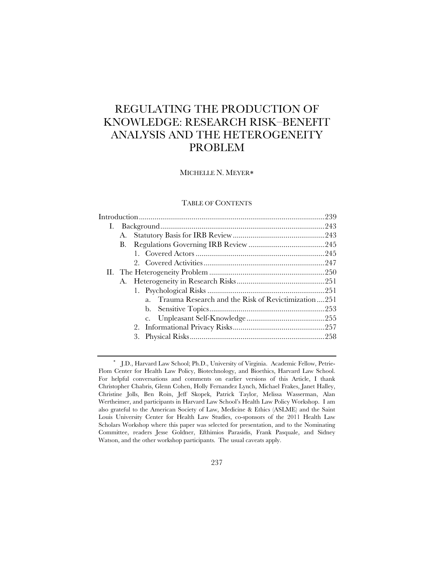# REGULATING THE PRODUCTION OF KNOWLEDGE: RESEARCH RISK–BENEFIT ANALYSIS AND THE HETEROGENEITY PROBLEM

# MICHELLE N. MEYER

# TABLE OF CONTENTS

| I. |    |                                                                    |  |
|----|----|--------------------------------------------------------------------|--|
|    | А. |                                                                    |  |
|    | В. |                                                                    |  |
|    |    |                                                                    |  |
|    |    |                                                                    |  |
|    |    |                                                                    |  |
|    |    |                                                                    |  |
|    |    |                                                                    |  |
|    |    | Trauma Research and the Risk of Revictimization 251<br>$a_{\cdot}$ |  |
|    |    |                                                                    |  |
|    |    |                                                                    |  |
|    |    |                                                                    |  |
|    |    | 3.                                                                 |  |
|    |    |                                                                    |  |

J.D., Harvard Law School; Ph.D., University of Virginia. Academic Fellow, Petrie-Flom Center for Health Law Policy, Biotechnology, and Bioethics, Harvard Law School. For helpful conversations and comments on earlier versions of this Article, I thank Christopher Chabris, Glenn Cohen, Holly Fernandez Lynch, Michael Frakes, Janet Halley, Christine Jolls, Ben Roin, Jeff Skopek, Patrick Taylor, Melissa Wasserman, Alan Wertheimer, and participants in Harvard Law School's Health Law Policy Workshop. I am also grateful to the American Society of Law, Medicine & Ethics (ASLME) and the Saint Louis University Center for Health Law Studies, co-sponsors of the 2011 Health Law Scholars Workshop where this paper was selected for presentation, and to the Nominating Committee, readers Jesse Goldner, Efthimios Parasidis, Frank Pasquale, and Sidney Watson, and the other workshop participants. The usual caveats apply.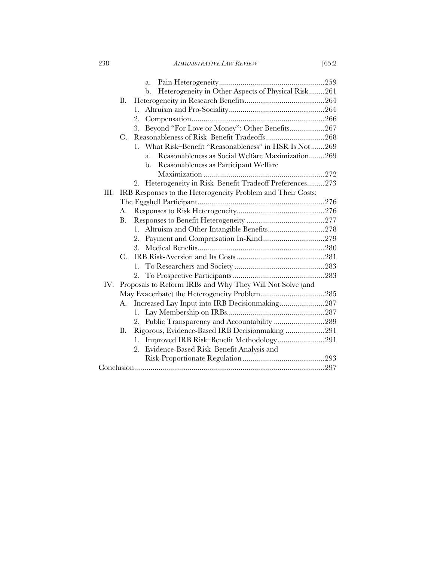238 *ADMINISTRATIVE LAW REVIEW* [65:2

| h. 1. 2 |
|---------|
|         |

|      |           | a.                                                          |  |
|------|-----------|-------------------------------------------------------------|--|
|      |           | Heterogeneity in Other Aspects of Physical Risk261<br>b.    |  |
|      | В.        |                                                             |  |
|      |           | 1.                                                          |  |
|      |           | 2.                                                          |  |
|      |           | Beyond "For Love or Money": Other Benefits267<br>3.         |  |
|      | C.        |                                                             |  |
|      |           | 1. What Risk-Benefit "Reasonableness" in HSR Is Not269      |  |
|      |           | Reasonableness as Social Welfare Maximization269<br>a.      |  |
|      |           | Reasonableness as Participant Welfare<br>b.                 |  |
|      |           |                                                             |  |
|      |           | 2. Heterogeneity in Risk-Benefit Tradeoff Preferences273    |  |
| III. |           | IRB Responses to the Heterogeneity Problem and Their Costs: |  |
|      |           |                                                             |  |
|      | A.        |                                                             |  |
|      | В.        |                                                             |  |
|      |           | Altruism and Other Intangible Benefits278<br>1.             |  |
|      |           | 2.                                                          |  |
|      |           | 3.                                                          |  |
|      | $C$ .     |                                                             |  |
|      |           | 1.                                                          |  |
|      |           | 2.                                                          |  |
| IV.  |           | Proposals to Reform IRBs and Why They Will Not Solve (and   |  |
|      |           |                                                             |  |
|      | А.        | Increased Lay Input into IRB Decisionmaking287              |  |
|      |           |                                                             |  |
|      |           | Public Transparency and Accountability 289<br>2.            |  |
|      | <b>B.</b> | Rigorous, Evidence-Based IRB Decisionmaking 291             |  |
|      |           | Improved IRB Risk-Benefit Methodology291<br>1.              |  |
|      |           | Evidence-Based Risk-Benefit Analysis and<br>2.              |  |
|      |           |                                                             |  |
|      |           |                                                             |  |
|      |           |                                                             |  |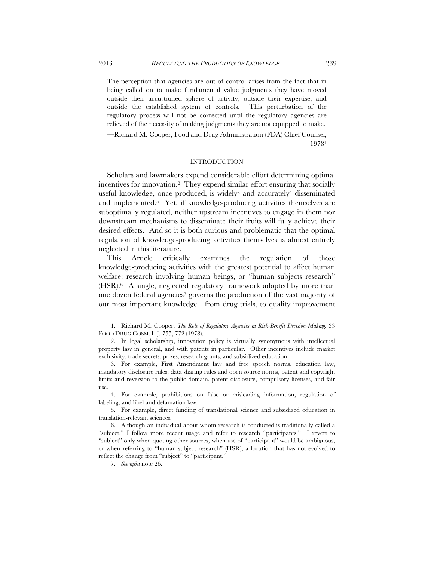The perception that agencies are out of control arises from the fact that in being called on to make fundamental value judgments they have moved outside their accustomed sphere of activity, outside their expertise, and outside the established system of controls. This perturbation of the regulatory process will not be corrected until the regulatory agencies are relieved of the necessity of making judgments they are not equipped to make.

—Richard M. Cooper, Food and Drug Administration (FDA) Chief Counsel, 19781

## **INTRODUCTION**

Scholars and lawmakers expend considerable effort determining optimal incentives for innovation.2 They expend similar effort ensuring that socially useful knowledge, once produced, is widely<sup>3</sup> and accurately<sup>4</sup> disseminated and implemented.5 Yet, if knowledge-producing activities themselves are suboptimally regulated, neither upstream incentives to engage in them nor downstream mechanisms to disseminate their fruits will fully achieve their desired effects. And so it is both curious and problematic that the optimal regulation of knowledge-producing activities themselves is almost entirely neglected in this literature.

This Article critically examines the regulation of those knowledge-producing activities with the greatest potential to affect human welfare: research involving human beings, or "human subjects research" (HSR).6 A single, neglected regulatory framework adopted by more than one dozen federal agencies<sup>7</sup> governs the production of the vast majority of our most important knowledge—from drug trials, to quality improvement

 <sup>1.</sup> Richard M. Cooper, *The Role of Regulatory Agencies in Risk-Benefit Decision-Making,* 33 FOOD DRUG COSM. L.J. 755, 772 (1978).

 <sup>2.</sup> In legal scholarship, innovation policy is virtually synonymous with intellectual property law in general, and with patents in particular. Other incentives include market exclusivity, trade secrets, prizes, research grants, and subsidized education.

 <sup>3.</sup> For example, First Amendment law and free speech norms, education law, mandatory disclosure rules, data sharing rules and open source norms, patent and copyright limits and reversion to the public domain, patent disclosure, compulsory licenses, and fair use.

 <sup>4.</sup> For example, prohibitions on false or misleading information, regulation of labeling, and libel and defamation law.

 <sup>5.</sup> For example, direct funding of translational science and subsidized education in translation-relevant sciences.

 <sup>6.</sup> Although an individual about whom research is conducted is traditionally called a "subject," I follow more recent usage and refer to research "participants." I revert to "subject" only when quoting other sources, when use of "participant" would be ambiguous, or when referring to "human subject research" (HSR), a locution that has not evolved to reflect the change from "subject" to "participant."

 <sup>7.</sup> *See infra* note 26.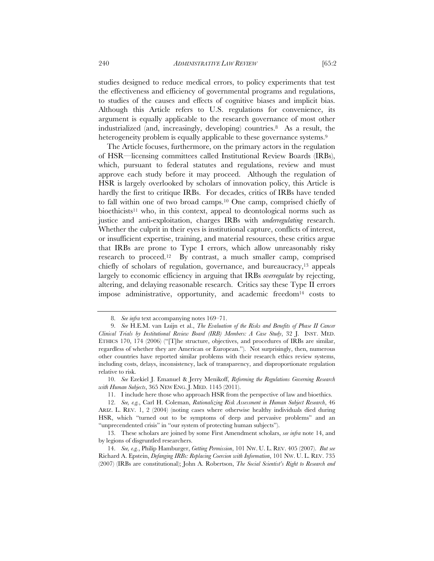studies designed to reduce medical errors, to policy experiments that test the effectiveness and efficiency of governmental programs and regulations, to studies of the causes and effects of cognitive biases and implicit bias. Although this Article refers to U.S. regulations for convenience, its argument is equally applicable to the research governance of most other industrialized (and, increasingly, developing) countries.8 As a result, the heterogeneity problem is equally applicable to these governance systems.<sup>9</sup>

The Article focuses, furthermore, on the primary actors in the regulation of HSR—licensing committees called Institutional Review Boards (IRBs), which, pursuant to federal statutes and regulations, review and must approve each study before it may proceed. Although the regulation of HSR is largely overlooked by scholars of innovation policy, this Article is hardly the first to critique IRBs. For decades, critics of IRBs have tended to fall within one of two broad camps.10 One camp, comprised chiefly of bioethicists<sup>11</sup> who, in this context, appeal to deontological norms such as justice and anti-exploitation, charges IRBs with *underregulating* research. Whether the culprit in their eyes is institutional capture, conflicts of interest, or insufficient expertise, training, and material resources, these critics argue that IRBs are prone to Type I errors, which allow unreasonably risky research to proceed.12 By contrast, a much smaller camp, comprised chiefly of scholars of regulation, governance, and bureaucracy,13 appeals largely to economic efficiency in arguing that IRBs *overregulate* by rejecting, altering, and delaying reasonable research. Critics say these Type II errors impose administrative, opportunity, and academic freedom<sup>14</sup> costs to

 10. *See* Ezekiel J. Emanuel & Jerry Menikoff, *Reforming the Regulations Governing Research with Human Subjects*, 365 NEW ENG. J. MED. 1145 (2011).

 <sup>8.</sup> *See infra* text accompanying notes 169–71.

 <sup>9.</sup> *See* H.E.M. van Luijn et al., *The Evaluation of the Risks and Benefits of Phase II Cancer Clinical Trials by Institutional Review Board (IRB) Members: A Case Study*, 32 J. INST. MED. ETHICS 170, 174 (2006) ("[T]he structure, objectives, and procedures of IRBs are similar, regardless of whether they are American or European."). Not surprisingly, then, numerous other countries have reported similar problems with their research ethics review systems, including costs, delays, inconsistency, lack of transparency, and disproportionate regulation relative to risk.

 <sup>11.</sup> I include here those who approach HSR from the perspective of law and bioethics.

 <sup>12.</sup> *See, e.g.*, Carl H. Coleman, *Rationalizing Risk Assessment in Human Subject Research*, 46 ARIZ. L. REV. 1, 2 (2004) (noting cases where otherwise healthy individuals died during HSR, which "turned out to be symptoms of deep and pervasive problems" and an "unprecendented crisis" in "our system of protecting human subjects").

 <sup>13.</sup> These scholars are joined by some First Amendment scholars, *see infra* note 14, and by legions of disgruntled researchers.

 <sup>14.</sup> *See, e.g.*, Philip Hamburger, *Getting Permission*, 101 NW. U. L. REV. 405 (2007). *But see* Richard A. Epstein, *Defanging IRBs: Replacing Coercion with Information*, 101 NW. U. L. REV. 735 (2007) (IRBs are constitutional); John A. Robertson, *The Social Scientist's Right to Research and*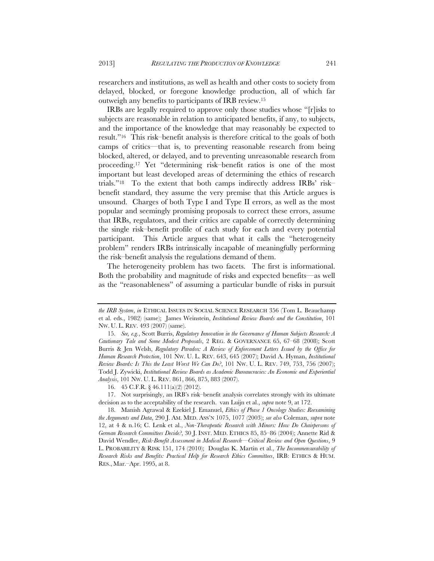researchers and institutions, as well as health and other costs to society from delayed, blocked, or foregone knowledge production, all of which far outweigh any benefits to participants of IRB review.15

IRBs are legally required to approve only those studies whose "[r]isks to subjects are reasonable in relation to anticipated benefits, if any, to subjects, and the importance of the knowledge that may reasonably be expected to result."16 This risk–benefit analysis is therefore critical to the goals of both camps of critics—that is, to preventing reasonable research from being blocked, altered, or delayed, and to preventing unreasonable research from proceeding.17 Yet "determining risk–benefit ratios is one of the most important but least developed areas of determining the ethics of research trials."18 To the extent that both camps indirectly address IRBs' risk– benefit standard, they assume the very premise that this Article argues is unsound. Charges of both Type I and Type II errors, as well as the most popular and seemingly promising proposals to correct these errors, assume that IRBs, regulators, and their critics are capable of correctly determining the single risk–benefit profile of each study for each and every potential participant. This Article argues that what it calls the "heterogeneity problem" renders IRBs intrinsically incapable of meaningfully performing the risk–benefit analysis the regulations demand of them.

The heterogeneity problem has two facets. The first is informational. Both the probability and magnitude of risks and expected benefits—as well as the "reasonableness" of assuming a particular bundle of risks in pursuit

*the IRB System*, *in* ETHICAL ISSUES IN SOCIAL SCIENCE RESEARCH 356 (Tom L. Beauchamp et al. eds., 1982) (same); James Weinstein, *Institutional Review Boards and the Constitution*, 101 NW. U. L. REV. 493 (2007) (same).

 <sup>15.</sup> *See, e.g.*, Scott Burris, *Regulatory Innovation in the Governance of Human Subjects Research: A Cautionary Tale and Some Modest Proposals*, 2 REG. & GOVERNANCE 65, 67–68 (2008); Scott Burris & Jen Welsh, *Regulatory Paradox: A Review of Enforcement Letters Issued by the Office for Human Research Protection*, 101 NW. U. L. REV. 643, 645 (2007); David A. Hyman, *Institutional Review Boards: Is This the Least Worst We Can Do?*, 101 NW. U. L. REV. 749, 753, 756 (2007); Todd J. Zywicki, *Institutional Review Boards as Academic Bureaucracies: An Economic and Experiential Analysis*, 101 NW. U. L. REV. 861, 866, 875, 883 (2007).

 <sup>16. 45</sup> C.F.R. § 46.111(a)(2) (2012).

 <sup>17.</sup> Not surprisingly, an IRB's risk–benefit analysis correlates strongly with its ultimate decision as to the acceptability of the research. van Luijn et al., *supra* note 9, at 172.

 <sup>18.</sup> Manish Agrawal & Ezekiel J. Emanuel, *Ethics of Phase 1 Oncology Studies: Reexamining the Arguments and Data*, 290 J. AM. MED. ASS'N 1075, 1077 (2003); *see also* Coleman, *supra* note 12, at 4 & n.16; C. Lenk et al., *Non-Therapeutic Research with Minors: How Do Chairpersons of German Research Committees Decide?*, 30 J. INST. MED. ETHICS 85, 85–86 (2004); Annette Rid & David Wendler, *Risk-Benefit Assessment in Medical Research—Critical Review and Open Questions*, 9 L. PROBABILITY & RISK 151, 174 (2010); Douglas K. Martin et al., *The Incommensurability of Research Risks and Benefits: Practical Help for Research Ethics Committees*, IRB: ETHICS & HUM. RES., Mar.–Apr. 1995, at 8.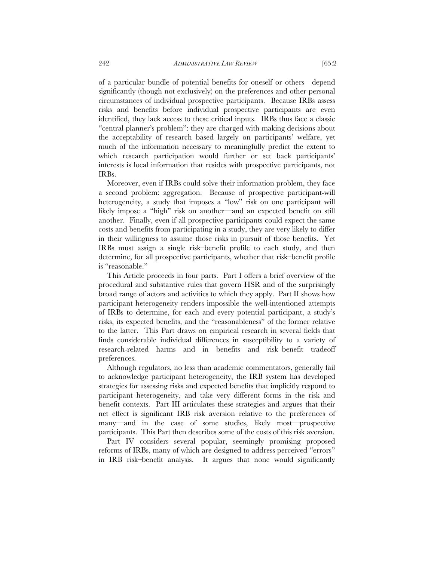of a particular bundle of potential benefits for oneself or others—depend significantly (though not exclusively) on the preferences and other personal circumstances of individual prospective participants. Because IRBs assess risks and benefits before individual prospective participants are even identified, they lack access to these critical inputs. IRBs thus face a classic "central planner's problem": they are charged with making decisions about the acceptability of research based largely on participants' welfare, yet much of the information necessary to meaningfully predict the extent to which research participation would further or set back participants' interests is local information that resides with prospective participants, not IRBs.

Moreover, even if IRBs could solve their information problem, they face a second problem: aggregation. Because of prospective participant-will heterogeneity, a study that imposes a "low" risk on one participant will likely impose a "high" risk on another—and an expected benefit on still another. Finally, even if all prospective participants could expect the same costs and benefits from participating in a study, they are very likely to differ in their willingness to assume those risks in pursuit of those benefits. Yet IRBs must assign a single risk–benefit profile to each study, and then determine, for all prospective participants, whether that risk–benefit profile is "reasonable."

This Article proceeds in four parts. Part I offers a brief overview of the procedural and substantive rules that govern HSR and of the surprisingly broad range of actors and activities to which they apply. Part II shows how participant heterogeneity renders impossible the well-intentioned attempts of IRBs to determine, for each and every potential participant, a study's risks, its expected benefits, and the "reasonableness" of the former relative to the latter. This Part draws on empirical research in several fields that finds considerable individual differences in susceptibility to a variety of research-related harms and in benefits and risk–benefit tradeoff preferences.

Although regulators, no less than academic commentators, generally fail to acknowledge participant heterogeneity, the IRB system has developed strategies for assessing risks and expected benefits that implicitly respond to participant heterogeneity, and take very different forms in the risk and benefit contexts. Part III articulates these strategies and argues that their net effect is significant IRB risk aversion relative to the preferences of many—and in the case of some studies, likely most—prospective participants. This Part then describes some of the costs of this risk aversion.

Part IV considers several popular, seemingly promising proposed reforms of IRBs, many of which are designed to address perceived "errors" in IRB risk–benefit analysis. It argues that none would significantly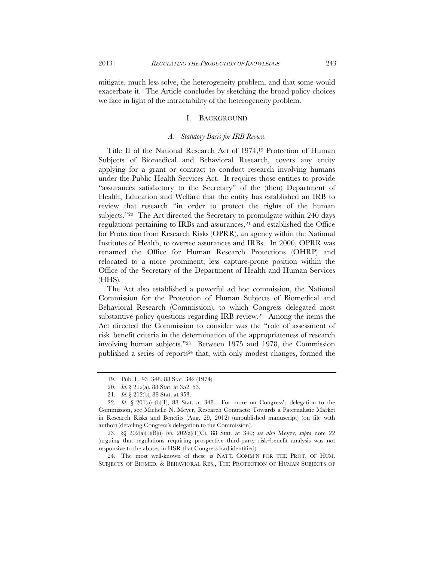mitigate, much less solve, the heterogeneity problem, and that some would exacerbate it. The Article concludes by sketching the broad policy choices we face in light of the intractability of the heterogeneity problem.

## I. BACKGROUND

## *A. Statutory Basis for IRB Review*

Title II of the National Research Act of 1974,19 Protection of Human Subjects of Biomedical and Behavioral Research, covers any entity applying for a grant or contract to conduct research involving humans under the Public Health Services Act. It requires those entities to provide "assurances satisfactory to the Secretary" of the (then) Department of Health, Education and Welfare that the entity has established an IRB to review that research "in order to protect the rights of the human subjects."20 The Act directed the Secretary to promulgate within 240 days regulations pertaining to IRBs and assurances,<sup>21</sup> and established the Office for Protection from Research Risks (OPRR), an agency within the National Institutes of Health, to oversee assurances and IRBs. In 2000, OPRR was renamed the Office for Human Research Protections (OHRP) and relocated to a more prominent, less capture-prone position within the Office of the Secretary of the Department of Health and Human Services (HHS).

The Act also established a powerful ad hoc commission, the National Commission for the Protection of Human Subjects of Biomedical and Behavioral Research (Commission), to which Congress delegated most substantive policy questions regarding IRB review.22 Among the items the Act directed the Commission to consider was the "role of assessment of risk–benefit criteria in the determination of the appropriateness of research involving human subjects."23 Between 1975 and 1978, the Commission published a series of reports24 that, with only modest changes, formed the

 24. The most well-known of these is NAT'L COMM'N FOR THE PROT. OF HUM. SUBJECTS OF BIOMED. & BEHAVIORAL RES., THE PROTECTION OF HUMAN SUBJECTS OF

 <sup>19.</sup> Pub. L. 93–348, 88 Stat. 342 (1974).

 <sup>20.</sup> *Id.* § 212(a), 88 Stat. at 352–53.

 <sup>21.</sup> *Id.* § 212(b), 88 Stat. at 353.

 <sup>22.</sup> *Id.* § 201(a)–(b)(1), 88 Stat. at 348. For more on Congress's delegation to the Commission, see Michelle N. Meyer, Research Contracts: Towards a Paternalistic Market in Research Risks and Benefits (Aug. 29, 2012) (unpublished manuscript) (on file with author) (detailing Congress's delegation to the Commission).

 <sup>23. §§ 202(</sup>a)(1)(B)(i)–(v), 202(a)(1)(C), 88 Stat. at 349; *see also* Meyer, *supra* note 22 (arguing that regulations requiring prospective third-party risk–benefit analysis was not responsive to the abuses in HSR that Congress had identified).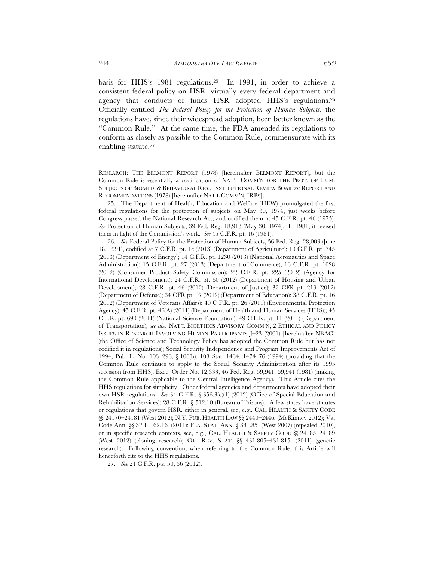basis for HHS's 1981 regulations.25 In 1991, in order to achieve a consistent federal policy on HSR, virtually every federal department and agency that conducts or funds HSR adopted HHS's regulations.<sup>26</sup> Officially entitled *The Federal Policy for the Protection of Human Subjects*, the regulations have, since their widespread adoption, been better known as the "Common Rule." At the same time, the FDA amended its regulations to conform as closely as possible to the Common Rule, commensurate with its enabling statute.27

 25. The Department of Health, Education and Welfare (HEW) promulgated the first federal regulations for the protection of subjects on May 30, 1974, just weeks before Congress passed the National Research Act, and codified them at 45 C.F.R. pt. 46 (1975). *See* Protection of Human Subjects, 39 Fed. Reg. 18,913 (May 30, 1974). In 1981, it revised them in light of the Commission's work. *See* 45 C.F.R. pt. 46 (1981).

 26. *See* Federal Policy for the Protection of Human Subjects, 56 Fed. Reg. 28,003 (June 18, 1991), codified at 7 C.F.R. pt. 1c (2013) (Department of Agriculture); 10 C.F.R. pt. 745 (2013) (Department of Energy); 14 C.F.R. pt. 1230 (2013) (National Aeronautics and Space Administration); 15 C.F.R. pt. 27 (2013) (Department of Commerce); 16 C.F.R. pt. 1028 (2012) (Consumer Product Safety Commission); 22 C.F.R. pt. 225 (2012) (Agency for International Development); 24 C.F.R. pt. 60 (2012) (Department of Housing and Urban Development); 28 C.F.R. pt. 46 (2012) (Department of Justice); 32 CFR pt. 219 (2012) (Department of Defense); 34 CFR pt. 97 (2012) (Department of Education); 38 C.F.R. pt. 16 (2012) (Department of Veterans Affairs); 40 C.F.R. pt. 26 (2011) (Environmental Protection Agency); 45 C.F.R. pt. 46(A) (2011) (Department of Health and Human Services (HHS)); 45 C.F.R. pt. 690 (2011) (National Science Foundation); 49 C.F.R. pt. 11 (2011) (Department of Transportation); *see also* NAT'L BIOETHICS ADVISORY COMM'N, 2 ETHICAL AND POLICY ISSUES IN RESEARCH INVOLVING HUMAN PARTICIPANTS J–23 (2001) [hereinafter NBAC] (the Office of Science and Technology Policy has adopted the Common Rule but has not codified it in regulations); Social Security Independence and Program Improvements Act of 1994, Pub. L. No. 103–296, § 106(b), 108 Stat. 1464, 1474–76 (1994) (providing that the Common Rule continues to apply to the Social Security Administration after its 1995 secession from HHS); Exec. Order No. 12,333, 46 Fed. Reg. 59,941, 59,941 (1981) (making the Common Rule applicable to the Central Intelligence Agency). This Article cites the HHS regulations for simplicity. Other federal agencies and departments have adopted their own HSR regulations. *See* 34 C.F.R. § 356.3(c)(1) (2012) (Office of Special Education and Rehabilitation Services); 28 C.F.R. § 512.10 (Bureau of Prisons). A few states have statutes or regulations that govern HSR, either in general, see, e.g., CAL. HEALTH & SAFETY CODE §§ 24170–24181 (West 2012); N.Y. PUB. HEALTH LAW §§ 2440–2446*.* (McKinney 2012); Va. Code Ann. §§ 32.1–162.16*.* (2011); FLA. STAT. ANN. § 381.85(West 2007) (repealed 2010), or in specific research contexts, see, e.g., CAL. HEALTH & SAFETY CODE §§ 24185–24189 (West 2012) (cloning research); OR. REV. STAT. §§ 431.805–431.815*.* (2011) (genetic research). Following convention, when referring to the Common Rule, this Article will henceforth cite to the HHS regulations.

27. *See* 21 C.F.R. pts. 50, 56 (2012).

RESEARCH: THE BELMONT REPORT (1978) [hereinafter BELMONT REPORT], but the Common Rule is essentially a codification of NAT'L COMM'N FOR THE PROT. OF HUM. SUBJECTS OF BIOMED. & BEHAVIORAL RES., INSTITUTIONAL REVIEW BOARDS: REPORT AND RECOMMENDATIONS (1978) [hereinafter NAT'L COMM'N, IRBS].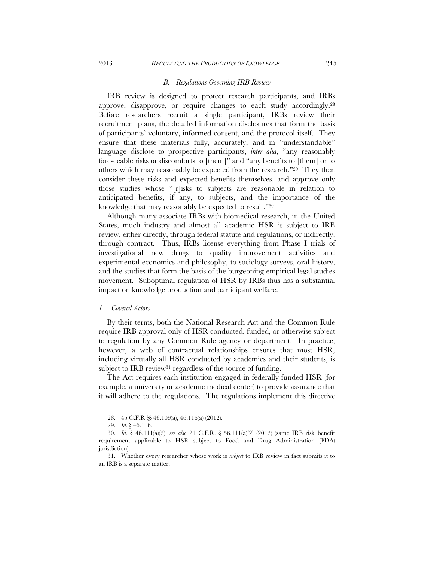#### *B. Regulations Governing IRB Review*

IRB review is designed to protect research participants, and IRBs approve, disapprove, or require changes to each study accordingly.28 Before researchers recruit a single participant, IRBs review their recruitment plans, the detailed information disclosures that form the basis of participants' voluntary, informed consent, and the protocol itself. They ensure that these materials fully, accurately, and in "understandable" language disclose to prospective participants, *inter alia*, "any reasonably foreseeable risks or discomforts to [them]" and "any benefits to [them] or to others which may reasonably be expected from the research."29 They then consider these risks and expected benefits themselves, and approve only those studies whose "[r]isks to subjects are reasonable in relation to anticipated benefits, if any, to subjects, and the importance of the knowledge that may reasonably be expected to result."30

Although many associate IRBs with biomedical research, in the United States, much industry and almost all academic HSR is subject to IRB review, either directly, through federal statute and regulations, or indirectly, through contract. Thus, IRBs license everything from Phase I trials of investigational new drugs to quality improvement activities and experimental economics and philosophy, to sociology surveys, oral history, and the studies that form the basis of the burgeoning empirical legal studies movement. Suboptimal regulation of HSR by IRBs thus has a substantial impact on knowledge production and participant welfare.

## *1. Covered Actors*

By their terms, both the National Research Act and the Common Rule require IRB approval only of HSR conducted, funded, or otherwise subject to regulation by any Common Rule agency or department. In practice, however, a web of contractual relationships ensures that most HSR, including virtually all HSR conducted by academics and their students, is subject to IRB review<sup>31</sup> regardless of the source of funding.

The Act requires each institution engaged in federally funded HSR (for example, a university or academic medical center) to provide assurance that it will adhere to the regulations. The regulations implement this directive

 <sup>28. 45</sup> C.F.R §§ 46.109(a), 46.116(a) (2012).

 <sup>29.</sup> *Id.* § 46.116.

 <sup>30.</sup> *Id.* § 46.111(a)(2); *see also* 21 C.F.R. § 56.111(a)(2) (2012) (same IRB risk–benefit requirement applicable to HSR subject to Food and Drug Administration (FDA) jurisdiction).

 <sup>31.</sup> Whether every researcher whose work is *subject* to IRB review in fact submits it to an IRB is a separate matter.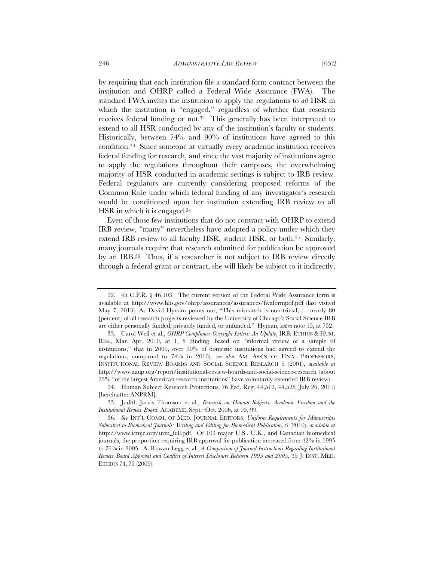by requiring that each institution file a standard form contract between the institution and OHRP called a Federal Wide Assurance (FWA). The standard FWA invites the institution to apply the regulations to *all* HSR in which the institution is "engaged," regardless of whether that research receives federal funding or not.32 This generally has been interpreted to extend to all HSR conducted by any of the institution's faculty or students. Historically, between 74% and 90% of institutions have agreed to this condition.33 Since someone at virtually every academic institution receives federal funding for research, and since the vast majority of institutions agree to apply the regulations throughout their campuses, the overwhelming majority of HSR conducted in academic settings is subject to IRB review. Federal regulators are currently considering proposed reforms of the Common Rule under which federal funding of any investigator's research would be conditioned upon her institution extending IRB review to all HSR in which it is engaged.34

Even of those few institutions that do not contract with OHRP to extend IRB review, "many" nevertheless have adopted a policy under which they extend IRB review to all faculty HSR, student HSR, or both.<sup>35</sup> Similarly, many journals require that research submitted for publication be approved by an IRB.36 Thus, if a researcher is not subject to IRB review directly through a federal grant or contract, she will likely be subject to it indirectly,

 <sup>32. 45</sup> C.F.R. § 46.103. The current version of the Federal Wide Assurance form is available at http://www.hhs.gov/ohrp/assurances/assurances/fwaformpdf.pdf (last visited May 7, 2013). As David Hyman points out, "This mismatch is non-trivial; . . . nearly 80 [percent] of all research projects reviewed by the University of Chicago's Social Science IRB are either personally funded, privately funded, or unfunded." Hyman, *supra* note 15, at 752.

 <sup>33.</sup> Carol Weil et al., *OHRP Compliance Oversight Letters: An Update*, IRB: ETHICS & HUM. RES., Mar.–Apr. 2010, at 1, 5 (finding, based on "informal review of a sample of institutions," that in 2000, over 90% of domestic institutions had agreed to extend the regulations, compared to 74% in 2010); *see also* AM. ASS'N OF UNIV. PROFESSORS, INSTITUTIONAL REVIEW BOARDS AND SOCIAL SCIENCE RESEARCH 5 (2001), *available at* http://www.aaup.org/report/institutional-review-boards-and-social-science-research (about 75% "of the largest American research institutions" have voluntarily extended IRB review).

 <sup>34.</sup> Human Subject Research Protections, 76 Fed. Reg. 44,512, 44,528 (July 26, 2011) [hereinafter ANPRM].

 <sup>35.</sup> Judith Jarvis Thomson et al., *Research on Human Subjects: Academic Freedom and the Institutional Review Board*, ACADEME, Sept.–Oct. 2006, at 95, 99.

 <sup>36.</sup> *See* INT'L COMM. OF MED. JOURNAL EDITORS, *Uniform Requirements for Manuscripts Submitted to Biomedical Journals: Writing and Editing for Biomedical Publication*, 6 (2010), *available at* http://www.icmje.org/urm\_full.pdf. Of 103 major U.S., U.K., and Canadian biomedical journals, the proportion requiring IRB approval for publication increased from 42% in 1995 to 76% in 2005. A. Rowan-Legg et al., *A Comparison of Journal Instructions Regarding Institutional Review Board Approval and Conflict-of-Interest Disclosure Between 1995 and 2005*, 35 J. INST. MED. ETHICS 74, 75 (2009).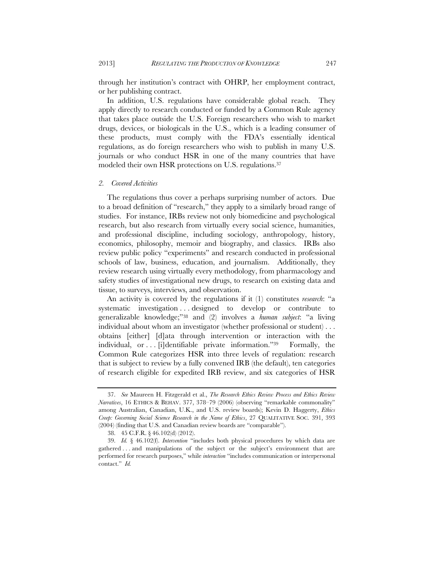through her institution's contract with OHRP, her employment contract, or her publishing contract.

In addition, U.S. regulations have considerable global reach. They apply directly to research conducted or funded by a Common Rule agency that takes place outside the U.S. Foreign researchers who wish to market drugs, devices, or biologicals in the U.S., which is a leading consumer of these products, must comply with the FDA's essentially identical regulations, as do foreign researchers who wish to publish in many U.S. journals or who conduct HSR in one of the many countries that have modeled their own HSR protections on U.S. regulations.<sup>37</sup>

## *2. Covered Activities*

The regulations thus cover a perhaps surprising number of actors. Due to a broad definition of "research," they apply to a similarly broad range of studies. For instance, IRBs review not only biomedicine and psychological research, but also research from virtually every social science, humanities, and professional discipline, including sociology, anthropology, history, economics, philosophy, memoir and biography, and classics. IRBs also review public policy "experiments" and research conducted in professional schools of law, business, education, and journalism. Additionally, they review research using virtually every methodology, from pharmacology and safety studies of investigational new drugs, to research on existing data and tissue, to surveys, interviews, and observation.

An activity is covered by the regulations if it (1) constitutes *research*: "a systematic investigation . . . designed to develop or contribute to generalizable knowledge;"38 and (2) involves a *human subject*: "a living individual about whom an investigator (whether professional or student) . . . obtains [either] [d]ata through intervention or interaction with the individual, or . . . [i]dentifiable private information."39 Formally, the Common Rule categorizes HSR into three levels of regulation: research that is subject to review by a fully convened IRB (the default), ten categories of research eligible for expedited IRB review, and six categories of HSR

 <sup>37.</sup> *See* Maureen H. Fitzgerald et al., *The Research Ethics Review Process and Ethics Review Narratives*, 16 ETHICS & BEHAV. 377, 378–79 (2006) (observing "remarkable commonality" among Australian, Canadian, U.K., and U.S. review boards); Kevin D. Haggerty, *Ethics Creep: Governing Social Science Research in the Name of Ethics*, 27 QUALITATIVE SOC. 391, 393 (2004) (finding that U.S. and Canadian review boards are "comparable").

 <sup>38. 45</sup> C.F.R. § 46.102(d) (2012).

 <sup>39.</sup> *Id.* § 46.102(f). *Intervention* "includes both physical procedures by which data are gathered . . . and manipulations of the subject or the subject's environment that are performed for research purposes," while *interaction* "includes communication or interpersonal contact." *Id.*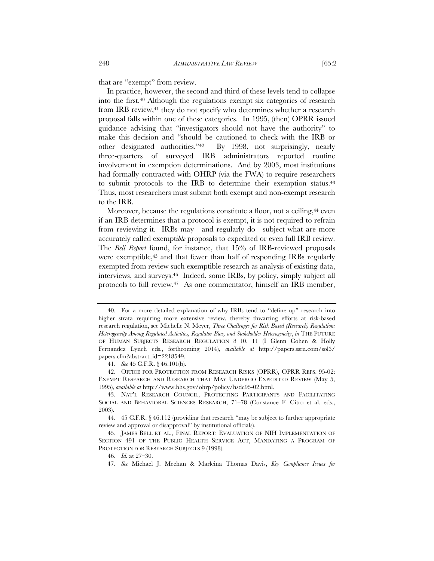that are "exempt" from review.

In practice, however, the second and third of these levels tend to collapse into the first.40 Although the regulations exempt six categories of research from IRB review,41 they do not specify who determines whether a research proposal falls within one of these categories. In 1995, (then) OPRR issued guidance advising that "investigators should not have the authority" to make this decision and "should be cautioned to check with the IRB or other designated authorities."42 By 1998, not surprisingly, nearly three-quarters of surveyed IRB administrators reported routine involvement in exemption determinations. And by 2003, most institutions had formally contracted with OHRP (via the FWA) to require researchers to submit protocols to the IRB to determine their exemption status.<sup>43</sup> Thus, most researchers must submit both exempt and non-exempt research to the IRB.

Moreover, because the regulations constitute a floor, not a ceiling,<sup>44</sup> even if an IRB determines that a protocol is exempt, it is not required to refrain from reviewing it. IRBs may—and regularly do—subject what are more accurately called exempt*ible* proposals to expedited or even full IRB review. The *Bell Report* found, for instance, that 15% of IRB-reviewed proposals were exemptible,<sup>45</sup> and that fewer than half of responding IRBs regularly exempted from review such exemptible research as analysis of existing data, interviews, and surveys.46 Indeed, some IRBs, by policy, simply subject all protocols to full review.47 As one commentator, himself an IRB member,

41. *See* 45 C.F.R. § 46.101(b).

 42. OFFICE FOR PROTECTION FROM RESEARCH RISKS (OPRR), OPRR REPS. 95-02: EXEMPT RESEARCH AND RESEARCH THAT MAY UNDERGO EXPEDITED REVIEW (May 5, 1995), *available at* http://www.hhs.gov/ohrp/policy/hsdc95-02.html.

 <sup>40.</sup> For a more detailed explanation of why IRBs tend to "define up" research into higher strata requiring more extensive review, thereby thwarting efforts at risk-based research regulation, see Michelle N. Meyer, *Three Challenges for Risk-Based (Research) Regulation: Heterogeneity Among Regulated Activities, Regulator Bias, and Stakeholder Heterogeneity*, *in* THE FUTURE OF HUMAN SUBJECTS RESEARCH REGULATION 8–10, 11 (I Glenn Cohen & Holly Fernandez Lynch eds., forthcoming 2014), *available at* http://papers.ssrn.com/sol3/ papers.cfm?abstract\_id=2218549.

 <sup>43.</sup> NAT'L RESEARCH COUNCIL, PROTECTING PARTICIPANTS AND FACILITATING SOCIAL AND BEHAVIORAL SCIENCES RESEARCH, 71–78 (Constance F. Citro et al. eds., 2003).

 <sup>44. 45</sup> C.F.R. § 46.112 (providing that research "may be subject to further appropriate review and approval or disapproval" by institutional officials).

 <sup>45.</sup> JAMES BELL ET AL., FINAL REPORT: EVALUATION OF NIH IMPLEMENTATION OF SECTION 491 OF THE PUBLIC HEALTH SERVICE ACT, MANDATING A PROGRAM OF PROTECTION FOR RESEARCH SUBJECTS 9 (1998).

 <sup>46.</sup> *Id.* at 27–30.

 <sup>47.</sup> *See* Michael J. Meehan & Marleina Thomas Davis, *Key Compliance Issues for*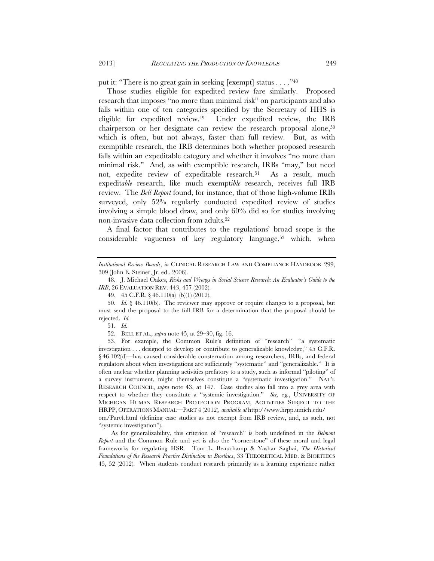put it: "There is no great gain in seeking [exempt] status . . . ."48

Those studies eligible for expedited review fare similarly. Proposed research that imposes "no more than minimal risk" on participants and also falls within one of ten categories specified by the Secretary of HHS is eligible for expedited review.49 Under expedited review, the IRB chairperson or her designate can review the research proposal alone,<sup>50</sup> which is often, but not always, faster than full review. But, as with exemptible research, the IRB determines both whether proposed research falls within an expeditable category and whether it involves "no more than minimal risk." And, as with exemptible research, IRBs "may," but need not, expedite review of expeditable research.51 As a result, much expedit*able* research, like much exempt*ible* research, receives full IRB review. The *Bell Report* found, for instance, that of those high-volume IRBs surveyed, only 52% regularly conducted expedited review of studies involving a simple blood draw, and only 60% did so for studies involving non-invasive data collection from adults.52

A final factor that contributes to the regulations' broad scope is the considerable vagueness of key regulatory language,53 which, when

 48. J. Michael Oakes, *Risks and Wrongs in Social Science Research: An Evaluator's Guide to the IRB*, 26 EVALUATION REV. 443, 457 (2002).

49. 45 C.F.R. § 46.110(a)–(b)(1) (2012).

 50. *Id.* § 46.110(b). The reviewer may approve or require changes to a proposal, but must send the proposal to the full IRB for a determination that the proposal should be rejected. *Id.*

51. *Id.*

52. BELL ET AL., *supra* note 45, at 29–30, fig. 16.

 53. For example, the Common Rule's definition of "research"—"a systematic investigation . . . designed to develop or contribute to generalizable knowledge," 45 C.F.R. § 46.102(d)—has caused considerable consternation among researchers, IRBs, and federal regulators about when investigations are sufficiently "systematic" and "generalizable." It is often unclear whether planning activities prefatory to a study, such as informal "piloting" of a survey instrument, might themselves constitute a "systematic investigation." NAT'L RESEARCH COUNCIL, *supra* note 43, at 147. Case studies also fall into a grey area with respect to whether they constitute a "systemic investigation." *See, e.g.*, UNIVERSITY OF MICHIGAN HUMAN RESEARCH PROTECTION PROGRAM, ACTIVITIES SUBJECT TO THE HRPP, OPERATIONS MANUAL—PART 4 (2012)*, available at* http://www.hrpp.umich.edu/

om/Part4.html (defining case studies as not exempt from IRB review, and, as such, not "systemic investigation").

As for generalizability, this criterion of "research" is both undefined in the *Belmont Report* and the Common Rule and yet is also the "cornerstone" of these moral and legal frameworks for regulating HSR. Tom L. Beauchamp & Yashar Saghai, *The Historical Foundations of the Research-Practice Distinction in Bioethics*, 33 THEORETICAL MED. & BIOETHICS 45, 52 (2012). When students conduct research primarily as a learning experience rather

*Institutional Review Boards*, *in* CLINICAL RESEARCH LAW AND COMPLIANCE HANDBOOK 299, 309 (John E. Steiner, Jr. ed., 2006).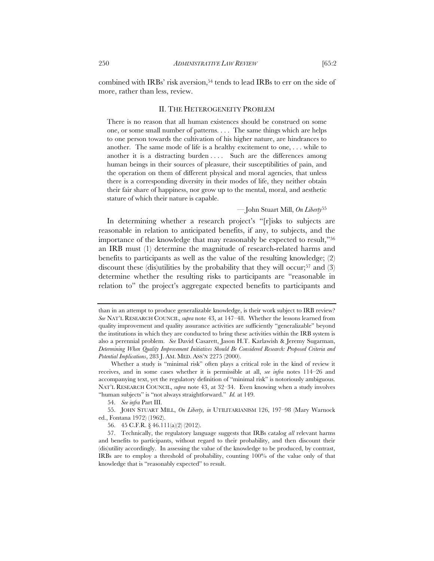combined with IRBs' risk aversion,54 tends to lead IRBs to err on the side of more, rather than less, review.

# II. THE HETEROGENEITY PROBLEM

There is no reason that all human existences should be construed on some one, or some small number of patterns. . . . The same things which are helps to one person towards the cultivation of his higher nature, are hindrances to another. The same mode of life is a healthy excitement to one, . . . while to another it is a distracting burden . . . . Such are the differences among human beings in their sources of pleasure, their susceptibilities of pain, and the operation on them of different physical and moral agencies, that unless there is a corresponding diversity in their modes of life, they neither obtain their fair share of happiness, nor grow up to the mental, moral, and aesthetic stature of which their nature is capable.

# — John Stuart Mill, *On Liberty*<sup>55</sup>

In determining whether a research project's "[r]isks to subjects are reasonable in relation to anticipated benefits, if any, to subjects, and the importance of the knowledge that may reasonably be expected to result,"56 an IRB must (1) determine the magnitude of research-related harms and benefits to participants as well as the value of the resulting knowledge; (2) discount these (dis)utilities by the probability that they will occur;<sup>57</sup> and (3) determine whether the resulting risks to participants are "reasonable in relation to" the project's aggregate expected benefits to participants and

than in an attempt to produce generalizable knowledge, is their work subject to IRB review? *See* NAT'L RESEARCH COUNCIL, *supra* note 43, at 147–48. Whether the lessons learned from quality improvement and quality assurance activities are sufficiently "generalizable" beyond the institutions in which they are conducted to bring these activities within the IRB system is also a perennial problem. *See* David Casarett, Jason H.T. Karlawish & Jeremy Sugarman, *Determining When Quality Improvement Initiatives Should Be Considered Research: Proposed Criteria and Potential Implications*, 283 J. AM. MED. ASS'N 2275 (2000).

Whether a study is "minimal risk" often plays a critical role in the kind of review it receives, and in some cases whether it is permissible at all, *see infra* notes 114–26 and accompanying text, yet the regulatory definition of "minimal risk" is notoriously ambiguous. NAT'L RESEARCH COUNCIL, *supra* note 43, at 32–34. Even knowing when a study involves "human subjects" is "not always straightforward." *Id.* at 149.

 <sup>54.</sup> *See infra* Part III.

 <sup>55.</sup> JOHN STUART MILL, *On Liberty, in* UTILITARIANISM 126, 197–98 (Mary Warnock ed., Fontana 1972) (1962).

 <sup>56. 45</sup> C.F.R. § 46.111(a)(2) (2012).

 <sup>57.</sup> Technically, the regulatory language suggests that IRBs catalog *all* relevant harms and benefits to participants, without regard to their probability, and then discount their (dis)utility accordingly. In assessing the value of the knowledge to be produced, by contrast, IRBs are to employ a threshold of probability, counting 100% of the value only of that knowledge that is "reasonably expected" to result.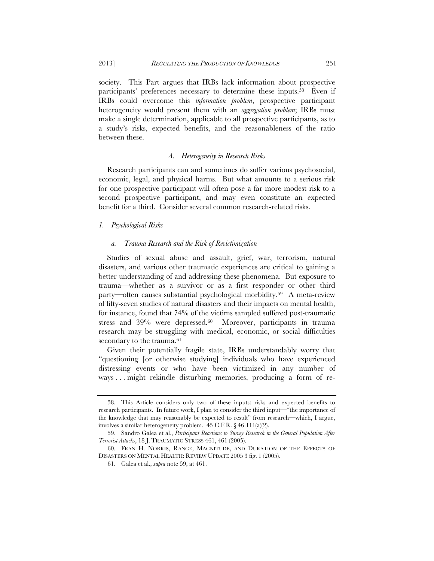society. This Part argues that IRBs lack information about prospective participants' preferences necessary to determine these inputs.58 Even if IRBs could overcome this *information problem*, prospective participant heterogeneity would present them with an *aggregation problem*; IRBs must make a single determination, applicable to all prospective participants, as to a study's risks, expected benefits, and the reasonableness of the ratio between these.

# *A. Heterogeneity in Research Risks*

Research participants can and sometimes do suffer various psychosocial, economic, legal, and physical harms. But what amounts to a serious risk for one prospective participant will often pose a far more modest risk to a second prospective participant, and may even constitute an expected benefit for a third. Consider several common research-related risks.

# *1. Psychological Risks*

#### *a. Trauma Research and the Risk of Revictimization*

Studies of sexual abuse and assault, grief, war, terrorism, natural disasters, and various other traumatic experiences are critical to gaining a better understanding of and addressing these phenomena. But exposure to trauma—whether as a survivor or as a first responder or other third party—often causes substantial psychological morbidity.59 A meta-review of fifty-seven studies of natural disasters and their impacts on mental health, for instance, found that 74% of the victims sampled suffered post-traumatic stress and 39% were depressed.60 Moreover, participants in trauma research may be struggling with medical, economic, or social difficulties secondary to the trauma.<sup>61</sup>

Given their potentially fragile state, IRBs understandably worry that "questioning [or otherwise studying] individuals who have experienced distressing events or who have been victimized in any number of ways . . . might rekindle disturbing memories, producing a form of re-

 <sup>58.</sup> This Article considers only two of these inputs: risks and expected benefits to research participants. In future work, I plan to consider the third input—"the importance of the knowledge that may reasonably be expected to result" from research—which, I argue, involves a similar heterogeneity problem. 45 C.F.R. § 46.111(a)(2).

 <sup>59.</sup> Sandro Galea et al., *Participant Reactions to Survey Research in the General Population After Terrorist Attacks*, 18 J. TRAUMATIC STRESS 461, 461 (2005).

 <sup>60.</sup> FRAN H. NORRIS, RANGE, MAGNITUDE, AND DURATION OF THE EFFECTS OF DISASTERS ON MENTAL HEALTH: REVIEW UPDATE 2005 3 fig. 1 (2005).

 <sup>61.</sup> Galea et al., *supra* note 59, at 461.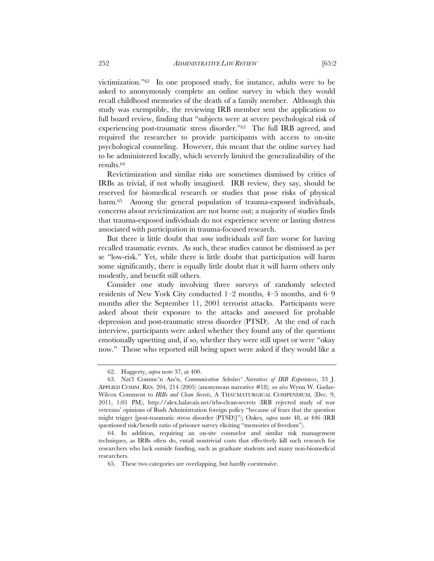victimization."62 In one proposed study, for instance, adults were to be asked to anonymously complete an online survey in which they would recall childhood memories of the death of a family member. Although this study was exemptible, the reviewing IRB member sent the application to full board review, finding that "subjects were at severe psychological risk of experiencing post-traumatic stress disorder."63 The full IRB agreed, and required the researcher to provide participants with access to on-site psychological counseling. However, this meant that the online survey had to be administered locally, which severely limited the generalizability of the results.64

Revictimization and similar risks are sometimes dismissed by critics of IRBs as trivial, if not wholly imagined. IRB review, they say, should be reserved for biomedical research or studies that pose risks of physical harm.<sup>65</sup> Among the general population of trauma-exposed individuals, concerns about revictimization are not borne out; a majority of studies finds that trauma-exposed individuals do not experience severe or lasting distress associated with participation in trauma-focused research.

But there is little doubt that *some* individuals *will* fare worse for having recalled traumatic events. As such, these studies cannot be dismissed as per se "low-risk." Yet, while there is little doubt that participation will harm some significantly, there is equally little doubt that it will harm others only modestly, and benefit still others.

Consider one study involving three surveys of randomly selected residents of New York City conducted 1–2 months, 4–5 months, and 6–9 months after the September 11, 2001 terrorist attacks. Participants were asked about their exposure to the attacks and assessed for probable depression and post-traumatic stress disorder (PTSD). At the end of each interview, participants were asked whether they found any of the questions emotionally upsetting and, if so, whether they were still upset or were "okay now." Those who reported still being upset were asked if they would like a

 <sup>62.</sup> Haggerty, *supra* note 37, at 400.

 <sup>63.</sup> Nat'l Commc'n Ass'n, *Communication Scholars' Narratives of IRB Experiences*, 33 J. APPLIED COMM. RES. 204, 214 (2005) (anonymous narrative #18)*; see also* Wynn W. Gadar-Wilcox Comment to *IRBs and Clean Secrets*, A THAUMATURGICAL COMPENDIUM, (Dec. 9, 2011, 1:01 PM), http://alex.halavais.net/irbs-clean-secrets (IRB rejected study of war veterans' opinions of Bush Administration foreign policy "because of fears that the question might trigger [post-traumatic stress disorder (PTSD)]"); Oakes, *supra* note 48, at 446 (IRB questioned risk/benefit ratio of prisoner survey eliciting "memories of freedom").

 <sup>64.</sup> In addition, requiring an on-site counselor and similar risk management techniques, as IRBs often do, entail nontrivial costs that effectively kill such research for researchers who lack outside funding, such as graduate students and many non-biomedical researchers.

 <sup>65.</sup> These two categories are overlapping, but hardly coextensive.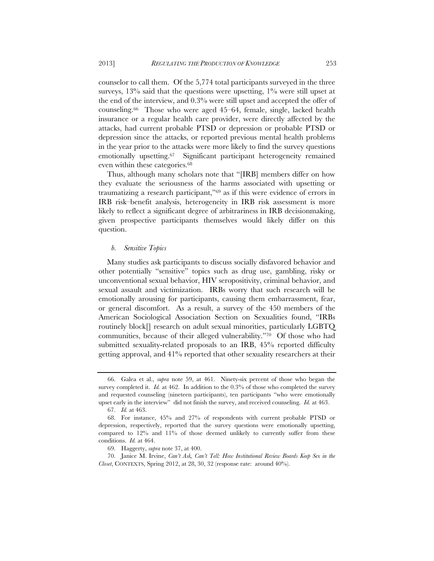counselor to call them. Of the 5,774 total participants surveyed in the three surveys,  $13\%$  said that the questions were upsetting,  $1\%$  were still upset at the end of the interview, and 0.3% were still upset and accepted the offer of counseling.66 Those who were aged 45–64, female, single, lacked health insurance or a regular health care provider, were directly affected by the attacks, had current probable PTSD or depression or probable PTSD or depression since the attacks, or reported previous mental health problems in the year prior to the attacks were more likely to find the survey questions emotionally upsetting.<sup>67</sup> Significant participant heterogeneity remained even within these categories.68

Thus, although many scholars note that "[IRB] members differ on how they evaluate the seriousness of the harms associated with upsetting or traumatizing a research participant,"69 as if this were evidence of errors in IRB risk–benefit analysis, heterogeneity in IRB risk assessment is more likely to reflect a significant degree of arbitrariness in IRB decisionmaking, given prospective participants themselves would likely differ on this question.

## *b. Sensitive Topics*

Many studies ask participants to discuss socially disfavored behavior and other potentially "sensitive" topics such as drug use, gambling, risky or unconventional sexual behavior, HIV seropositivity, criminal behavior, and sexual assault and victimization. IRBs worry that such research will be emotionally arousing for participants, causing them embarrassment, fear, or general discomfort. As a result, a survey of the 450 members of the American Sociological Association Section on Sexualities found, "IRBs routinely block[] research on adult sexual minorities, particularly LGBTQ communities, because of their alleged vulnerability."70 Of those who had submitted sexuality-related proposals to an IRB, 45% reported difficulty getting approval, and 41% reported that other sexuality researchers at their

 <sup>66.</sup> Galea et al., *supra* note 59, at 461. Ninety-six percent of those who began the survey completed it. *Id.* at 462. In addition to the 0.3% of those who completed the survey and requested counseling (nineteen participants), ten participants "who were emotionally upset early in the interview" did not finish the survey, and received counseling. *Id.* at 463.

 <sup>67.</sup> *Id.* at 463.

 <sup>68.</sup> For instance, 45% and 27% of respondents with current probable PTSD or depression, respectively, reported that the survey questions were emotionally upsetting, compared to  $12\%$  and  $11\%$  of those deemed unlikely to currently suffer from these conditions. *Id.* at 464.

 <sup>69.</sup> Haggerty, *supra* note 37, at 400.

 <sup>70.</sup> Janice M. Irvine, *Can't Ask, Can't Tell: How Institutional Review Boards Keep Sex in the Closet*, CONTEXTS, Spring 2012, at 28, 30, 32 (response rate: around 40%).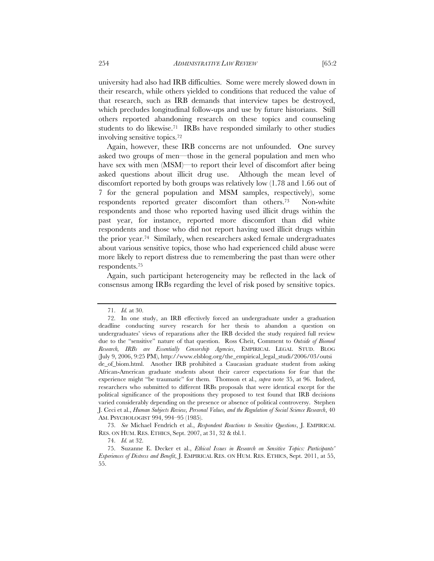university had also had IRB difficulties. Some were merely slowed down in their research, while others yielded to conditions that reduced the value of that research, such as IRB demands that interview tapes be destroyed, which precludes longitudinal follow-ups and use by future historians. Still others reported abandoning research on these topics and counseling students to do likewise.<sup>71</sup> IRBs have responded similarly to other studies involving sensitive topics.72

Again, however, these IRB concerns are not unfounded. One survey asked two groups of men—those in the general population and men who have sex with men (MSM)—to report their level of discomfort after being asked questions about illicit drug use. Although the mean level of discomfort reported by both groups was relatively low (1.78 and 1.66 out of 7 for the general population and MSM samples, respectively), some respondents reported greater discomfort than others.73 Non-white respondents and those who reported having used illicit drugs within the past year, for instance, reported more discomfort than did white respondents and those who did not report having used illicit drugs within the prior year.74 Similarly, when researchers asked female undergraduates about various sensitive topics, those who had experienced child abuse were more likely to report distress due to remembering the past than were other respondents.75

Again, such participant heterogeneity may be reflected in the lack of consensus among IRBs regarding the level of risk posed by sensitive topics.

 73. *See* Michael Fendrich et al., *Respondent Reactions to Sensitive Questions*, J. EMPIRICAL RES. ON HUM. RES. ETHICS, Sept. 2007, at 31, 32 & tbl.1.

 <sup>71.</sup> *Id.* at 30.

 <sup>72.</sup> In one study, an IRB effectively forced an undergraduate under a graduation deadline conducting survey research for her thesis to abandon a question on undergraduates' views of reparations after the IRB decided the study required full review due to the "sensitive" nature of that question. Ross Cheit, Comment to *Outside of Biomed Research, IRBs are Essentially Censorship Agencies*, EMPIRICAL LEGAL STUD. BLOG (July 9, 2006, 9:25 PM), http://www.elsblog.org/the\_empirical\_legal\_studi/2006/03/outsi de\_of\_biom.html. Another IRB prohibited a Caucasian graduate student from asking African-American graduate students about their career expectations for fear that the experience might "be traumatic" for them. Thomson et al., *supra* note 35, at 96. Indeed, researchers who submitted to different IRBs proposals that were identical except for the political significance of the propositions they proposed to test found that IRB decisions varied considerably depending on the presence or absence of political controversy. Stephen J. Ceci et al., *Human Subjects Review, Personal Values, and the Regulation of Social Science Research*, 40 AM. PSYCHOLOGIST 994, 994–95 (1985).

 <sup>74.</sup> *Id.* at 32.

 <sup>75.</sup> Suzanne E. Decker et al., *Ethical Issues in Research on Sensitive Topics: Participants' Experiences of Distress and Benefit*, J. EMPIRICAL RES. ON HUM. RES. ETHICS, Sept. 2011, at 55, 55.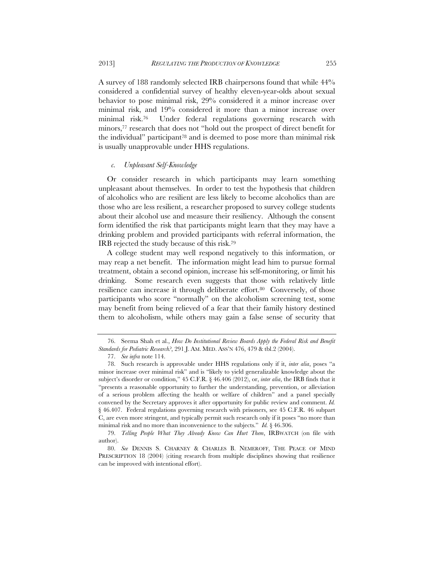A survey of 188 randomly selected IRB chairpersons found that while 44% considered a confidential survey of healthy eleven-year-olds about sexual behavior to pose minimal risk, 29% considered it a minor increase over minimal risk, and 19% considered it more than a minor increase over minimal risk.76 Under federal regulations governing research with minors,77 research that does not "hold out the prospect of direct benefit for the individual" participant78 and is deemed to pose more than minimal risk is usually unapprovable under HHS regulations.

# *c. Unpleasant Self-Knowledge*

Or consider research in which participants may learn something unpleasant about themselves. In order to test the hypothesis that children of alcoholics who are resilient are less likely to become alcoholics than are those who are less resilient, a researcher proposed to survey college students about their alcohol use and measure their resiliency. Although the consent form identified the risk that participants might learn that they may have a drinking problem and provided participants with referral information, the IRB rejected the study because of this risk.79

A college student may well respond negatively to this information, or may reap a net benefit. The information might lead him to pursue formal treatment, obtain a second opinion, increase his self-monitoring, or limit his drinking. Some research even suggests that those with relatively little resilience can increase it through deliberate effort.<sup>80</sup> Conversely, of those participants who score "normally" on the alcoholism screening test, some may benefit from being relieved of a fear that their family history destined them to alcoholism, while others may gain a false sense of security that

 <sup>76.</sup> Seema Shah et al., *How Do Institutional Review Boards Apply the Federal Risk and Benefit Standards for Pediatric Research?*, 291 J. AM. MED. ASS'N 476, 479 & tbl.2 (2004).

 <sup>77.</sup> *See infra* note 114.

 <sup>78.</sup> Such research is approvable under HHS regulations only if it, *inter alia*, poses "a minor increase over minimal risk" and is "likely to yield generalizable knowledge about the subject's disorder or condition," 45 C.F.R. § 46.406 (2012), or, *inter alia*, the IRB finds that it "presents a reasonable opportunity to further the understanding, prevention, or alleviation of a serious problem affecting the health or welfare of children" and a panel specially convened by the Secretary approves it after opportunity for public review and comment. *Id.* § 46.407. Federal regulations governing research with prisoners, see 45 C.F.R. 46 subpart C, are even more stringent, and typically permit such research only if it poses "no more than minimal risk and no more than inconvenience to the subjects." *Id.* § 46.306.

 <sup>79.</sup> *Telling People What They Already Know Can Hurt Them*, IRBWATCH (on file with author).

 <sup>80.</sup> *See* DENNIS S. CHARNEY & CHARLES B. NEMEROFF, THE PEACE OF MIND PRESCRIPTION 18 (2004) (citing research from multiple disciplines showing that resilience can be improved with intentional effort).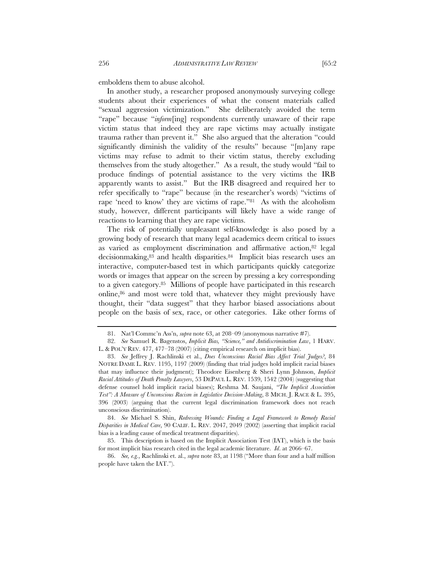emboldens them to abuse alcohol.

In another study, a researcher proposed anonymously surveying college students about their experiences of what the consent materials called "sexual aggression victimization." She deliberately avoided the term "rape" because "*inform*[ing] respondents currently unaware of their rape victim status that indeed they are rape victims may actually instigate trauma rather than prevent it." She also argued that the alteration "could significantly diminish the validity of the results" because "[m]any rape victims may refuse to admit to their victim status, thereby excluding themselves from the study altogether." As a result, the study would "fail to produce findings of potential assistance to the very victims the IRB apparently wants to assist." But the IRB disagreed and required her to refer specifically to "rape" because (in the researcher's words) "victims of rape 'need to know' they are victims of rape."81 As with the alcoholism study, however, different participants will likely have a wide range of reactions to learning that they are rape victims.

The risk of potentially unpleasant self-knowledge is also posed by a growing body of research that many legal academics deem critical to issues as varied as employment discrimination and affirmative action,82 legal decisionmaking,83 and health disparities.84 Implicit bias research uses an interactive, computer-based test in which participants quickly categorize words or images that appear on the screen by pressing a key corresponding to a given category.85 Millions of people have participated in this research online, $86$  and most were told that, whatever they might previously have thought, their "data suggest" that they harbor biased associations about people on the basis of sex, race, or other categories. Like other forms of

 <sup>81.</sup> Nat'l Commc'n Ass'n, *supra* note 63, at 208–09 (anonymous narrative #7).

 <sup>82.</sup> *See* Samuel R. Bagenstos, *Implicit Bias, "Science," and Antidiscrimination Law*, 1 HARV. L. & POL'Y REV. 477, 477–78 (2007) (citing empirical research on implicit bias).

 <sup>83.</sup> *See* Jeffrey J. Rachlinski et al., *Does Unconscious Racial Bias Affect Trial Judges?*, 84 NOTRE DAME L. REV. 1195, 1197 (2009) (finding that trial judges hold implicit racial biases that may influence their judgment); Theodore Eisenberg & Sheri Lynn Johnson, *Implicit Racial Attitudes of Death Penalty Lawyers*, 53 DEPAUL L. REV. 1539, 1542 (2004) (suggesting that defense counsel hold implicit racial biases); Reshma M. Saujani, *"The Implicit Association Test": A Measure of Unconscious Racism in Legislative Decision-Making*, 8 MICH. J. RACE & L. 395, 396 (2003) (arguing that the current legal discrimination framework does not reach unconscious discrimination).

 <sup>84.</sup> *See* Michael S. Shin, *Redressing Wounds: Finding a Legal Framework to Remedy Racial Disparities in Medical Care*, 90 CALIF. L. REV. 2047, 2049 (2002) (asserting that implicit racial bias is a leading cause of medical treatment disparities).

 <sup>85.</sup> This description is based on the Implicit Association Test (IAT), which is the basis for most implicit bias research cited in the legal academic literature. *Id*. at 2066–67.

 <sup>86.</sup> *See, e.g.*, Rachlinski et. al., *supra* note 83, at 1198 ("More than four and a half million people have taken the IAT.").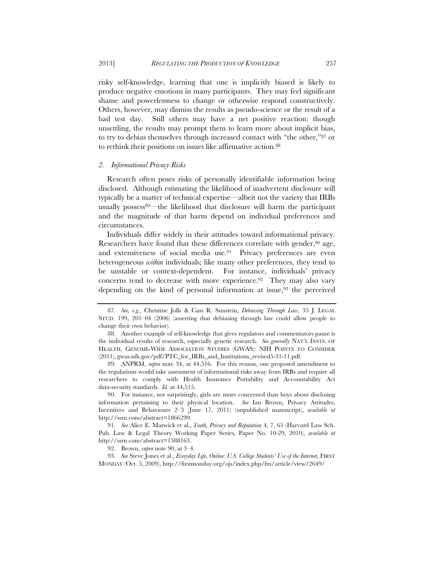risky self-knowledge, learning that one is implicitly biased is likely to produce negative emotions in many participants. They may feel significant shame and powerlessness to change or otherwise respond constructively. Others, however, may dismiss the results as pseudo-science or the result of a bad test day. Still others may have a net positive reaction: though unsettling, the results may prompt them to learn more about implicit bias, to try to debias themselves through increased contact with "the other,"87 or to rethink their positions on issues like affirmative action.88

#### *2. Informational Privacy Risks*

Research often poses risks of personally identifiable information being disclosed. Although estimating the likelihood of inadvertent disclosure will typically be a matter of technical expertise—albeit not the variety that IRBs usually possess<sup>89—the likelihood that disclosure will harm the participant</sup> and the magnitude of that harm depend on individual preferences and circumstances.

Individuals differ widely in their attitudes toward informational privacy. Researchers have found that these differences correlate with gender,<sup>90</sup> age, and extensiveness of social media use.<sup>91</sup> Privacy preferences are even heterogeneous *within* individuals; like many other preferences, they tend to be unstable or context-dependent. For instance, individuals' privacy concerns tend to decrease with more experience.<sup>92</sup> They may also vary depending on the kind of personal information at issue,  $93$  the perceived

 89. ANPRM, *supra* note 34, at 44,516. For this reason, one proposed amendment to the regulations would take assessment of informational risks away from IRBs and require all researchers to comply with Health Insurance Portability and Accountability Act data-security standards. *Id.* at 44,515.

 90. For instance, not surprisingly, girls are more concerned than boys about disclosing information pertaining to their physical location. *See* Ian Brown, Privacy Attitudes, Incentives and Behaviours 2–3 (June 17, 2011) (unpublished manuscript), *available at* http://ssrn.com/abstract=1866299.

 91. *See* Alice E. Marwick et al., *Youth, Privacy and Reputation* 4, 7, 65 (Harvard Law Sch. Pub. Law & Legal Theory Working Paper Series, Paper No. 10-29, 2010), *available at*  http://ssrn.com/abstract=1588163.

92. Brown, *supra* note 90, at 3–4.

 93. *See* Steve Jones et al., *Everyday Life, Online: U.S. College Students' Use of the Internet*, FIRST MONDAY (Oct. 5, 2009), http://firstmonday.org/ojs/index.php/fm/article/view/2649/

 <sup>87.</sup> *See, e.g.*, Christine Jolls & Cass R. Sunstein, *Debiasing Through Law*, 35 J. LEGAL STUD. 199, 201–04 (2006) (asserting that debiasing through law could allow people to change their own behavior).

 <sup>88.</sup> Another example of self-knowledge that gives regulators and commentators pause is the individual results of research, especially genetic research. *See generally* NAT'L INSTS. OF HEALTH, GENOME-WIDE ASSOCIATION STUDIES (GWAS): NIH POINTS TO CONSIDER (2011), gwas.nih.gov/pdf/PTC\_for\_IRBs\_and\_Institutions\_revised5-31-11.pdf.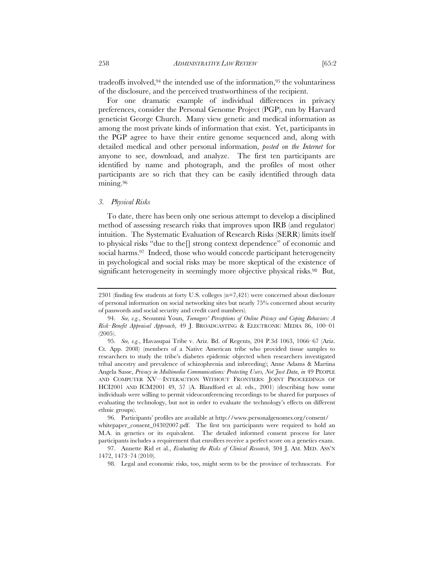tradeoffs involved,94 the intended use of the information,95 the voluntariness of the disclosure, and the perceived trustworthiness of the recipient.

For one dramatic example of individual differences in privacy preferences, consider the Personal Genome Project (PGP), run by Harvard geneticist George Church. Many view genetic and medical information as among the most private kinds of information that exist. Yet, participants in the PGP agree to have their entire genome sequenced and, along with detailed medical and other personal information, *posted on the Internet* for anyone to see, download, and analyze. The first ten participants are identified by name and photograph, and the profiles of most other participants are so rich that they can be easily identified through data mining.96

# *3. Physical Risks*

To date, there has been only one serious attempt to develop a disciplined method of assessing research risks that improves upon IRB (and regulator) intuition. The Systematic Evaluation of Research Risks (SERR) limits itself to physical risks "due to the[] strong context dependence" of economic and social harms.<sup>97</sup> Indeed, those who would concede participant heterogeneity in psychological and social risks may be more skeptical of the existence of significant heterogeneity in seemingly more objective physical risks.<sup>98</sup> But,

<sup>2301 (</sup>finding few students at forty U.S. colleges (n=7,421) were concerned about disclosure of personal information on social networking sites but nearly 75% concerned about security of passwords and social security and credit card numbers).

 <sup>94.</sup> *See, e.g.*, Seounmi Youn, *Teenagers' Perceptions of Online Privacy and Coping Behaviors: A Risk–Benefit Appraisal Approach*, 49 J. BROADCASTING & ELECTRONIC MEDIA 86, 100–01 (2005).

 <sup>95.</sup> *See, e.g.*, Havasupai Tribe v. Ariz. Bd. of Regents, 204 P.3d 1063, 1066–67 (Ariz. Ct. App. 2008) (members of a Native American tribe who provided tissue samples to researchers to study the tribe's diabetes epidemic objected when researchers investigated tribal ancestry and prevalence of schizophrenia and inbreeding); Anne Adams & Martina Angela Sasse, *Privacy in Multimedia Communications: Protecting Users, Not Just Data*, *in* 49 PEOPLE AND COMPUTER XV—INTERACTION WITHOUT FRONTIERS: JOINT PROCEEDINGS OF HCI2001 AND ICM2001 49, 57 (A. Blandford et al. eds., 2001) (describing how some individuals were willing to permit videoconferencing recordings to be shared for purposes of evaluating the technology, but not in order to evaluate the technology's effects on different ethnic groups).

 <sup>96.</sup> Participants' profiles are available at http://www.personalgenomes.org/consent/ whitepaper\_consent\_04302007.pdf. The first ten participants were required to hold an M.A. in genetics or its equivalent. The detailed informed consent process for later participants includes a requirement that enrollees receive a perfect score on a genetics exam.

 <sup>97.</sup> Annette Rid et al., *Evaluating the Risks of Clinical Research*, 304 J. AM. MED. ASS'N 1472, 1473–74 (2010).

 <sup>98.</sup> Legal and economic risks, too, might seem to be the province of technocrats. For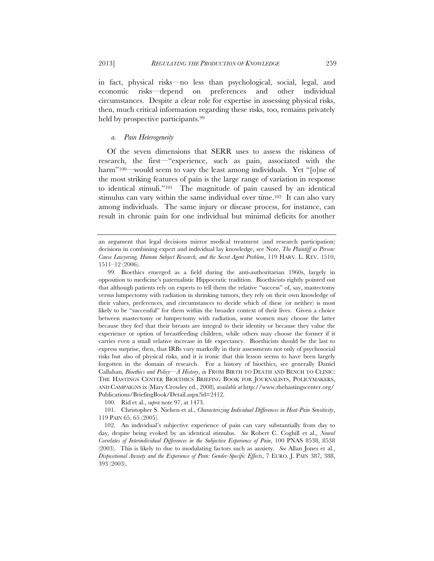in fact, physical risks—no less than psychological, social, legal, and economic risks—depend on preferences and other individual circumstances. Despite a clear role for expertise in assessing physical risks, then, much critical information regarding these risks, too, remains privately held by prospective participants.<sup>99</sup>

# *a. Pain Heterogeneity*

Of the seven dimensions that SERR uses to assess the riskiness of research, the first—"experience, such as pain, associated with the harm"<sup>100—</sup>would seem to vary the least among individuals. Yet "[o]ne of the most striking features of pain is the large range of variation in response to identical stimuli."101 The magnitude of pain caused by an identical stimulus can vary within the same individual over time.<sup>102</sup> It can also vary among individuals. The same injury or disease process, for instance, can result in chronic pain for one individual but minimal deficits for another

100. Rid et al., *supra* note 97, at 1473.

 101. Christopher S. Nielsen et al., *Characterizing Individual Differences in Heat-Pain Sensitivity*, 119 PAIN 65, 65 (2005).

 102. An individual's subjective experience of pain can vary substantially from day to day, despite being evoked by an identical stimulus. *See* Robert C. Coghill et al., *Neural Correlates of Interindividual Differences in the Subjective Experience of Pain*, 100 PNAS 8538, 8538 (2003). This is likely to due to modulating factors such as anxiety. *See* Allan Jones et al., *Dispositional Anxiety and the Experience of Pain: Gender-Specific Effects*, 7 EURO. J. PAIN 387, 388, 393 (2003).

an argument that legal decisions mirror medical treatment (and research participation) decisions in combining expert and individual lay knowledge, see Note, *The Plaintiff as Person: Cause Lawyering, Human Subject Research, and the Secret Agent Problem*, 119 HARV. L. REV. 1510, 1511–12 (2006).

 <sup>99.</sup> Bioethics emerged as a field during the anti-authoritarian 1960s, largely in opposition to medicine's paternalistic Hippocratic tradition. Bioethicists rightly pointed out that although patients rely on experts to tell them the relative "success" of, say, mastectomy versus lumpectomy with radiation in shrinking tumors, they rely on their own knowledge of their values, preferences, and circumstances to decide which of these (or neither) is most likely to be "successful" for them within the broader context of their lives. Given a choice between mastectomy or lumpectomy with radiation, some women may choose the latter because they feel that their breasts are integral to their identity or because they value the experience or option of breastfeeding children, while others may choose the former if it carries even a small relative increase in life expectancy. Bioethicists should be the last to express surprise, then, that IRBs vary markedly in their assessments not only of psychosocial risks but also of physical risks, and it is ironic that this lesson seems to have been largely forgotten in the domain of research. For a history of bioethics, see generally Daniel Callahan, *Bioethics and Policy—A History*, *in* FROM BIRTH TO DEATH AND BENCH TO CLINIC: THE HASTINGS CENTER BIOETHICS BRIEFING BOOK FOR JOURNALISTS, POLICYMAKERS, AND CAMPAIGNS ix (Mary Crowley ed., 2008)*, available at* http://www.thehastingscenter.org/ Publications/BriefingBook/Detail.aspx?id=2412.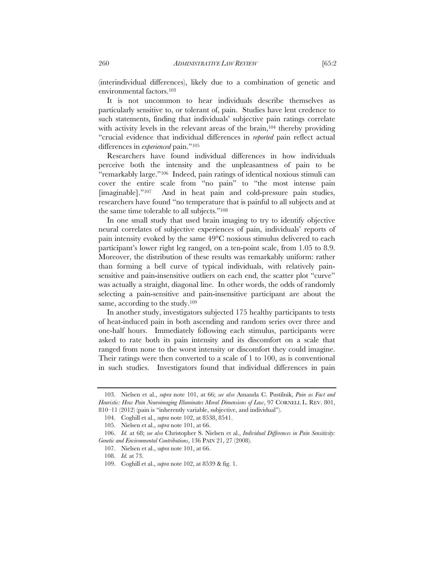(interindividual differences), likely due to a combination of genetic and environmental factors.103

It is not uncommon to hear individuals describe themselves as particularly sensitive to, or tolerant of, pain. Studies have lent credence to such statements, finding that individuals' subjective pain ratings correlate with activity levels in the relevant areas of the brain,<sup>104</sup> thereby providing "crucial evidence that individual differences in *reported* pain reflect actual differences in *experienced* pain."105

Researchers have found individual differences in how individuals perceive both the intensity and the unpleasantness of pain to be "remarkably large."106 Indeed, pain ratings of identical noxious stimuli can cover the entire scale from "no pain" to "the most intense pain [imaginable]."107 And in heat pain and cold-pressure pain studies, researchers have found "no temperature that is painful to all subjects and at the same time tolerable to all subjects."108

In one small study that used brain imaging to try to identify objective neural correlates of subjective experiences of pain, individuals' reports of pain intensity evoked by the same 49°C noxious stimulus delivered to each participant's lower right leg ranged, on a ten-point scale, from 1.05 to 8.9. Moreover, the distribution of these results was remarkably uniform: rather than forming a bell curve of typical individuals, with relatively painsensitive and pain-insensitive outliers on each end, the scatter plot "curve" was actually a straight, diagonal line. In other words, the odds of randomly selecting a pain-sensitive and pain-insensitive participant are about the same, according to the study.<sup>109</sup>

In another study, investigators subjected 175 healthy participants to tests of heat-induced pain in both ascending and random series over three and one-half hours. Immediately following each stimulus, participants were asked to rate both its pain intensity and its discomfort on a scale that ranged from none to the worst intensity or discomfort they could imagine. Their ratings were then converted to a scale of 1 to 100, as is conventional in such studies. Investigators found that individual differences in pain

 <sup>103.</sup> Nielsen et al., *supra* note 101, at 66; *see also* Amanda C. Pustilnik, *Pain as Fact and Heuristic: How Pain Neuroimaging Illuminates Moral Dimensions of Law*, 97 CORNELL L. REV. 801, 810–11 (2012) (pain is "inherently variable, subjective, and individual").

 <sup>104.</sup> Coghill et al., *supra* note 102, at 8538, 8541.

 <sup>105.</sup> Nielsen et al., *supra* note 101, at 66.

 <sup>106.</sup> *Id.* at 68; *see also* Christopher S. Nielsen et al., *Individual Differences in Pain Sensitivity: Genetic and Environmental Contributions*, 136 PAIN 21, 27 (2008).

 <sup>107.</sup> Nielsen et al., *supra* note 101, at 66.

 <sup>108.</sup> *Id.* at 73.

 <sup>109.</sup> Coghill et al., *supra* note 102, at 8539 & fig. 1.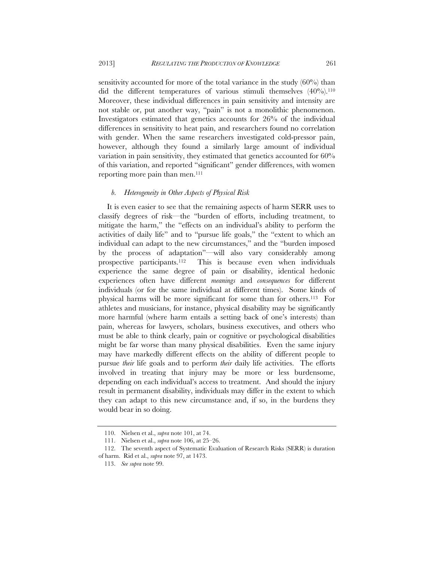sensitivity accounted for more of the total variance in the study (60%) than did the different temperatures of various stimuli themselves  $(40\%)$ .<sup>110</sup> Moreover, these individual differences in pain sensitivity and intensity are not stable or, put another way, "pain" is not a monolithic phenomenon. Investigators estimated that genetics accounts for 26% of the individual differences in sensitivity to heat pain, and researchers found no correlation with gender. When the same researchers investigated cold-pressor pain, however, although they found a similarly large amount of individual variation in pain sensitivity, they estimated that genetics accounted for 60% of this variation, and reported "significant" gender differences, with women reporting more pain than men.<sup>111</sup>

## *b. Heterogeneity in Other Aspects of Physical Risk*

It is even easier to see that the remaining aspects of harm SERR uses to classify degrees of risk—the "burden of efforts, including treatment, to mitigate the harm," the "effects on an individual's ability to perform the activities of daily life" and to "pursue life goals," the "extent to which an individual can adapt to the new circumstances," and the "burden imposed by the process of adaptation"—will also vary considerably among prospective participants.112 This is because even when individuals experience the same degree of pain or disability, identical hedonic experiences often have different *meanings* and *consequences* for different individuals (or for the same individual at different times). Some kinds of physical harms will be more significant for some than for others.113 For athletes and musicians, for instance, physical disability may be significantly more harmful (where harm entails a setting back of one's interests) than pain, whereas for lawyers, scholars, business executives, and others who must be able to think clearly, pain or cognitive or psychological disabilities might be far worse than many physical disabilities. Even the same injury may have markedly different effects on the ability of different people to pursue *their* life goals and to perform *their* daily life activities. The efforts involved in treating that injury may be more or less burdensome, depending on each individual's access to treatment. And should the injury result in permanent disability, individuals may differ in the extent to which they can adapt to this new circumstance and, if so, in the burdens they would bear in so doing.

 <sup>110.</sup> Nielsen et al., *supra* note 101, at 74.

 <sup>111.</sup> Nielsen et al., *supra* note 106, at 25–26.

 <sup>112.</sup> The seventh aspect of Systematic Evaluation of Research Risks (SERR) is duration of harm. Rid et al., *supra* note 97, at 1473.

 <sup>113.</sup> *See supra* note 99.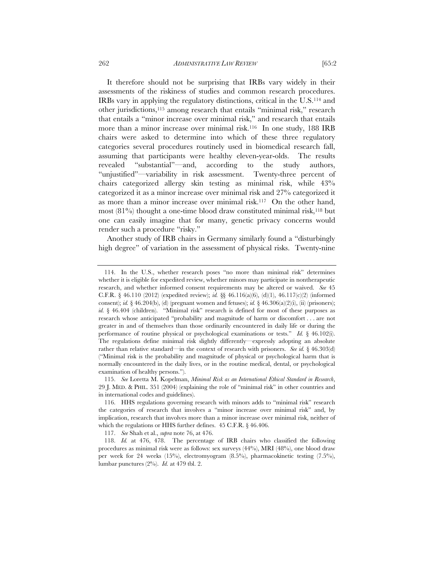It therefore should not be surprising that IRBs vary widely in their assessments of the riskiness of studies and common research procedures. IRBs vary in applying the regulatory distinctions, critical in the U.S.114 and other jurisdictions,115 among research that entails "minimal risk," research that entails a "minor increase over minimal risk," and research that entails more than a minor increase over minimal risk.<sup>116</sup> In one study, 188 IRB chairs were asked to determine into which of these three regulatory categories several procedures routinely used in biomedical research fall, assuming that participants were healthy eleven-year-olds. The results revealed "substantial"—and, according to the study authors, "unjustified"—variability in risk assessment. Twenty-three percent of chairs categorized allergy skin testing as minimal risk, while 43% categorized it as a minor increase over minimal risk and 27% categorized it as more than a minor increase over minimal risk.117 On the other hand, most  $(81\%)$  thought a one-time blood draw constituted minimal risk,  $^{118}$  but one can easily imagine that for many, genetic privacy concerns would render such a procedure "risky."

Another study of IRB chairs in Germany similarly found a "disturbingly high degree" of variation in the assessment of physical risks. Twenty-nine

117. *See* Shah et al., *supra* note 76, at 476.

 <sup>114.</sup> In the U.S., whether research poses "no more than minimal risk" determines whether it is eligible for expedited review, whether minors may participate in nontherapeutic research, and whether informed consent requirements may be altered or waived. *See* 45 C.F.R. § 46.110 (2012) (expedited review); *id.* §§ 46.116(a)(6), (d)(1), 46.117(c)(2) (informed consent); *id.*  $\S$  46.204(b), (d) (pregnant women and fetuses); *id.*  $\S$  46.306(a)(2)(i), (ii) (prisoners); *id.* § 46.404 (children). "Minimal risk" research is defined for most of these purposes as research whose anticipated "probability and magnitude of harm or discomfort . . . are not greater in and of themselves than those ordinarily encountered in daily life or during the performance of routine physical or psychological examinations or tests." *Id.* § 46.102(i). The regulations define minimal risk slightly differently—expressly adopting an absolute rather than relative standard—in the context of research with prisoners. *See id.* § 46.303(d) ("Minimal risk is the probability and magnitude of physical or psychological harm that is normally encountered in the daily lives, or in the routine medical, dental, or psychological examination of healthy persons.").

 <sup>115.</sup> *See* Loretta M. Kopelman, *Minimal Risk as an International Ethical Standard in Research*, 29 J. MED. & PHIL. 351 (2004) (explaining the role of "minimal risk" in other countries and in international codes and guidelines).

 <sup>116.</sup> HHS regulations governing research with minors adds to "minimal risk" research the categories of research that involves a "minor increase over minimal risk" and, by implication, research that involves more than a minor increase over minimal risk, neither of which the regulations or HHS further defines. 45 C.F.R. § 46.406.

 <sup>118.</sup> *Id.* at 476, 478. The percentage of IRB chairs who classified the following procedures as minimal risk were as follows: sex surveys (44%), MRI (48%), one blood draw per week for 24 weeks (15%), electromyogram (8.5%), pharmacokinetic testing (7.5%), lumbar punctures (2%). *Id.* at 479 tbl. 2.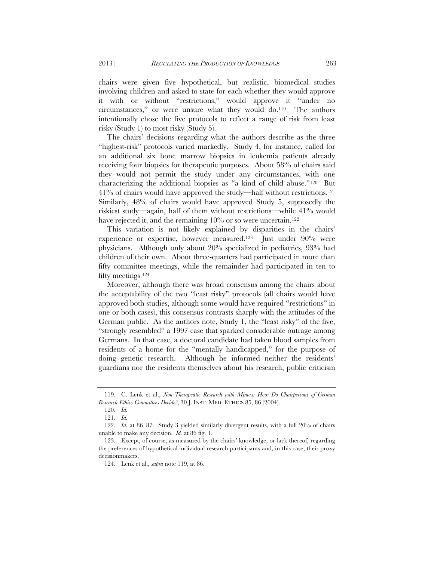chairs were given five hypothetical, but realistic, biomedical studies involving children and asked to state for each whether they would approve it with or without "restrictions," would approve it "under no circumstances," or were unsure what they would do.119 The authors intentionally chose the five protocols to reflect a range of risk from least risky (Study 1) to most risky (Study 5).

The chairs' decisions regarding what the authors describe as the three "highest-risk" protocols varied markedly. Study 4, for instance, called for an additional six bone marrow biopsies in leukemia patients already receiving four biopsies for therapeutic purposes. About 58% of chairs said they would not permit the study under any circumstances, with one characterizing the additional biopsies as "a kind of child abuse."120 But 41% of chairs would have approved the study—half without restrictions.121 Similarly, 48% of chairs would have approved Study 5, supposedly the riskiest study—again, half of them without restrictions—while 41% would have rejected it, and the remaining  $10\%$  or so were uncertain.<sup>122</sup>

This variation is not likely explained by disparities in the chairs' experience or expertise, however measured.<sup>123</sup> Just under 90% were physicians. Although only about 20% specialized in pediatrics, 93% had children of their own. About three-quarters had participated in more than fifty committee meetings, while the remainder had participated in ten to fifty meetings.124

Moreover, although there was broad consensus among the chairs about the acceptability of the two "least risky" protocols (all chairs would have approved both studies, although some would have required "restrictions" in one or both cases), this consensus contrasts sharply with the attitudes of the German public. As the authors note, Study 1, the "least risky" of the five, "strongly resembled" a 1997 case that sparked considerable outrage among Germans. In that case, a doctoral candidate had taken blood samples from residents of a home for the "mentally handicapped," for the purpose of doing genetic research. Although he informed neither the residents' guardians nor the residents themselves about his research, public criticism

 <sup>119.</sup> C. Lenk et al., *Non-Therapeutic Research with Minors: How Do Chairpersons of German Research Ethics Committees Decide?*, 30 J. INST. MED. ETHICS 85, 86 (2004).

 <sup>120.</sup> *Id.*

<sup>121.</sup> *Id.*

 <sup>122.</sup> *Id.* at 86–87. Study 3 yielded similarly divergent results, with a full 20% of chairs unable to make any decision. *Id.* at 86 fig. 1.

 <sup>123.</sup> Except, of course, as measured by the chairs' knowledge, or lack thereof, regarding the preferences of hypothetical individual research participants and, in this case, their proxy decisionmakers.

 <sup>124.</sup> Lenk et al., *supra* note 119, at 86.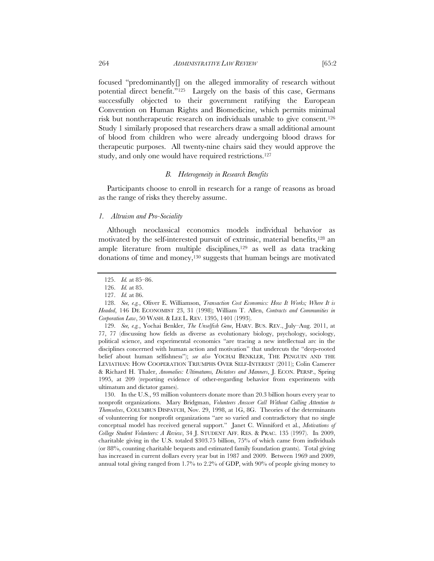focused "predominantly[] on the alleged immorality of research without potential direct benefit."125 Largely on the basis of this case, Germans successfully objected to their government ratifying the European Convention on Human Rights and Biomedicine, which permits minimal risk but nontherapeutic research on individuals unable to give consent.126 Study 1 similarly proposed that researchers draw a small additional amount of blood from children who were already undergoing blood draws for therapeutic purposes. All twenty-nine chairs said they would approve the study, and only one would have required restrictions.127

# *B. Heterogeneity in Research Benefits*

Participants choose to enroll in research for a range of reasons as broad as the range of risks they thereby assume.

## *1. Altruism and Pro-Sociality*

Although neoclassical economics models individual behavior as motivated by the self-interested pursuit of extrinsic, material benefits,<sup>128</sup> an ample literature from multiple disciplines, $129$  as well as data tracking donations of time and money,130 suggests that human beings are motivated

 129. *See, e.g.*, Yochai Benkler, *The Unselfish Gene*, HARV. BUS. REV., July–Aug. 2011, at 77, 77 (discussing how fields as diverse as evolutionary biology, psychology, sociology, political science, and experimental economics "are tracing a new intellectual arc in the disciplines concerned with human action and motivation" that undercuts the "deep-rooted belief about human selfishness"); *see also* YOCHAI BENKLER, THE PENGUIN AND THE LEVIATHAN: HOW COOPERATION TRIUMPHS OVER SELF-INTEREST (2011); Colin Camerer & Richard H. Thaler, *Anomalies: Ultimatums, Dictators and Manners*, J. ECON. PERSP., Spring 1995, at 209 (reporting evidence of other-regarding behavior from experiments with ultimatum and dictator games).

 130. In the U.S., 93 million volunteers donate more than 20.3 billion hours every year to nonprofit organizations. Mary Bridgman, *Volunteers Answer Call Without Calling Attention to Themselves*, COLUMBUS DISPATCH, Nov. 29, 1998, at 1G, 8G. Theories of the determinants of volunteering for nonprofit organizations "are so varied and contradictory that no single conceptual model has received general support." Janet C. Winniford et al., *Motivations of College Student Volunteers: A Review*, 34 J. STUDENT AFF. RES. & PRAC. 135 (1997). In 2009, charitable giving in the U.S. totaled \$303.75 billion, 75% of which came from individuals (or 88%, counting charitable bequests and estimated family foundation grants). Total giving has increased in current dollars every year but in 1987 and 2009. Between 1969 and 2009, annual total giving ranged from 1.7% to 2.2% of GDP, with 90% of people giving money to

 <sup>125.</sup> *Id.* at 85–86.

 <sup>126.</sup> *Id.* at 85.

 <sup>127.</sup> *Id.* at 86.

 <sup>128.</sup> *See, e.g.*, Oliver E. Williamson, *Transaction Cost Economics: How It Works; Where It is Headed*, 146 DE ECONOMIST 23, 31 (1998); William T. Allen, *Contracts and Communities in Corporation Law*, 50 WASH. & LEE L. REV. 1395, 1401 (1993).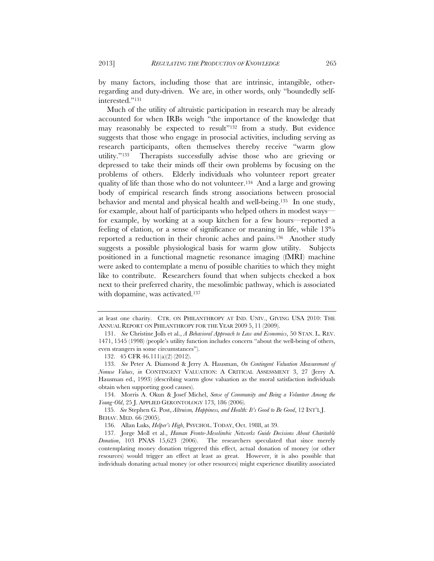by many factors, including those that are intrinsic, intangible, otherregarding and duty-driven. We are, in other words, only "boundedly self-

Much of the utility of altruistic participation in research may be already accounted for when IRBs weigh "the importance of the knowledge that may reasonably be expected to result"132 from a study. But evidence suggests that those who engage in prosocial activities, including serving as research participants, often themselves thereby receive "warm glow utility."133 Therapists successfully advise those who are grieving or depressed to take their minds off their own problems by focusing on the problems of others. Elderly individuals who volunteer report greater quality of life than those who do not volunteer.134 And a large and growing body of empirical research finds strong associations between prosocial behavior and mental and physical health and well-being.135 In one study, for example, about half of participants who helped others in modest ways for example, by working at a soup kitchen for a few hours—reported a feeling of elation, or a sense of significance or meaning in life, while 13% reported a reduction in their chronic aches and pains.136 Another study suggests a possible physiological basis for warm glow utility. Subjects positioned in a functional magnetic resonance imaging (fMRI) machine were asked to contemplate a menu of possible charities to which they might like to contribute. Researchers found that when subjects checked a box next to their preferred charity, the mesolimbic pathway, which is associated with dopamine, was activated.<sup>137</sup>

 134. Morris A. Okun & Josef Michel, *Sense of Community and Being a Volunteer Among the Young-Old*, 25 J. APPLIED GERONTOLOGY 173, 186 (2006).

135. *See* Stephen G. Post, *Altruism, Happiness, and Health: It's Good to Be Good*, 12 INT'L J. BEHAV. MED. 66 (2005).

interested."131

at least one charity. CTR. ON PHILANTHROPY AT IND. UNIV., GIVING USA 2010: THE ANNUAL REPORT ON PHILANTHROPY FOR THE YEAR 2009 5, 11 (2009).

 <sup>131.</sup> *See* Christine Jolls et al., *A Behavioral Approach to Law and Economics*, 50 STAN. L. REV. 1471, 1545 (1998) (people's utility function includes concern "about the well-being of others, even strangers in some circumstances").

<sup>132. 45</sup> CFR 46.111(a)(2) (2012).

 <sup>133.</sup> *See* Peter A. Diamond & Jerry A. Hausman, *On Contingent Valuation Measurement of Nonuse Values*, *in* CONTINGENT VALUATION: A CRITICAL ASSESSMENT 3, 27 (Jerry A. Hausman ed., 1993) (describing warm glow valuation as the moral satisfaction individuals obtain when supporting good causes).

 <sup>136.</sup> Allan Luks, *Helper's High*, PSYCHOL. TODAY, Oct. 1988, at 39.

 <sup>137.</sup> Jorge Moll et al., *Human Fronto-Mesolimbic Networks Guide Decisions About Charitable Donation*, 103 PNAS 15,623 (2006). The researchers speculated that since merely contemplating money donation triggered this effect, actual donation of money (or other resources) would trigger an effect at least as great. However, it is also possible that individuals donating actual money (or other resources) might experience disutility associated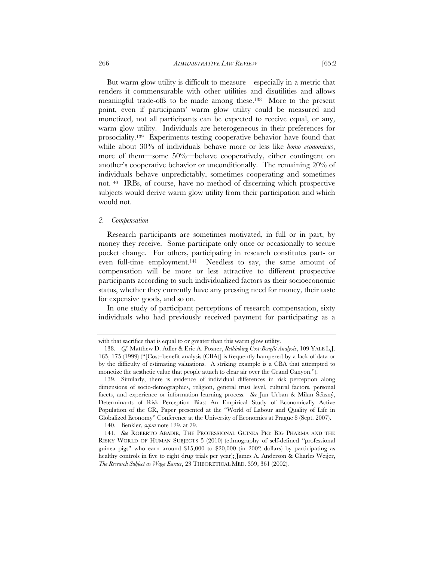266 *ADMINISTRATIVE LAW REVIEW* [65:2

But warm glow utility is difficult to measure—especially in a metric that renders it commensurable with other utilities and disutilities and allows meaningful trade-offs to be made among these.138 More to the present point, even if participants' warm glow utility could be measured and monetized, not all participants can be expected to receive equal, or any, warm glow utility. Individuals are heterogeneous in their preferences for prosociality.139 Experiments testing cooperative behavior have found that while about 30% of individuals behave more or less like *homo economicus*, more of them—some 50%—behave cooperatively, either contingent on another's cooperative behavior or unconditionally. The remaining 20% of individuals behave unpredictably, sometimes cooperating and sometimes not.140 IRBs, of course, have no method of discerning which prospective subjects would derive warm glow utility from their participation and which would not.

#### *2. Compensation*

Research participants are sometimes motivated, in full or in part, by money they receive. Some participate only once or occasionally to secure pocket change. For others, participating in research constitutes part- or even full-time employment.141 Needless to say, the same amount of compensation will be more or less attractive to different prospective participants according to such individualized factors as their socioeconomic status, whether they currently have any pressing need for money, their taste for expensive goods, and so on.

In one study of participant perceptions of research compensation, sixty individuals who had previously received payment for participating as a

140. Benkler, *supra* note 129, at 79.

with that sacrifice that is equal to or greater than this warm glow utility.

 <sup>138.</sup> *Cf.* Matthew D. Adler & Eric A. Posner, *Rethinking Cost-Benefit Analysis*, 109 YALE L.J. 165, 175 (1999) ("[Cost–benefit analysis (CBA)] is frequently hampered by a lack of data or by the difficulty of estimating valuations. A striking example is a CBA that attempted to monetize the aesthetic value that people attach to clear air over the Grand Canyon.").

 <sup>139.</sup> Similarly, there is evidence of individual differences in risk perception along dimensions of socio-demographics, religion, general trust level, cultural factors, personal facets, and experience or information learning process. *See* Jan Urban & Milan Ščasný, Determinants of Risk Perception Bias: An Empirical Study of Economically Active Population of the CR, Paper presented at the "World of Labour and Quality of Life in Globalized Economy" Conference at the University of Economics at Prague 8 (Sept. 2007).

 <sup>141.</sup> *See* ROBERTO ABADIE, THE PROFESSIONAL GUINEA PIG: BIG PHARMA AND THE RISKY WORLD OF HUMAN SUBJECTS 5 (2010) (ethnography of self-defined "professional guinea pigs" who earn around \$15,000 to \$20,000 (in 2002 dollars) by participating as healthy controls in five to eight drug trials per year); James A. Anderson & Charles Weijer, *The Research Subject as Wage Earner*, 23 THEORETICAL MED. 359, 361 (2002).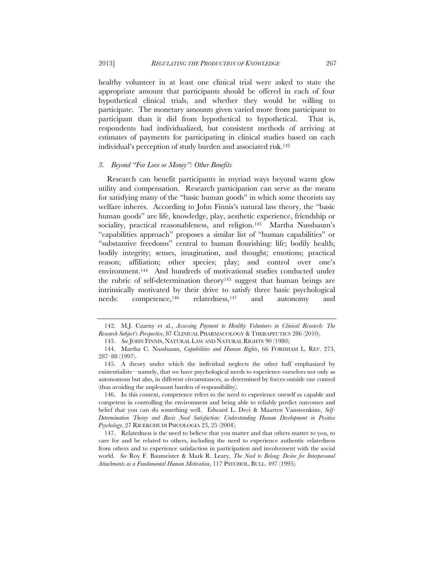healthy volunteer in at least one clinical trial were asked to state the appropriate amount that participants should be offered in each of four hypothetical clinical trials, and whether they would be willing to participate. The monetary amounts given varied more from participant to participant than it did from hypothetical to hypothetical. That is, respondents had individualized, but consistent methods of arriving at estimates of payments for participating in clinical studies based on each individual's perception of study burden and associated risk.142

# *3. Beyond "For Love or Money": Other Benefits*

Research can benefit participants in myriad ways beyond warm glow utility and compensation. Research participation can serve as the means for satisfying many of the "basic human goods" in which some theorists say welfare inheres. According to John Finnis's natural law theory, the "basic human goods" are life, knowledge, play, aesthetic experience, friendship or sociality, practical reasonableness, and religion.<sup>143</sup> Martha Nussbaum's "capabilities approach" proposes a similar list of "human capabilities" or "substantive freedoms" central to human flourishing: life; bodily health; bodily integrity; senses, imagination, and thought; emotions; practical reason; affiliation; other species; play; and control over one's environment.144 And hundreds of motivational studies conducted under the rubric of self-determination theory145 suggest that human beings are intrinsically motivated by their drive to satisfy three basic psychological needs: competence,146 relatedness,147 and autonomy and

 146. In this context, competence refers to the need to experience oneself as capable and competent in controlling the environment and being able to reliably predict outcomes and belief that you can do something well. Edward L. Deci & Maarten Vansteenkiste, *Self-Determination Theory and Basic Need Satisfaction: Understanding Human Development in Positive Psychology*, 27 RICERCHE DI PSICOLOGIA 23, 25 (2004).

 147. Relatedness is the need to believe that you matter and that others matter to you, to care for and be related to others, including the need to experience authentic relatedness from others and to experience satisfaction in participation and involvement with the social world. *See* Roy F. Baumeister & Mark R. Leary, *The Need to Belong: Desire for Interpersonal Attachments as a Fundamental Human Motivation*, 117 PSYCHOL. BULL. 497 (1995).

 <sup>142.</sup> M.J. Czarny et al., *Assessing Payment to Healthy Volunteers in Clinical Research: The Research Subject's Perspective*, 87 CLINICAL PHARMACOLOGY & THERAPEUTICS 286 (2010).

 <sup>143.</sup> *See* JOHN FINNIS, NATURAL LAW AND NATURAL RIGHTS 90 (1980).

 <sup>144.</sup> Martha C. Nussbaum, *Capabilities and Human Rights*, 66 FORDHAM L. REV. 273, 287–88 (1997).

 <sup>145.</sup> A theory under which the individual neglects the other half emphasized by existentialists—namely, that we have psychological needs to experience ourselves not only as autonomous but also, in different circumstances, as determined by forces outside our control (thus avoiding the unpleasant burden of responsibility).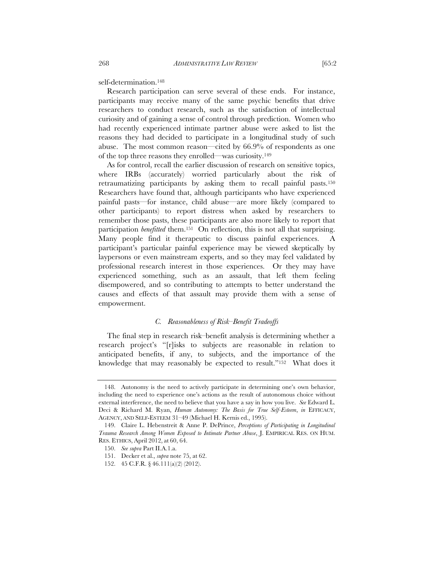self-determination.148

Research participation can serve several of these ends. For instance, participants may receive many of the same psychic benefits that drive researchers to conduct research, such as the satisfaction of intellectual curiosity and of gaining a sense of control through prediction. Women who had recently experienced intimate partner abuse were asked to list the reasons they had decided to participate in a longitudinal study of such abuse. The most common reason—cited by 66.9% of respondents as one of the top three reasons they enrolled—was curiosity.149

As for control, recall the earlier discussion of research on sensitive topics, where IRBs (accurately) worried particularly about the risk of retraumatizing participants by asking them to recall painful pasts.150 Researchers have found that, although participants who have experienced painful pasts—for instance, child abuse—are more likely (compared to other participants) to report distress when asked by researchers to remember those pasts, these participants are also more likely to report that participation *benefitted* them.151 On reflection, this is not all that surprising. Many people find it therapeutic to discuss painful experiences. A participant's particular painful experience may be viewed skeptically by laypersons or even mainstream experts, and so they may feel validated by professional research interest in those experiences. Or they may have experienced something, such as an assault, that left them feeling disempowered, and so contributing to attempts to better understand the causes and effects of that assault may provide them with a sense of empowerment.

# *C. Reasonableness of Risk–Benefit Tradeoffs*

The final step in research risk–benefit analysis is determining whether a research project's "[r]isks to subjects are reasonable in relation to anticipated benefits, if any, to subjects, and the importance of the knowledge that may reasonably be expected to result."152 What does it

 <sup>148.</sup> Autonomy is the need to actively participate in determining one's own behavior, including the need to experience one's actions as the result of autonomous choice without external interference, the need to believe that you have a say in how you live. *See* Edward L. Deci & Richard M. Ryan, *Human Autonomy: The Basis for True Self-Esteem*, *in* EFFICACY, AGENCY, AND SELF-ESTEEM 31–49 (Michael H. Kernis ed., 1995).

 <sup>149.</sup> Claire L. Hebenstreit & Anne P. DePrince, *Perceptions of Participating in Longitudinal Trauma Research Among Women Exposed to Intimate Partner Abuse*, J. EMPIRICAL RES. ON HUM. RES. ETHICS, April 2012, at 60, 64.

 <sup>150.</sup> *See supra* Part II.A.1.a.

 <sup>151.</sup> Decker et al., *supra* note 75, at 62.

 <sup>152. 45</sup> C.F.R. § 46.111(a)(2) (2012).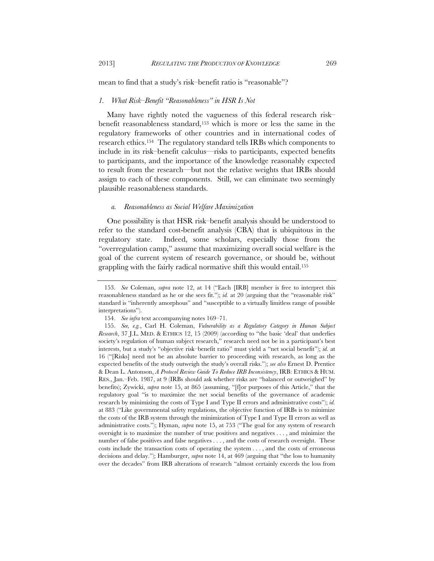#### mean to find that a study's risk–benefit ratio is "reasonable"?

#### *1. What Risk–Benefit "Reasonableness" in HSR Is Not*

Many have rightly noted the vagueness of this federal research risk– benefit reasonableness standard,153 which is more or less the same in the regulatory frameworks of other countries and in international codes of research ethics.154 The regulatory standard tells IRBs which components to include in its risk–benefit calculus—risks to participants, expected benefits to participants, and the importance of the knowledge reasonably expected to result from the research—but not the relative weights that IRBs should assign to each of these components. Still, we can eliminate two seemingly plausible reasonableness standards.

## *a. Reasonableness as Social Welfare Maximization*

One possibility is that HSR risk–benefit analysis should be understood to refer to the standard cost-benefit analysis (CBA) that is ubiquitous in the regulatory state. Indeed, some scholars, especially those from the "overregulation camp," assume that maximizing overall social welfare is the goal of the current system of research governance, or should be, without grappling with the fairly radical normative shift this would entail.155

 <sup>153.</sup> *See* Coleman, *supra* note 12, at 14 ("Each [IRB] member is free to interpret this reasonableness standard as he or she sees fit."); *id.* at 20 (arguing that the "reasonable risk" standard is "inherently amorphous" and "susceptible to a virtually limitless range of possible interpretations").

 <sup>154.</sup> *See infra* text accompanying notes 169–71.

 <sup>155.</sup> *See, e.g.*, Carl H. Coleman, *Vulnerability as a Regulatory Category in Human Subject Research*, 37 J.L. MED. & ETHICS 12, 15 (2009) (according to "the basic 'deal' that underlies society's regulation of human subject research," research need not be in a participant's best interests, but a study's "objective risk–benefit ratio" must yield a "net social benefit"); *id.* at 16 ("[Risks] need not be an absolute barrier to proceeding with research, as long as the expected benefits of the study outweigh the study's overall risks."); *see also* Ernest D. Prentice & Dean L. Antonson, *A Protocol Review Guide To Reduce IRB Inconsistency*, IRB: ETHICS & HUM. RES., Jan.–Feb. 1987, at 9 (IRBs should ask whether risks are "balanced or outweighed" by benefits); Zywicki, *supra* note 15, at 865 (assuming, "[f]or purposes of this Article," that the regulatory goal "is to maximize the net social benefits of the governance of academic research by minimizing the costs of Type I and Type II errors and administrative costs"); *id.* at 883 ("Like governmental safety regulations, the objective function of IRBs is to minimize the costs of the IRB system through the minimization of Type I and Type II errors as well as administrative costs."); Hyman, *supra* note 15, at 753 ("The goal for any system of research oversight is to maximize the number of true positives and negatives . . . , and minimize the number of false positives and false negatives . . . , and the costs of research oversight. These costs include the transaction costs of operating the system . . . , and the costs of erroneous decisions and delay."); Hamburger, *supra* note 14, at 469 (arguing that "the loss to humanity over the decades" from IRB alterations of research "almost certainly exceeds the loss from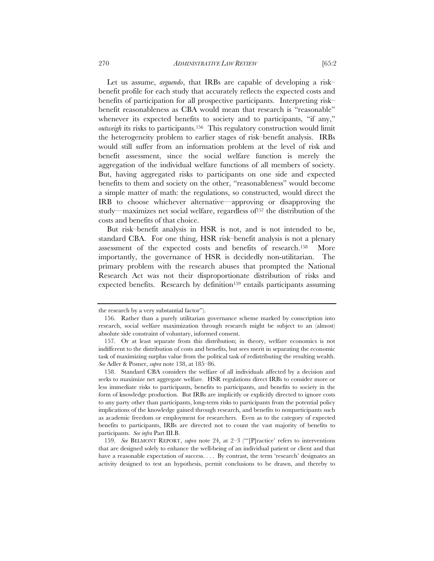Let us assume, *arguendo*, that IRBs are capable of developing a risk– benefit profile for each study that accurately reflects the expected costs and benefits of participation for all prospective participants. Interpreting risk– benefit reasonableness as CBA would mean that research is "reasonable" whenever its expected benefits to society and to participants, "if any," *outweigh* its risks to participants.156 This regulatory construction would limit the heterogeneity problem to earlier stages of risk–benefit analysis. IRBs would still suffer from an information problem at the level of risk and benefit assessment, since the social welfare function is merely the aggregation of the individual welfare functions of all members of society. But, having aggregated risks to participants on one side and expected benefits to them and society on the other, "reasonableness" would become a simple matter of math: the regulations, so constructed, would direct the IRB to choose whichever alternative—approving or disapproving the study—maximizes net social welfare, regardless of<sup>157</sup> the distribution of the costs and benefits of that choice.

But risk–benefit analysis in HSR is not, and is not intended to be, standard CBA. For one thing, HSR risk–benefit analysis is not a plenary assessment of the expected costs and benefits of research.158 More importantly, the governance of HSR is decidedly non-utilitarian. The primary problem with the research abuses that prompted the National Research Act was not their disproportionate distribution of risks and expected benefits. Research by definition<sup>159</sup> entails participants assuming

the research by a very substantial factor").

 <sup>156.</sup> Rather than a purely utilitarian governance scheme marked by conscription into research, social welfare maximization through research might be subject to an (almost) absolute side constraint of voluntary, informed consent.

 <sup>157.</sup> Or at least separate from this distribution; in theory, welfare economics is not indifferent to the distribution of costs and benefits, but sees merit in separating the economic task of maximizing surplus value from the political task of redistributing the resulting wealth. *See* Adler & Posner, *supra* note 138, at 185–86.

 <sup>158.</sup> Standard CBA considers the welfare of all individuals affected by a decision and seeks to maximize net aggregate welfare. HSR regulations direct IRBs to consider more or less immediate risks to participants, benefits to participants, and benefits to society in the form of knowledge production. But IRBs are implicitly or explicitly directed to ignore costs to any party other than participants, long-term risks to participants from the potential policy implications of the knowledge gained through research, and benefits to nonparticipants such as academic freedom or employment for researchers. Even as to the category of expected benefits to participants, IRBs are directed not to count the vast majority of benefits to participants. *See infra* Part III.B.

 <sup>159.</sup> *See* BELMONT REPORT, *supra* note 24, at 2–3 ("'[P]ractice' refers to interventions that are designed solely to enhance the well-being of an individual patient or client and that have a reasonable expectation of success. . . . By contrast, the term 'research' designates an activity designed to test an hypothesis, permit conclusions to be drawn, and thereby to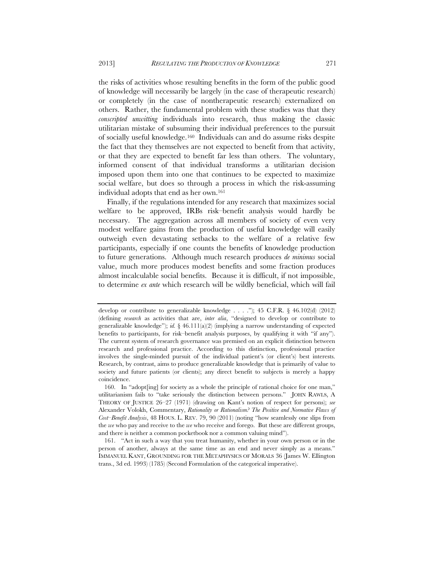the risks of activities whose resulting benefits in the form of the public good of knowledge will necessarily be largely (in the case of therapeutic research) or completely (in the case of nontherapeutic research) externalized on others. Rather, the fundamental problem with these studies was that they *conscripted unwitting* individuals into research, thus making the classic utilitarian mistake of subsuming their individual preferences to the pursuit of socially useful knowledge.160 Individuals can and do assume risks despite the fact that they themselves are not expected to benefit from that activity, or that they are expected to benefit far less than others. The voluntary, informed consent of that individual transforms a utilitarian decision imposed upon them into one that continues to be expected to maximize social welfare, but does so through a process in which the risk-assuming individual adopts that end as her own.161

Finally, if the regulations intended for any research that maximizes social welfare to be approved, IRBs risk–benefit analysis would hardly be necessary. The aggregation across all members of society of even very modest welfare gains from the production of useful knowledge will easily outweigh even devastating setbacks to the welfare of a relative few participants, especially if one counts the benefits of knowledge production to future generations. Although much research produces *de minimus* social value, much more produces modest benefits and some fraction produces almost incalculable social benefits. Because it is difficult, if not impossible, to determine *ex ante* which research will be wildly beneficial, which will fail

develop or contribute to generalizable knowledge . . . ."); 45 C.F.R. § 46.102(d) (2012) (defining *research* as activities that are, *inter alia*, "designed to develop or contribute to generalizable knowledge"); *id.* § 46.111(a)(2) (implying a narrow understanding of expected benefits to participants, for risk–benefit analysis purposes, by qualifying it with "if any"). The current system of research governance was premised on an explicit distinction between research and professional practice. According to this distinction, professional practice involves the single-minded pursuit of the individual patient's (or client's) best interests. Research, by contrast, aims to produce generalizable knowledge that is primarily of value to society and future patients (or clients); any direct benefit to subjects is merely a happy coincidence.

 <sup>160.</sup> In "adopt[ing] for society as a whole the principle of rational choice for one man," utilitarianism fails to "take seriously the distinction between persons." JOHN RAWLS, A THEORY OF JUSTICE 26–27 (1971) (drawing on Kant's notion of respect for persons); *see* Alexander Volokh, Commentary, *Rationality or Rationalism? The Positive and Normative Flaws of Cost–Benefit Analysis*, 48 HOUS. L. REV. 79, 90 (2011) (noting "how seamlessly one slips from the *we* who pay and receive to the *we* who receive and forego. But these are different groups, and there is neither a common pocketbook nor a common valuing mind").

 <sup>161. &</sup>quot;Act in such a way that you treat humanity, whether in your own person or in the person of another, always at the same time as an end and never simply as a means." IMMANUEL KANT, GROUNDING FOR THE METAPHYSICS OF MORALS 36 (James W. Ellington trans., 3d ed. 1993) (1785) (Second Formulation of the categorical imperative).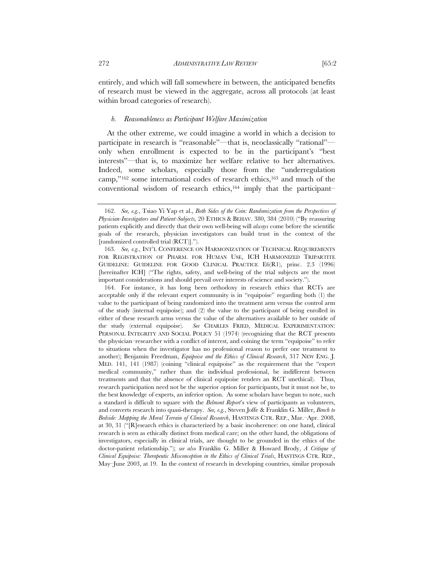entirely, and which will fall somewhere in between, the anticipated benefits of research must be viewed in the aggregate, across all protocols (at least within broad categories of research).

#### *b. Reasonableness as Participant Welfare Maximization*

At the other extreme, we could imagine a world in which a decision to participate in research is "reasonable"—that is, neoclassically "rational" only when enrollment is expected to be in the participant's "best interests"—that is, to maximize her welfare relative to her alternatives. Indeed, some scholars, especially those from the "underregulation camp,"<sup>162</sup> some international codes of research ethics,<sup>163</sup> and much of the conventional wisdom of research ethics,164 imply that the participant–

 164. For instance, it has long been orthodoxy in research ethics that RCTs are acceptable only if the relevant expert community is in "equipoise" regarding both (1) the value to the participant of being randomized into the treatment arm versus the control arm of the study (internal equipoise); and (2) the value to the participant of being enrolled in either of these research arms versus the value of the alternatives available to her outside of the study (external equipoise). *See* CHARLES FRIED, MEDICAL EXPERIMENTATION: PERSONAL INTEGRITY AND SOCIAL POLICY 51 (1974) (recognizing that the RCT presents the physician–researcher with a conflict of interest, and coining the term "equipoise" to refer to situations when the investigator has no professional reason to prefer one treatment to another); Benjamin Freedman, *Equipoise and the Ethics of Clinical Research*, 317 NEW ENG. J. MED. 141, 141 (1987) (coining "clinical equipoise" as the requirement that the "expert medical community," rather than the individual professional, be indifferent between treatments and that the absence of clinical equipoise renders an RCT unethical). Thus, research participation need not be the superior option for participants, but it must not be, to the best knowledge of experts, an inferior option. As some scholars have begun to note, such a standard is difficult to square with the *Belmont Report*'s view of participants as volunteers, and converts research into quasi-therapy. *See, e.g.*, Steven Joffe & Franklin G. Miller, *Bench to Bedside: Mapping the Moral Terrain of Clinical Research*, HASTINGS CTR. REP., Mar.–Apr. 2008, at 30, 31 ("[R]esearch ethics is characterized by a basic incoherence: on one hand, clinical research is seen as ethically distinct from medical care; on the other hand, the obligations of investigators, especially in clinical trials, are thought to be grounded in the ethics of the doctor-patient relationship."); *see also* Franklin G. Miller & Howard Brody, *A Critique of Clinical Equipoise: Therapeutic Misconception in the Ethics of Clinical Trials*, HASTINGS CTR. REP., May–June 2003, at 19. In the context of research in developing countries, similar proposals

 <sup>162.</sup> *See, e.g.*, Tsiao Yi Yap et al., *Both Sides of the Coin: Randomization from the Perspectives of Physician-Investigators and Patient-Subjects,* 20 ETHICS & BEHAV. 380, 384 (2010) ("By reassuring patients explicitly and directly that their own well-being will *always* come before the scientific goals of the research, physician investigators can build trust in the context of the [randomized controlled trial (RCT)].").

 <sup>163.</sup> *See, e.g.*, INT'L CONFERENCE ON HARMONIZATION OF TECHNICAL REQUIREMENTS FOR REGISTRATION OF PHARM. FOR HUMAN USE, ICH HARMONIZED TRIPARTITE GUIDELINE: GUIDELINE FOR GOOD CLINICAL PRACTICE E6(R1), princ. 2.3 (1996) [hereinafter ICH] ("The rights, safety, and well-being of the trial subjects are the most important considerations and should prevail over interests of science and society.").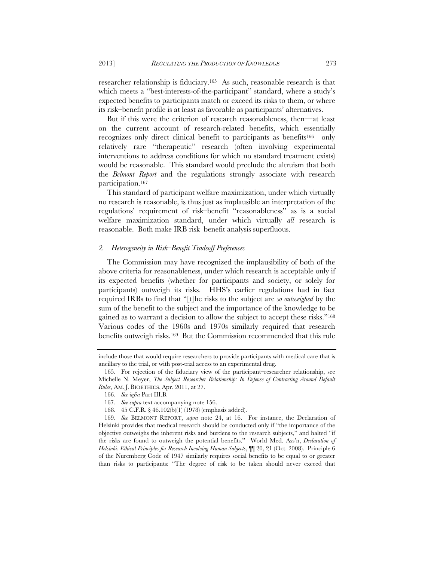researcher relationship is fiduciary.165 As such, reasonable research is that which meets a "best-interests-of-the-participant" standard, where a study's expected benefits to participants match or exceed its risks to them, or where its risk–benefit profile is at least as favorable as participants' alternatives.

But if this were the criterion of research reasonableness, then—at least on the current account of research-related benefits, which essentially recognizes only direct clinical benefit to participants as benefits166—only relatively rare "therapeutic" research (often involving experimental interventions to address conditions for which no standard treatment exists) would be reasonable. This standard would preclude the altruism that both the *Belmont Report* and the regulations strongly associate with research participation.167

This standard of participant welfare maximization, under which virtually no research is reasonable, is thus just as implausible an interpretation of the regulations' requirement of risk–benefit "reasonableness" as is a social welfare maximization standard, under which virtually *all* research is reasonable. Both make IRB risk–benefit analysis superfluous.

## *2. Heterogeneity in Risk–Benefit Tradeoff Preferences*

The Commission may have recognized the implausibility of both of the above criteria for reasonableness, under which research is acceptable only if its expected benefits (whether for participants and society, or solely for participants) outweigh its risks. HHS's earlier regulations had in fact required IRBs to find that "[t]he risks to the subject are *so outweighed* by the sum of the benefit to the subject and the importance of the knowledge to be gained as to warrant a decision to allow the subject to accept these risks."168 Various codes of the 1960s and 1970s similarly required that research benefits outweigh risks.169 But the Commission recommended that this rule

include those that would require researchers to provide participants with medical care that is ancillary to the trial, or with post-trial access to an experimental drug.

 <sup>165.</sup> For rejection of the fiduciary view of the participant–researcher relationship, see Michelle N. Meyer, *The Subject–Researcher Relationship: In Defense of Contracting Around Default Rules*, AM. J. BIOETHICS, Apr. 2011, at 27.

 <sup>166.</sup> *See infra* Part III.B.

 <sup>167.</sup> *See supra* text accompanying note 156.

 <sup>168. 45</sup> C.F.R. § 46.102(b)(1) (1978) (emphasis added).

 <sup>169.</sup> *See* BELMONT REPORT, *supra* note 24, at 16. For instance, the Declaration of Helsinki provides that medical research should be conducted only if "the importance of the objective outweighs the inherent risks and burdens to the research subjects," and halted "if the risks are found to outweigh the potential benefits." World Med. Ass'n, *Declaration of Helsinki: Ethical Principles for Research Involving Human Subjects*, ¶¶ 20, 21 (Oct. 2008). Principle 6 of the Nuremberg Code of 1947 similarly requires social benefits to be equal to or greater than risks to participants: "The degree of risk to be taken should never exceed that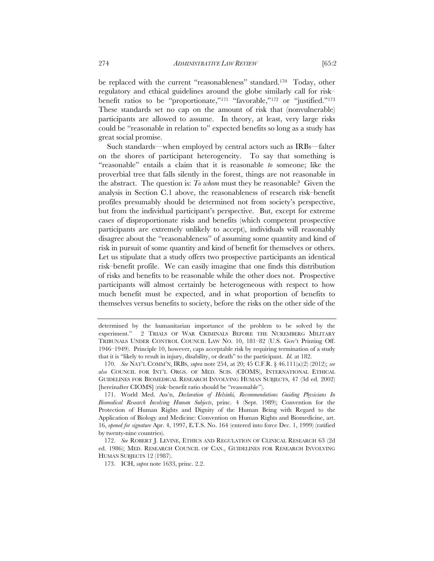be replaced with the current "reasonableness" standard.170 Today, other regulatory and ethical guidelines around the globe similarly call for risk– benefit ratios to be "proportionate,"<sup>171</sup> "favorable,"<sup>172</sup> or "justified."<sup>173</sup> These standards set no cap on the amount of risk that (nonvulnerable) participants are allowed to assume. In theory, at least, very large risks could be "reasonable in relation to" expected benefits so long as a study has great social promise.

Such standards—when employed by central actors such as IRBs—falter on the shores of participant heterogeneity. To say that something is "reasonable" entails a claim that it is reasonable *to* someone; like the proverbial tree that falls silently in the forest, things are not reasonable in the abstract. The question is: *To whom* must they be reasonable? Given the analysis in Section C.1 above, the reasonableness of research risk–benefit profiles presumably should be determined not from society's perspective, but from the individual participant's perspective. But, except for extreme cases of disproportionate risks and benefits (which competent prospective participants are extremely unlikely to accept), individuals will reasonably disagree about the "reasonableness" of assuming some quantity and kind of risk in pursuit of some quantity and kind of benefit for themselves or others. Let us stipulate that a study offers two prospective participants an identical risk–benefit profile. We can easily imagine that one finds this distribution of risks and benefits to be reasonable while the other does not. Prospective participants will almost certainly be heterogeneous with respect to how much benefit must be expected, and in what proportion of benefits to themselves versus benefits to society, before the risks on the other side of the

determined by the humanitarian importance of the problem to be solved by the experiment." 2 TRIALS OF WAR CRIMINALS BEFORE THE NUREMBERG MILITARY TRIBUNALS UNDER CONTROL COUNCIL LAW NO. 10, 181–82 (U.S. Gov't Printing Off. 1946–1949). Principle 10, however, caps acceptable risk by requiring termination of a study that it is "likely to result in injury, disability, or death" to the participant. *Id.* at 182.

 <sup>170.</sup> *See* NAT'L COMM'N, IRBS, *supra* note 254, at 20; 45 C.F.R. § 46.111(a)(2) (2012); *see also* COUNCIL FOR INT'L ORGS. OF MED. SCIS. (CIOMS), INTERNATIONAL ETHICAL GUIDELINES FOR BIOMEDICAL RESEARCH INVOLVING HUMAN SUBJECTS, 47 (3d ed. 2002) [hereinafter CIOMS] (risk–benefit ratio should be "reasonable").

 <sup>171.</sup> World Med. Ass'n, *Declaration of Helsinki, Recommendations Guiding Physicians In Biomedical Research Involving Human Subjects*, princ. 4 (Sept. 1989); Convention for the Protection of Human Rights and Dignity of the Human Being with Regard to the Application of Biology and Medicine: Convention on Human Rights and Biomedicine, art. 16, *opened for signature* Apr. 4, 1997, E.T.S. No. 164 (entered into force Dec. 1, 1999) (ratified by twenty-nine countries).

 <sup>172.</sup> *See* ROBERT J. LEVINE, ETHICS AND REGULATION OF CLINICAL RESEARCH 63 (2d ed. 1986); MED. RESEARCH COUNCIL OF CAN., GUIDELINES FOR RESEARCH INVOLVING HUMAN SUBJECTS 12 (1987).

 <sup>173.</sup> ICH, *supra* note 1633, princ. 2.2.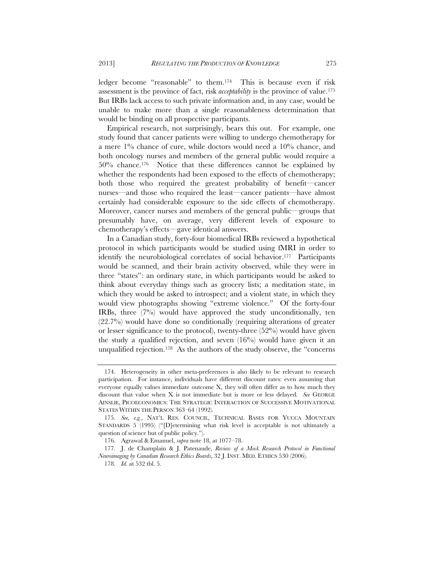ledger become "reasonable" to them.174 This is because even if risk assessment is the province of fact, risk *acceptability* is the province of value.175 But IRBs lack access to such private information and, in any case, would be unable to make more than a single reasonableness determination that would be binding on all prospective participants.

Empirical research, not surprisingly, bears this out. For example, one study found that cancer patients were willing to undergo chemotherapy for a mere 1% chance of cure, while doctors would need a 10% chance, and both oncology nurses and members of the general public would require a 50% chance.176 Notice that these differences cannot be explained by whether the respondents had been exposed to the effects of chemotherapy; both those who required the greatest probability of benefit—cancer nurses—and those who required the least—cancer patients—have almost certainly had considerable exposure to the side effects of chemotherapy. Moreover, cancer nurses and members of the general public—groups that presumably have, on average, very different levels of exposure to chemotherapy's effects—gave identical answers.

In a Canadian study, forty-four biomedical IRBs reviewed a hypothetical protocol in which participants would be studied using fMRI in order to identify the neurobiological correlates of social behavior.<sup>177</sup> Participants would be scanned, and their brain activity observed, while they were in three "states": an ordinary state, in which participants would be asked to think about everyday things such as grocery lists; a meditation state, in which they would be asked to introspect; and a violent state, in which they would view photographs showing "extreme violence." Of the forty-four IRBs, three (7%) would have approved the study unconditionally, ten  $(22.7%)$  would have done so conditionally (requiring alterations of greater or lesser significance to the protocol), twenty-three (52%) would have given the study a qualified rejection, and seven  $(16%)$  would have given it an unqualified rejection.178 As the authors of the study observe, the "concerns

 <sup>174.</sup> Heterogeneity in other meta-preferences is also likely to be relevant to research participation. For instance, individuals have different discount rates: even assuming that everyone equally values immediate outcome X, they will often differ as to how much they discount that value when X is not immediate but is more or less delayed. *See* GEORGE AINSLIE, PICOECONOMICS: THE STRATEGIC INTERACTION OF SUCCESSIVE MOTIVATIONAL STATES WITHIN THE PERSON 363–64 (1992).

 <sup>175.</sup> *See, e.g.*, NAT'L RES. COUNCIL, TECHNICAL BASES FOR YUCCA MOUNTAIN STANDARDS 5 (1995) ("[D]etermining what risk level is acceptable is not ultimately a question of science but of public policy.").

 <sup>176.</sup> Agrawal & Emanuel, *supra* note 18, at 1077–78.

 <sup>177.</sup> J. de Champlain & J. Patenaude, *Review of a Mock Research Protocol in Functional Neuroimaging by Canadian Research Ethics Boards*, 32 J. INST. MED. ETHICS 530 (2006).

 <sup>178.</sup> *Id.* at 532 tbl. 5.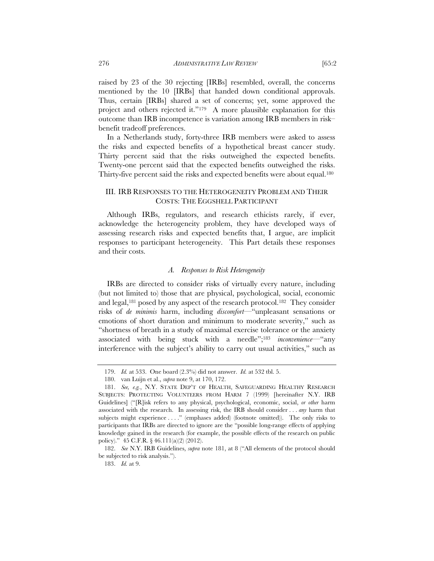raised by 23 of the 30 rejecting [IRBs] resembled, overall, the concerns mentioned by the 10 [IRBs] that handed down conditional approvals. Thus, certain [IRBs] shared a set of concerns; yet, some approved the project and others rejected it."179 A more plausible explanation for this outcome than IRB incompetence is variation among IRB members in risk– benefit tradeoff preferences.

In a Netherlands study, forty-three IRB members were asked to assess the risks and expected benefits of a hypothetical breast cancer study. Thirty percent said that the risks outweighed the expected benefits. Twenty-one percent said that the expected benefits outweighed the risks. Thirty-five percent said the risks and expected benefits were about equal.180

# III. IRB RESPONSES TO THE HETEROGENEITY PROBLEM AND THEIR COSTS: THE EGGSHELL PARTICIPANT

Although IRBs, regulators, and research ethicists rarely, if ever, acknowledge the heterogeneity problem, they have developed ways of assessing research risks and expected benefits that, I argue, are implicit responses to participant heterogeneity. This Part details these responses and their costs.

# *A. Responses to Risk Heterogeneity*

IRBs are directed to consider risks of virtually every nature, including (but not limited to) those that are physical, psychological, social, economic and legal,181 posed by any aspect of the research protocol.182 They consider risks of *de minimis* harm, including *discomfort*—"unpleasant sensations or emotions of short duration and minimum to moderate severity," such as "shortness of breath in a study of maximal exercise tolerance or the anxiety associated with being stuck with a needle";183 *inconvenience*—"any interference with the subject's ability to carry out usual activities," such as

 <sup>179.</sup> *Id.* at 533. One board (2.3%) did not answer. *Id.* at 532 tbl. 5.

 <sup>180.</sup> van Luijn et al., *supra* note 9, at 170, 172.

 <sup>181.</sup> *See, e.g.*, N.Y. STATE DEP'T OF HEALTH, SAFEGUARDING HEALTHY RESEARCH SUBJECTS: PROTECTING VOLUNTEERS FROM HARM 7 (1999) [hereinafter N.Y. IRB Guidelines] ("[R]isk refers to any physical, psychological, economic, social, *or other* harm associated with the research. In assessing risk, the IRB should consider . . . *any* harm that subjects might experience . . . ." (emphases added) (footnote omitted)). The only risks to participants that IRBs are directed to ignore are the "possible long-range effects of applying knowledge gained in the research (for example, the possible effects of the research on public policy)." 45 C.F.R. § 46.111(a)(2) (2012).

 <sup>182.</sup> *See* N.Y. IRB Guidelines, *supra* note 181, at 8 ("All elements of the protocol should be subjected to risk analysis.").

 <sup>183.</sup> *Id.* at 9.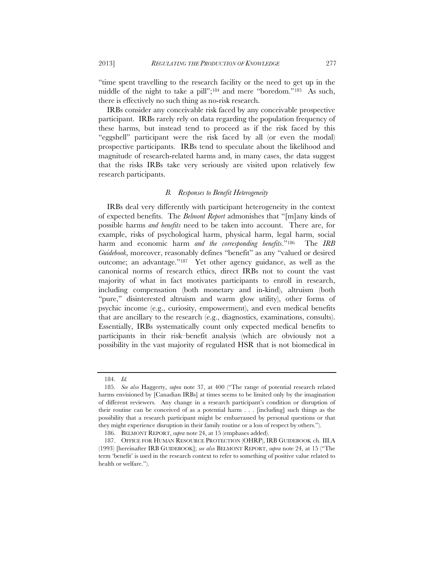"time spent travelling to the research facility or the need to get up in the middle of the night to take a pill";184 and mere "boredom."185 As such, there is effectively no such thing as no-risk research.

IRBs consider any conceivable risk faced by any conceivable prospective participant. IRBs rarely rely on data regarding the population frequency of these harms, but instead tend to proceed as if the risk faced by this "eggshell" participant were the risk faced by all (or even the modal) prospective participants. IRBs tend to speculate about the likelihood and magnitude of research-related harms and, in many cases, the data suggest that the risks IRBs take very seriously are visited upon relatively few research participants.

# *B. Responses to Benefit Heterogeneity*

IRBs deal very differently with participant heterogeneity in the context of expected benefits. The *Belmont Report* admonishes that "[m]any kinds of possible harms *and benefits* need to be taken into account. There are, for example, risks of psychological harm, physical harm, legal harm, social harm and economic harm *and the corresponding benefits*."186 The *IRB Guidebook*, moreover, reasonably defines "benefit" as any "valued or desired outcome; an advantage."187 Yet other agency guidance, as well as the canonical norms of research ethics, direct IRBs not to count the vast majority of what in fact motivates participants to enroll in research, including compensation (both monetary and in-kind), altruism (both "pure," disinterested altruism and warm glow utility), other forms of psychic income (e.g., curiosity, empowerment), and even medical benefits that are ancillary to the research (e.g., diagnostics, examinations, consults). Essentially, IRBs systematically count only expected medical benefits to participants in their risk–benefit analysis (which are obviously not a possibility in the vast majority of regulated HSR that is not biomedical in

 <sup>184.</sup> *Id.*

 <sup>185.</sup> *See also* Haggerty, *supra* note 37, at 400 ("The range of potential research related harms envisioned by [Canadian IRBs] at times seems to be limited only by the imagination of different reviewers. Any change in a research participant's condition or disruption of their routine can be conceived of as a potential harm . . . [including] such things as the possibility that a research participant might be embarrassed by personal questions or that they might experience disruption in their family routine or a loss of respect by others.").

 <sup>186.</sup> BELMONT REPORT, *supra* note 24, at 15 (emphases added).

 <sup>187.</sup> OFFICE FOR HUMAN RESOURCE PROTECTION (OHRP), IRB GUIDEBOOK ch. III.A (1993) [hereinafter IRB GUIDEBOOK]; *see also* BELMONT REPORT, *supra* note 24, at 15 ("The term 'benefit' is used in the research context to refer to something of positive value related to health or welfare.").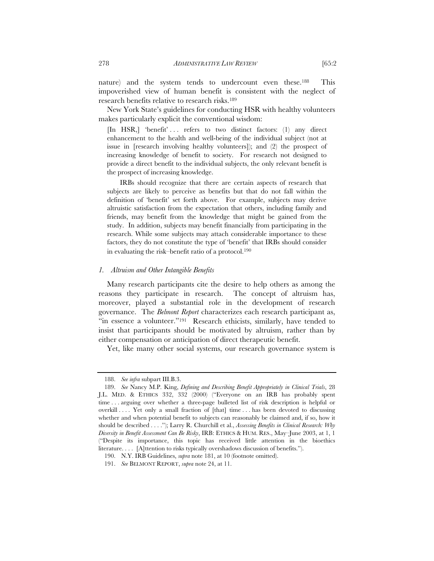nature) and the system tends to undercount even these.188 This impoverished view of human benefit is consistent with the neglect of research benefits relative to research risks.189

New York State's guidelines for conducting HSR with healthy volunteers makes particularly explicit the conventional wisdom:

[In HSR,] 'benefit' . . . refers to two distinct factors: (1) any direct enhancement to the health and well-being of the individual subject (not at issue in [research involving healthy volunteers]); and (2) the prospect of increasing knowledge of benefit to society. For research not designed to provide a direct benefit to the individual subjects, the only relevant benefit is the prospect of increasing knowledge.

IRBs should recognize that there are certain aspects of research that subjects are likely to perceive as benefits but that do not fall within the definition of 'benefit' set forth above. For example, subjects may derive altruistic satisfaction from the expectation that others, including family and friends, may benefit from the knowledge that might be gained from the study. In addition, subjects may benefit financially from participating in the research. While some subjects may attach considerable importance to these factors, they do not constitute the type of 'benefit' that IRBs should consider in evaluating the risk–benefit ratio of a protocol.190

#### *1. Altruism and Other Intangible Benefits*

Many research participants cite the desire to help others as among the reasons they participate in research. The concept of altruism has, moreover, played a substantial role in the development of research governance. The *Belmont Report* characterizes each research participant as, "in essence a volunteer."<sup>191</sup> Research ethicists, similarly, have tended to insist that participants should be motivated by altruism, rather than by either compensation or anticipation of direct therapeutic benefit.

Yet, like many other social systems, our research governance system is

 <sup>188.</sup> *See infra* subpart III.B.3.

 <sup>189.</sup> *See* Nancy M.P. King, *Defining and Describing Benefit Appropriately in Clinical Trials*, 28 J.L. MED. & ETHICS 332, 332 (2000) ("Everyone on an IRB has probably spent time . . . arguing over whether a three-page bulleted list of risk description is helpful or overkill . . . Yet only a small fraction of [that] time . . . has been devoted to discussing whether and when potential benefit to subjects can reasonably be claimed and, if so, how it should be described . . . ."); Larry R. Churchill et al., *Assessing Benefits in Clinical Research: Why Diversity in Benefit Assessment Can Be Risky*, IRB: ETHICS & HUM. RES., May–June 2003, at 1, 1 ("Despite its importance, this topic has received little attention in the bioethics literature. . . . [A]ttention to risks typically overshadows discussion of benefits.").

 <sup>190.</sup> N.Y. IRB Guidelines, *supra* note 181, at 10 (footnote omitted).

 <sup>191.</sup> *See* BELMONT REPORT, *supra* note 24, at 11.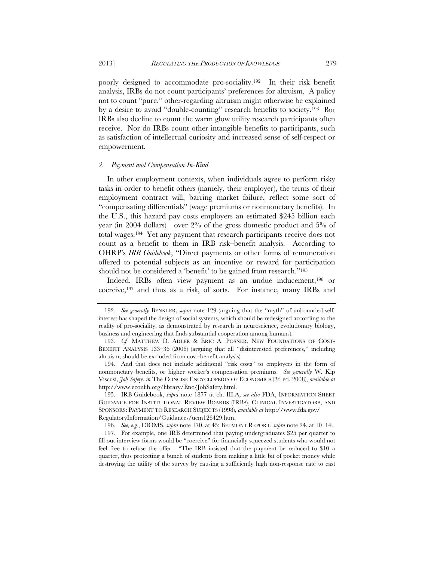poorly designed to accommodate pro-sociality.192 In their risk–benefit analysis, IRBs do not count participants' preferences for altruism. A policy not to count "pure," other-regarding altruism might otherwise be explained by a desire to avoid "double-counting" research benefits to society.193 But IRBs also decline to count the warm glow utility research participants often receive. Nor do IRBs count other intangible benefits to participants, such as satisfaction of intellectual curiosity and increased sense of self-respect or empowerment.

#### *2. Payment and Compensation In-Kind*

In other employment contexts, when individuals agree to perform risky tasks in order to benefit others (namely, their employer), the terms of their employment contract will, barring market failure, reflect some sort of "compensating differentials" (wage premiums or nonmonetary benefits). In the U.S., this hazard pay costs employers an estimated \$245 billion each year (in 2004 dollars)—over 2% of the gross domestic product and 5% of total wages.194 Yet any payment that research participants receive does not count as a benefit to them in IRB risk–benefit analysis. According to OHRP's *IRB Guidebook*, "Direct payments or other forms of remuneration offered to potential subjects as an incentive or reward for participation should not be considered a 'benefit' to be gained from research."195

Indeed, IRBs often view payment as an undue inducement,<sup>196</sup> or coercive,197 and thus as a risk, of sorts. For instance, many IRBs and

196. *See, e.g.*, CIOMS, *supra* note 170, at 45; BELMONT REPORT, *supra* note 24, at 10–14.

 197. For example, one IRB determined that paying undergraduates \$25 per quarter to fill out interview forms would be "coercive" for financially squeezed students who would not feel free to refuse the offer. "The IRB insisted that the payment be reduced to \$10 a quarter, thus protecting a bunch of students from making a little bit of pocket money while destroying the utility of the survey by causing a sufficiently high non-response rate to cast

 <sup>192.</sup> *See generally* BENKLER, *supra* note 129 (arguing that the "myth" of unbounded selfinterest has shaped the design of social systems, which should be redesigned according to the reality of pro-sociality, as demonstrated by research in neuroscience, evolutionary biology, business and engineering that finds substantial cooperation among humans).

 <sup>193.</sup> *Cf.* MATTHEW D. ADLER & ERIC A. POSNER, NEW FOUNDATIONS OF COST-BENEFIT ANALYSIS 133–36 (2006) (arguing that all "disinterested preferences," including altruism, should be excluded from cost–benefit analysis).

<sup>194.</sup> And that does not include additional "risk costs" to employers in the form of nonmonetary benefits, or higher worker's compensation premiums. *See generally* W. Kip Viscusi, *Job Safety*, *in* The CONCISE ENCYCLOPEDIA OF ECONOMICS (2d ed. 2008), *available at*  http://www.econlib.org/library/Enc/JobSafety.html.

 <sup>195.</sup> IRB Guidebook, *supra* note 1877 at ch. III.A; *see also* FDA, INFORMATION SHEET GUIDANCE FOR INSTITUTIONAL REVIEW BOARDS (IRBS), CLINICAL INVESTIGATORS, AND SPONSORS: PAYMENT TO RESEARCH SUBJECTS (1998), *available at* http://www.fda.gov/ RegulatoryInformation/Guidances/ucm126429.htm.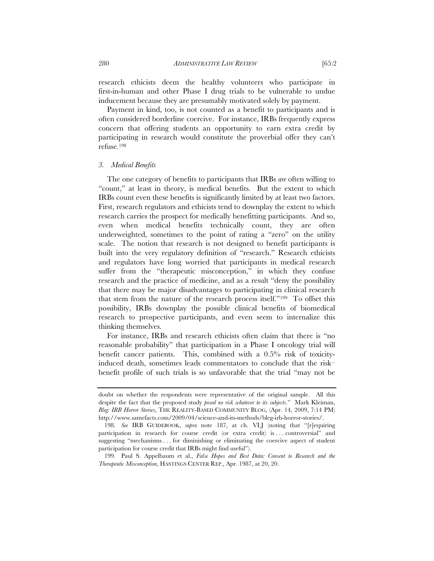research ethicists deem the healthy volunteers who participate in first-in-human and other Phase I drug trials to be vulnerable to undue inducement because they are presumably motivated solely by payment.

Payment in kind, too, is not counted as a benefit to participants and is often considered borderline coercive. For instance, IRBs frequently express concern that offering students an opportunity to earn extra credit by participating in research would constitute the proverbial offer they can't refuse.198

#### *3. Medical Benefits*

The one category of benefits to participants that IRBs *are* often willing to "count," at least in theory, is medical benefits. But the extent to which IRBs count even these benefits is significantly limited by at least two factors. First, research regulators and ethicists tend to downplay the extent to which research carries the prospect for medically benefitting participants. And so, even when medical benefits technically count, they are often underweighted, sometimes to the point of rating a "zero" on the utility scale. The notion that research is not designed to benefit participants is built into the very regulatory definition of "research." Research ethicists and regulators have long worried that participants in medical research suffer from the "therapeutic misconception," in which they confuse research and the practice of medicine, and as a result "deny the possibility that there may be major disadvantages to participating in clinical research that stem from the nature of the research process itself."199 To offset this possibility, IRBs downplay the possible clinical benefits of biomedical research to prospective participants, and even seem to internalize this thinking themselves.

For instance, IRBs and research ethicists often claim that there is "no reasonable probability" that participation in a Phase I oncology trial will benefit cancer patients. This, combined with a 0.5% risk of toxicityinduced death, sometimes leads commentators to conclude that the risk– benefit profile of such trials is so unfavorable that the trial "may not be

doubt on whether the respondents were representative of the original sample. All this despite the fact that the proposed study *posed no risk whatever to its subjects*." Mark Kleiman, *Bleg: IRB Horror Stories*, THE REALITY-BASED COMMUNITY BLOG, (Apr. 14, 2009, 7:14 PM) http://www.samefacts.com/2009/04/science-and-its-methods/bleg-irb-horror-stories/.

 <sup>198.</sup> *See* IRB GUIDEBOOK, *supra* note 187, at ch. VI.J (noting that "[r]equiring participation in research for course credit (or extra credit) is . . . controversial" and suggesting "mechanisms . . . for diminishing or eliminating the coercive aspect of student participation for course credit that IRBs might find useful").

 <sup>199.</sup> Paul S. Appelbaum et al., *False Hopes and Best Data: Consent to Research and the Therapeutic Misconception*, HASTINGS CENTER REP., Apr. 1987, at 20, 20.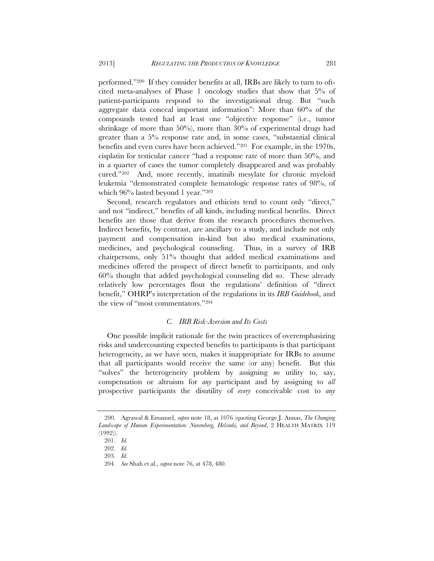performed."200 If they consider benefits at all, IRBs are likely to turn to oftcited meta-analyses of Phase 1 oncology studies that show that 5% of patient-participants respond to the investigational drug. But "such aggregate data conceal important information": More than 60% of the compounds tested had at least one "objective response" (i.e., tumor shrinkage of more than 50%), more than 30% of experimental drugs had greater than a 5% response rate and, in some cases, "substantial clinical benefits and even cures have been achieved."201 For example, in the 1970s, cisplatin for testicular cancer "had a response rate of more than 50%, and in a quarter of cases the tumor completely disappeared and was probably cured."202 And, more recently, imatinib mesylate for chronic myeloid leukemia "demonstrated complete hematologic response rates of 98%, of which 96% lasted beyond 1 year."203

Second, research regulators and ethicists tend to count only "direct," and not "indirect," benefits of all kinds, including medical benefits. Direct benefits are those that derive from the research procedures themselves. Indirect benefits, by contrast, are ancillary to a study, and include not only payment and compensation in-kind but also medical examinations, medicines, and psychological counseling. Thus, in a survey of IRB chairpersons, only 51% thought that added medical examinations and medicines offered the prospect of direct benefit to participants, and only 60% thought that added psychological counseling did so. These already relatively low percentages flout the regulations' definition of "direct benefit," OHRP's interpretation of the regulations in its *IRB Guidebook*, and the view of "most commentators."204

## *C. IRB Risk-Aversion and Its Costs*

One possible implicit rationale for the twin practices of overemphasizing risks and undercounting expected benefits to participants is that participant heterogeneity, as we have seen, makes it inappropriate for IRBs to assume that all participants would receive the same (or any) benefit. But this "solves" the heterogeneity problem by assigning *no* utility to, say, compensation or altruism for *any* participant and by assigning to *all* prospective participants the disutility of *every* conceivable cost to *any*

 <sup>200.</sup> Agrawal & Emanuel, *supra* note 18, at 1076 (quoting George J. Annas, *The Changing Landscape of Human Experimentation: Nuremberg, Helsinki, and Beyond*, 2 HEALTH MATRIX 119 (1992)).

 <sup>201.</sup> *Id.*

 <sup>202.</sup> *Id.*

 <sup>203.</sup> *Id.*

 <sup>204.</sup> *See* Shah et al., *supra* note 76, at 478, 480.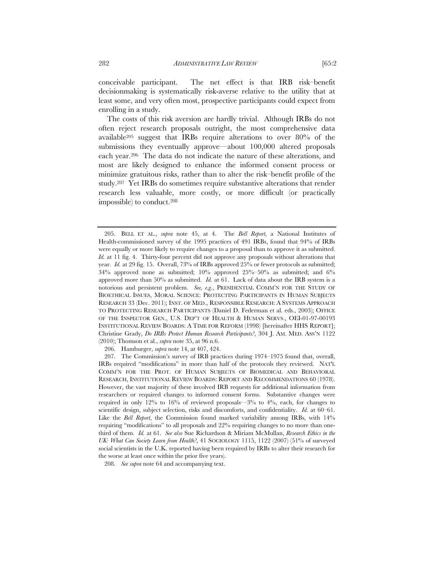conceivable participant. The net effect is that IRB risk–benefit decisionmaking is systematically risk-averse relative to the utility that at least some, and very often most, prospective participants could expect from enrolling in a study.

The costs of this risk aversion are hardly trivial. Although IRBs do not often reject research proposals outright, the most comprehensive data available205 suggest that IRBs require alterations to over 80% of the submissions they eventually approve—about 100,000 altered proposals each year.206 The data do not indicate the nature of these alterations, and most are likely designed to enhance the informed consent process or minimize gratuitous risks, rather than to alter the risk–benefit profile of the study.207 Yet IRBs do sometimes require substantive alterations that render research less valuable, more costly, or more difficult (or practically impossible) to conduct.208

206. Hamburger, *supra* note 14, at 407, 424.

 <sup>205.</sup> BELL ET AL., *supra* note 45, at 4. The *Bell Report*, a National Institutes of Health-commissioned survey of the 1995 practices of 491 IRBs, found that 94% of IRBs were equally or more likely to require changes to a proposal than to approve it as submitted. *Id.* at 11 fig. 4. Thirty-four percent did not approve any proposals without alterations that year. *Id.* at 29 fig. 15. Overall, 73% of IRBs approved 25% or fewer protocols as submitted; 34% approved none as submitted;  $10\%$  approved  $25\%$ – $50\%$  as submitted; and  $6\%$ approved more than 50% as submitted. *Id.* at 61. Lack of data about the IRB system is a notorious and persistent problem. *See, e.g.*, PRESIDENTIAL COMM'N FOR THE STUDY OF BIOETHICAL ISSUES, MORAL SCIENCE: PROTECTING PARTICIPANTS IN HUMAN SUBJECTS RESEARCH 33 (Dec. 2011); INST. OF MED., RESPONSIBLE RESEARCH: A SYSTEMS APPROACH TO PROTECTING RESEARCH PARTICIPANTS (Daniel D. Federman et al. eds., 2003); OFFICE OF THE INSPECTOR GEN., U.S. DEP'T OF HEALTH & HUMAN SERVS., OEI-01-97-00193 INSTITUTIONAL REVIEW BOARDS: A TIME FOR REFORM (1998) [hereinafter HHS REPORT]; Christine Grady, *Do IRBs Protect Human Research Participants?*, 304 J. AM. MED. ASS'N 1122 (2010); Thomson et al., *supra* note 35, at 96 n.6.

 <sup>207.</sup> The Commission's survey of IRB practices during 1974–1975 found that, overall, IRBs required "modifications" in more than half of the protocols they reviewed. NAT'L COMM'N FOR THE PROT. OF HUMAN SUBJECTS OF BIOMEDICAL AND BEHAVIORAL RESEARCH, INSTITUTIONAL REVIEW BOARDS: REPORT AND RECOMMENDATIONS 60 (1978). However, the vast majority of these involved IRB requests for additional information from researchers or required changes to informed consent forms. Substantive changes were required in only 12% to 16% of reviewed proposals—3% to 4%, each, for changes to scientific design, subject selection, risks and discomforts, and confidentiality. *Id.* at 60–61. Like the *Bell Report*, the Commission found marked variability among IRBs, with 14% requiring "modifications" to all proposals and 22% requiring changes to no more than onethird of them. *Id.* at 61. *See also* Sue Richardson & Miriam McMullan, *Research Ethics in the UK: What Can Society Learn from Health?*, 41 SOCIOLOGY 1115, 1122 (2007) (51% of surveyed social scientists in the U.K. reported having been required by IRBs to alter their research for the worse at least once within the prior five years).

 <sup>208.</sup> *See supra* note 64 and accompanying text.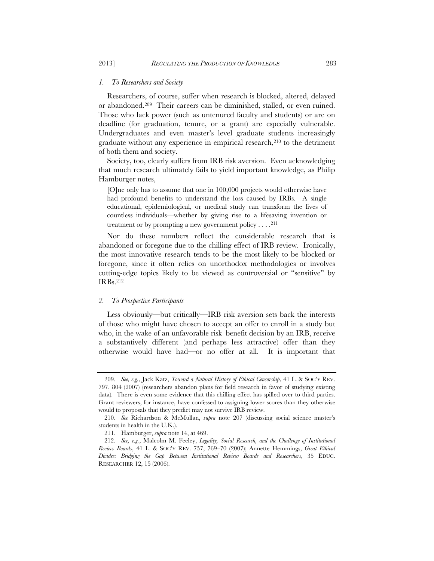#### *1. To Researchers and Society*

Researchers, of course, suffer when research is blocked, altered, delayed or abandoned.209 Their careers can be diminished, stalled, or even ruined. Those who lack power (such as untenured faculty and students) or are on deadline (for graduation, tenure, or a grant) are especially vulnerable. Undergraduates and even master's level graduate students increasingly graduate without any experience in empirical research,210 to the detriment of both them and society.

Society, too, clearly suffers from IRB risk aversion. Even acknowledging that much research ultimately fails to yield important knowledge, as Philip Hamburger notes,

[O]ne only has to assume that one in 100,000 projects would otherwise have had profound benefits to understand the loss caused by IRBs. A single educational, epidemiological, or medical study can transform the lives of countless individuals—whether by giving rise to a lifesaving invention or treatment or by prompting a new government policy . . . .211

Nor do these numbers reflect the considerable research that is abandoned or foregone due to the chilling effect of IRB review. Ironically, the most innovative research tends to be the most likely to be blocked or foregone, since it often relies on unorthodox methodologies or involves cutting-edge topics likely to be viewed as controversial or "sensitive" by IRBs.212

## *2. To Prospective Participants*

Less obviously—but critically—IRB risk aversion sets back the interests of those who might have chosen to accept an offer to enroll in a study but who, in the wake of an unfavorable risk–benefit decision by an IRB, receive a substantively different (and perhaps less attractive) offer than they otherwise would have had—or no offer at all. It is important that

 <sup>209.</sup> *See, e.g.*, Jack Katz, *Toward a Natural History of Ethical Censorship*, 41 L. & SOC'Y REV. 797, 804 (2007) (researchers abandon plans for field research in favor of studying existing data). There is even some evidence that this chilling effect has spilled over to third parties. Grant reviewers, for instance, have confessed to assigning lower scores than they otherwise would to proposals that they predict may not survive IRB review.

 <sup>210.</sup> *See* Richardson & McMullan, *supra* note 207 (discussing social science master's students in health in the U.K.).

 <sup>211.</sup> Hamburger, *supra* note 14, at 469.

 <sup>212.</sup> *See, e.g.*, Malcolm M. Feeley, *Legality, Social Research, and the Challenge of Institutional Review Boards*, 41 L. & SOC'Y REV. 757, 769–70 (2007); Annette Hemmings, *Great Ethical Divides: Bridging the Gap Between Institutional Review Boards and Researchers*, 35 EDUC. RESEARCHER 12, 15 (2006).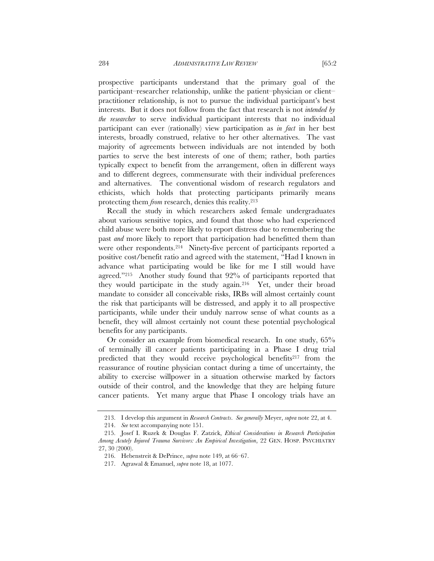prospective participants understand that the primary goal of the participant–researcher relationship, unlike the patient–physician or client– practitioner relationship, is not to pursue the individual participant's best interests. But it does not follow from the fact that research is not *intended by the researcher* to serve individual participant interests that no individual participant can ever (rationally) view participation as *in fact* in her best interests, broadly construed, relative to her other alternatives. The vast majority of agreements between individuals are not intended by both parties to serve the best interests of one of them; rather, both parties typically expect to benefit from the arrangement, often in different ways and to different degrees, commensurate with their individual preferences and alternatives. The conventional wisdom of research regulators and ethicists, which holds that protecting participants primarily means protecting them *from* research, denies this reality.213

Recall the study in which researchers asked female undergraduates about various sensitive topics, and found that those who had experienced child abuse were both more likely to report distress due to remembering the past *and* more likely to report that participation had benefitted them than were other respondents.214 Ninety-five percent of participants reported a positive cost/benefit ratio and agreed with the statement, "Had I known in advance what participating would be like for me I still would have agreed."215 Another study found that 92% of participants reported that they would participate in the study again.216 Yet, under their broad mandate to consider all conceivable risks, IRBs will almost certainly count the risk that participants will be distressed, and apply it to all prospective participants, while under their unduly narrow sense of what counts as a benefit, they will almost certainly not count these potential psychological benefits for any participants.

Or consider an example from biomedical research. In one study, 65% of terminally ill cancer patients participating in a Phase I drug trial predicted that they would receive psychological benefits<sup>217</sup> from the reassurance of routine physician contact during a time of uncertainty, the ability to exercise willpower in a situation otherwise marked by factors outside of their control, and the knowledge that they are helping future cancer patients. Yet many argue that Phase I oncology trials have an

 <sup>213.</sup> I develop this argument in *Research Contracts*. *See generally* Meyer, *supra* note 22, at 4.

 <sup>214.</sup> *See* text accompanying note 151.

 <sup>215.</sup> Josef I. Ruzek & Douglas F. Zatzick, *Ethical Considerations in Research Participation Among Acutely Injured Trauma Survivors: An Empirical Investigation*, 22 GEN. HOSP. PSYCHIATRY 27, 30 (2000).

 <sup>216.</sup> Hebenstreit & DePrince, *supra* note 149, at 66–67.

 <sup>217.</sup> Agrawal & Emanuel, *supra* note 18, at 1077.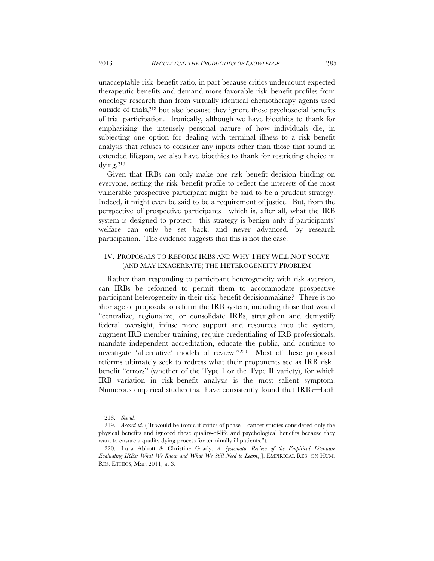unacceptable risk–benefit ratio, in part because critics undercount expected therapeutic benefits and demand more favorable risk–benefit profiles from oncology research than from virtually identical chemotherapy agents used outside of trials,218 but also because they ignore these psychosocial benefits of trial participation. Ironically, although we have bioethics to thank for emphasizing the intensely personal nature of how individuals die, in subjecting one option for dealing with terminal illness to a risk–benefit analysis that refuses to consider any inputs other than those that sound in extended lifespan, we also have bioethics to thank for restricting choice in dying.219

Given that IRBs can only make one risk–benefit decision binding on everyone, setting the risk–benefit profile to reflect the interests of the most vulnerable prospective participant might be said to be a prudent strategy. Indeed, it might even be said to be a requirement of justice. But, from the perspective of prospective participants—which is, after all, what the IRB system is designed to protect—this strategy is benign only if participants' welfare can only be set back, and never advanced, by research participation. The evidence suggests that this is not the case.

# IV. PROPOSALS TO REFORM IRBS AND WHY THEY WILL NOT SOLVE (AND MAY EXACERBATE) THE HETEROGENEITY PROBLEM

Rather than responding to participant heterogeneity with risk aversion, can IRBs be reformed to permit them to accommodate prospective participant heterogeneity in their risk–benefit decisionmaking? There is no shortage of proposals to reform the IRB system, including those that would "centralize, regionalize, or consolidate IRBs, strengthen and demystify federal oversight, infuse more support and resources into the system, augment IRB member training, require credentialing of IRB professionals, mandate independent accreditation, educate the public, and continue to investigate 'alternative' models of review."220 Most of these proposed reforms ultimately seek to redress what their proponents see as IRB risk– benefit "errors" (whether of the Type I or the Type II variety), for which IRB variation in risk–benefit analysis is the most salient symptom. Numerous empirical studies that have consistently found that IRBs—both

 <sup>218.</sup> *See id.*

 <sup>219.</sup> *Accord id.* ("It would be ironic if critics of phase 1 cancer studies considered only the physical benefits and ignored these quality-of-life and psychological benefits because they want to ensure a quality dying process for terminally ill patients.").

 <sup>220.</sup> Lura Abbott & Christine Grady, *A Systematic Review of the Empirical Literature Evaluating IRBs: What We Know and What We Still Need to Learn*, J. EMPIRICAL RES. ON HUM. RES. ETHICS, Mar. 2011, at 3.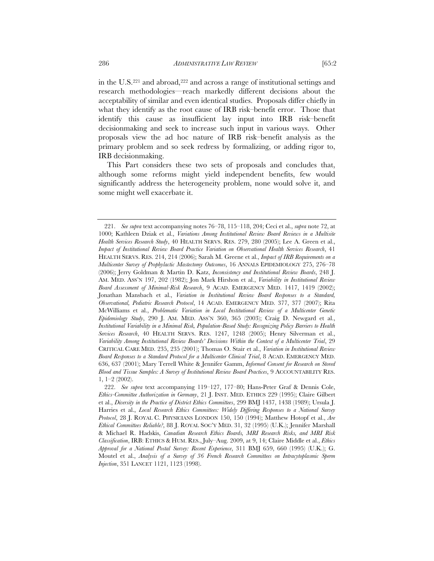in the U.S.221 and abroad,222 and across a range of institutional settings and research methodologies—reach markedly different decisions about the acceptability of similar and even identical studies. Proposals differ chiefly in what they identify as the root cause of IRB risk–benefit error. Those that identify this cause as insufficient lay input into IRB risk–benefit decisionmaking and seek to increase such input in various ways. Other proposals view the ad hoc nature of IRB risk–benefit analysis as the primary problem and so seek redress by formalizing, or adding rigor to, IRB decisionmaking.

This Part considers these two sets of proposals and concludes that, although some reforms might yield independent benefits, few would significantly address the heterogeneity problem, none would solve it, and some might well exacerbate it.

 <sup>221.</sup> *See supra* text accompanying notes 76–78, 115–118, 204; Ceci et al., *supra* note 72, at 1000; Kathleen Dziak et al., *Variations Among Institutional Review Board Reviews in a Multisite Health Services Research Study*, 40 HEALTH SERVS. RES. 279, 280 (2005); Lee A. Green et al., *Impact of Institutional Review Board Practice Variation on Observational Health Services Research*, 41 HEALTH SERVS. RES. 214, 214 (2006); Sarah M. Greene et al., *Impact of IRB Requirements on a Multicenter Survey of Prophylactic Mastectomy Outcomes*, 16 ANNALS EPIDEMIOLOGY 275, 276–78 (2006); Jerry Goldman & Martin D. Katz, *Inconsistency and Institutional Review Boards*, 248 J. AM. MED. ASS'N 197, 202 (1982); Jon Mark Hirshon et al., *Variability in Institutional Review Board Assessment of Minimal-Risk Research*, 9 ACAD. EMERGENCY MED. 1417, 1419 (2002); Jonathan Mansbach et al., *Variation in Institutional Review Board Responses to a Standard, Observational, Pediatric Research Protocol*, 14 ACAD. EMERGENCY MED. 377, 377 (2007); Rita McWilliams et al., *Problematic Variation in Local Institutional Review of a Multicenter Genetic Epidemiology Study*, 290 J. AM. MED. ASS'N 360, 365 (2003); Craig D. Newgard et al., *Institutional Variability in a Minimal Risk, Population-Based Study: Recognizing Policy Barriers to Health Services Research*, 40 HEALTH SERVS. RES. 1247, 1248 (2005); Henry Silverman et al., *Variability Among Institutional Review Boards' Decisions Within the Context of a Multicenter Trial*, 29 CRITICAL CARE MED. 235, 235 (2001); Thomas O. Stair et al., *Variation in Institutional Review Board Responses to a Standard Protocol for a Multicenter Clinical Trial*, 8 ACAD. EMERGENCY MED. 636, 637 (2001); Mary Terrell White & Jennifer Gamm, *Informed Consent for Research on Stored Blood and Tissue Samples: A Survey of Institutional Review Board Practices*, 9 ACCOUNTABILITY RES. 1, 1–2 (2002).

 <sup>222.</sup> *See supra* text accompanying 119–127, 177–80; Hans-Peter Graf & Dennis Cole, *Ethics-Committee Authorization in Germany*, 21 J. INST. MED. ETHICS 229 (1995); Claire Gilbert et al., *Diversity in the Practice of District Ethics Committees*, 299 BMJ 1437, 1438 (1989); Ursula J. Harries et al., *Local Research Ethics Committees: Widely Differing Responses to a National Survey Protocol*, 28 J. ROYAL C. PHYSICIANS LONDON 150, 150 (1994); Matthew Hotopf et al., *Are Ethical Committees Reliable?*, 88 J. ROYAL SOC'Y MED. 31, 32 (1995) (U.K.); Jennifer Marshall & Michael R. Hadskis, *Canadian Research Ethics Boards, MRI Research Risks, and MRI Risk Classification*, IRB: ETHICS & HUM. RES., July–Aug. 2009, at 9, 14; Claire Middle et al., *Ethics Approval for a National Postal Survey: Recent Experience*, 311 BMJ 659, 660 (1995) (U.K.); G. Moutel et al., *Analysis of a Survey of 36 French Research Committees on Intracytoplasmic Sperm Injection*, 351 LANCET 1121, 1123 (1998).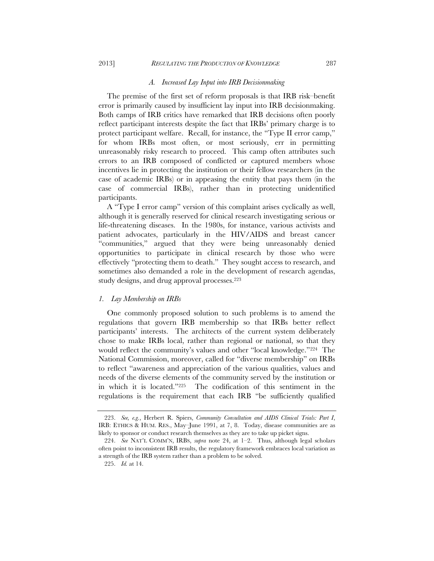# 2013] *REGULATING THE PRODUCTION OF KNOWLEDGE* 287

#### *A. Increased Lay Input into IRB Decisionmaking*

The premise of the first set of reform proposals is that IRB risk–benefit error is primarily caused by insufficient lay input into IRB decisionmaking. Both camps of IRB critics have remarked that IRB decisions often poorly reflect participant interests despite the fact that IRBs' primary charge is to protect participant welfare. Recall, for instance, the "Type II error camp," for whom IRBs most often, or most seriously, err in permitting unreasonably risky research to proceed. This camp often attributes such errors to an IRB composed of conflicted or captured members whose incentives lie in protecting the institution or their fellow researchers (in the case of academic IRBs) or in appeasing the entity that pays them (in the case of commercial IRBs), rather than in protecting unidentified participants.

A "Type I error camp" version of this complaint arises cyclically as well, although it is generally reserved for clinical research investigating serious or life-threatening diseases. In the 1980s, for instance, various activists and patient advocates, particularly in the HIV/AIDS and breast cancer "communities," argued that they were being unreasonably denied opportunities to participate in clinical research by those who were effectively "protecting them to death." They sought access to research, and sometimes also demanded a role in the development of research agendas, study designs, and drug approval processes.223

## *1. Lay Membership on IRBs*

One commonly proposed solution to such problems is to amend the regulations that govern IRB membership so that IRBs better reflect participants' interests. The architects of the current system deliberately chose to make IRBs local, rather than regional or national, so that they would reflect the community's values and other "local knowledge."224 The National Commission, moreover, called for "diverse membership" on IRBs to reflect "awareness and appreciation of the various qualities, values and needs of the diverse elements of the community served by the institution or in which it is located."225 The codification of this sentiment in the regulations is the requirement that each IRB "be sufficiently qualified

 <sup>223.</sup> *See, e.g.*, Herbert R. Spiers, *Community Consultation and AIDS Clinical Trials: Part I*, IRB: ETHICS & HUM. RES., May–June 1991, at 7, 8. Today, disease communities are as likely to sponsor or conduct research themselves as they are to take up picket signs.

 <sup>224.</sup> *See* NAT'L COMM'N, IRBS, *supra* note 24, at 1–2. Thus, although legal scholars often point to inconsistent IRB results, the regulatory framework embraces local variation as a strength of the IRB system rather than a problem to be solved.

 <sup>225.</sup> *Id.* at 14.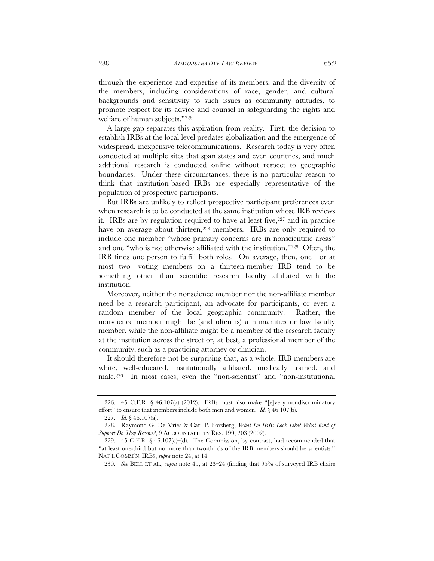through the experience and expertise of its members, and the diversity of the members, including considerations of race, gender, and cultural backgrounds and sensitivity to such issues as community attitudes, to promote respect for its advice and counsel in safeguarding the rights and welfare of human subjects."226

A large gap separates this aspiration from reality. First, the decision to establish IRBs at the local level predates globalization and the emergence of widespread, inexpensive telecommunications. Research today is very often conducted at multiple sites that span states and even countries, and much additional research is conducted online without respect to geographic boundaries. Under these circumstances, there is no particular reason to think that institution-based IRBs are especially representative of the population of prospective participants.

But IRBs are unlikely to reflect prospective participant preferences even when research is to be conducted at the same institution whose IRB reviews it. IRBs are by regulation required to have at least five,<sup>227</sup> and in practice have on average about thirteen,<sup>228</sup> members. IRBs are only required to include one member "whose primary concerns are in nonscientific areas" and one "who is not otherwise affiliated with the institution."229 Often, the IRB finds one person to fulfill both roles. On average, then, one—or at most two—voting members on a thirteen-member IRB tend to be something other than scientific research faculty affiliated with the institution.

Moreover, neither the nonscience member nor the non-affiliate member need be a research participant, an advocate for participants, or even a random member of the local geographic community. Rather, the nonscience member might be (and often is) a humanities or law faculty member, while the non-affiliate might be a member of the research faculty at the institution across the street or, at best, a professional member of the community, such as a practicing attorney or clinician.

It should therefore not be surprising that, as a whole, IRB members are white, well-educated, institutionally affiliated, medically trained, and male.230 In most cases, even the "non-scientist" and "non-institutional

227. *Id.* § 46.107(a).

 <sup>226. 45</sup> C.F.R. § 46.107(a) (2012). IRBs must also make "[e]very nondiscriminatory effort" to ensure that members include both men and women. *Id.* § 46.107(b).

 <sup>228.</sup> Raymond G. De Vries & Carl P. Forsberg, *What Do IRBs Look Like? What Kind of Support Do They Receive?*, 9 ACCOUNTABILITY RES. 199, 203 (2002).

<sup>229. 45</sup> C.F.R.  $\frac{6}{3}$  46.107(c)–(d). The Commission, by contrast, had recommended that "at least one-third but no more than two-thirds of the IRB members should be scientists." NAT'L COMM'N, IRBS, *supra* note 24, at 14.

 <sup>230.</sup> *See* BELL ET AL., *supra* note 45, at 23–24 (finding that 95% of surveyed IRB chairs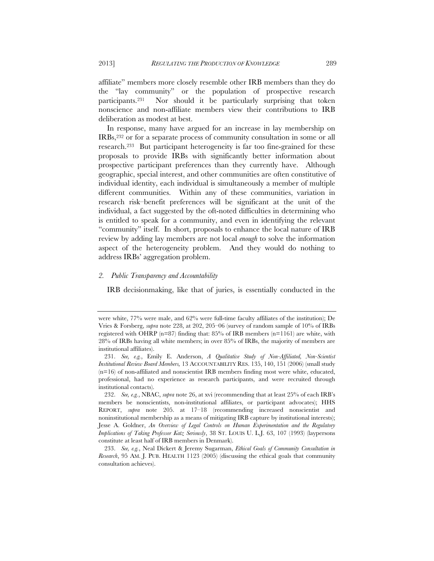affiliate" members more closely resemble other IRB members than they do the "lay community" or the population of prospective research participants.231 Nor should it be particularly surprising that token nonscience and non-affiliate members view their contributions to IRB deliberation as modest at best.

In response, many have argued for an increase in lay membership on IRBs,232 or for a separate process of community consultation in some or all research.233 But participant heterogeneity is far too fine-grained for these proposals to provide IRBs with significantly better information about prospective participant preferences than they currently have. Although geographic, special interest, and other communities are often constitutive of individual identity, each individual is simultaneously a member of multiple different communities. Within any of these communities, variation in research risk–benefit preferences will be significant at the unit of the individual, a fact suggested by the oft-noted difficulties in determining who is entitled to speak for a community, and even in identifying the relevant "community" itself. In short, proposals to enhance the local nature of IRB review by adding lay members are not local *enough* to solve the information aspect of the heterogeneity problem. And they would do nothing to address IRBs' aggregation problem.

# *2. Public Transparency and Accountability*

IRB decisionmaking, like that of juries, is essentially conducted in the

were white, 77% were male, and 62% were full-time faculty affiliates of the institution); De Vries & Forsberg, *supra* note 228, at 202, 205–06 (survey of random sample of 10% of IRBs registered with OHRP ( $n=87$ ) finding that: 85% of IRB members ( $n=1161$ ) are white, with 28% of IRBs having all white members; in over 85% of IRBs, the majority of members are institutional affiliates).

 <sup>231.</sup> *See, e.g.*, Emily E. Anderson, *A Qualitative Study of Non-Affiliated, Non-Scientist Institutional Review Board Members,* 13 ACCOUNTABILITY RES. 135, 140, 151 (2006) (small study  $(n=16)$  of non-affiliated and nonscientist IRB members finding most were white, educated, professional, had no experience as research participants, and were recruited through institutional contacts).

 <sup>232.</sup> *See, e.g.*, NBAC, *supra* note 26, at xvi (recommending that at least 25% of each IRB's members be nonscientists, non-institutional affiliates, or participant advocates); HHS REPORT, *supra* note 205. at 17–18 (recommending increased nonscientist and noninstitutional membership as a means of mitigating IRB capture by institutional interests); Jesse A. Goldner, *An Overview of Legal Controls on Human Experimentation and the Regulatory Implications of Taking Professor Katz Seriously*, 38 ST. LOUIS U. L.J. 63, 107 (1993) (laypersons constitute at least half of IRB members in Denmark).

 <sup>233.</sup> *See, e.g.*, Neal Dickert & Jeremy Sugarman, *Ethical Goals of Community Consultation in Research*, 95 AM. J. PUB. HEALTH 1123 (2005) (discussing the ethical goals that community consultation achieves).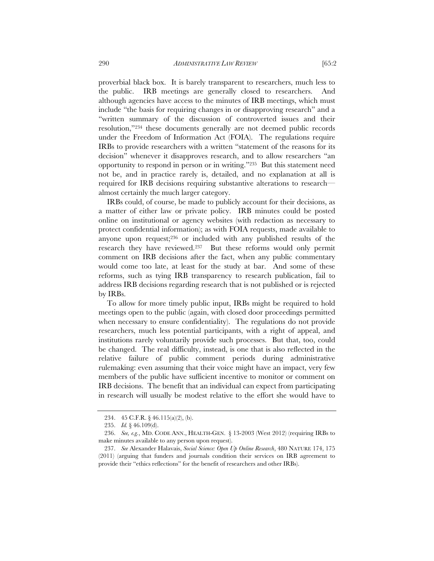proverbial black box. It is barely transparent to researchers, much less to the public. IRB meetings are generally closed to researchers. And although agencies have access to the minutes of IRB meetings, which must include "the basis for requiring changes in or disapproving research" and a

"written summary of the discussion of controverted issues and their resolution,"234 these documents generally are not deemed public records under the Freedom of Information Act (FOIA). The regulations require IRBs to provide researchers with a written "statement of the reasons for its decision" whenever it disapproves research, and to allow researchers "an opportunity to respond in person or in writing."235 But this statement need not be, and in practice rarely is, detailed, and no explanation at all is required for IRB decisions requiring substantive alterations to research almost certainly the much larger category.

IRBs could, of course, be made to publicly account for their decisions, as a matter of either law or private policy. IRB minutes could be posted online on institutional or agency websites (with redaction as necessary to protect confidential information); as with FOIA requests, made available to anyone upon request;236 or included with any published results of the research they have reviewed.237 But these reforms would only permit comment on IRB decisions after the fact, when any public commentary would come too late, at least for the study at bar. And some of these reforms, such as tying IRB transparency to research publication, fail to address IRB decisions regarding research that is not published or is rejected by IRBs.

To allow for more timely public input, IRBs might be required to hold meetings open to the public (again, with closed door proceedings permitted when necessary to ensure confidentiality). The regulations do not provide researchers, much less potential participants, with a right of appeal, and institutions rarely voluntarily provide such processes. But that, too, could be changed. The real difficulty, instead, is one that is also reflected in the relative failure of public comment periods during administrative rulemaking: even assuming that their voice might have an impact, very few members of the public have sufficient incentive to monitor or comment on IRB decisions. The benefit that an individual can expect from participating in research will usually be modest relative to the effort she would have to

 <sup>234. 45</sup> C.F.R. § 46.115(a)(2), (b).

 <sup>235.</sup> *Id.* § 46.109(d).

 <sup>236.</sup> *See, e.g.*, MD. CODE ANN., HEALTH-GEN. § 13-2003 (West 2012) (requiring IRBs to make minutes available to any person upon request).

 <sup>237.</sup> *See* Alexander Halavais, *Social Science: Open Up Online Research*, 480 NATURE 174, 175 (2011) (arguing that funders and journals condition their services on IRB agreement to provide their "ethics reflections" for the benefit of researchers and other IRBs).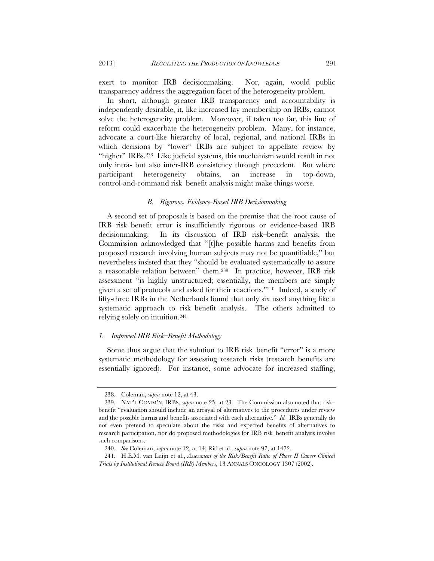exert to monitor IRB decisionmaking. Nor, again, would public transparency address the aggregation facet of the heterogeneity problem.

In short, although greater IRB transparency and accountability is independently desirable, it, like increased lay membership on IRBs, cannot solve the heterogeneity problem. Moreover, if taken too far, this line of reform could exacerbate the heterogeneity problem. Many, for instance, advocate a court-like hierarchy of local, regional, and national IRBs in which decisions by "lower" IRBs are subject to appellate review by "higher" IRBs.<sup>238</sup> Like judicial systems, this mechanism would result in not only intra- but also inter-IRB consistency through precedent. But where participant heterogeneity obtains, an increase in top-down, control-and-command risk–benefit analysis might make things worse.

# *B. Rigorous, Evidence-Based IRB Decisionmaking*

A second set of proposals is based on the premise that the root cause of IRB risk–benefit error is insufficiently rigorous or evidence-based IRB decisionmaking. In its discussion of IRB risk–benefit analysis, the Commission acknowledged that "[t]he possible harms and benefits from proposed research involving human subjects may not be quantifiable," but nevertheless insisted that they "should be evaluated systematically to assure a reasonable relation between" them.239 In practice, however, IRB risk assessment "is highly unstructured; essentially, the members are simply given a set of protocols and asked for their reactions."240 Indeed, a study of fifty-three IRBs in the Netherlands found that only six used anything like a systematic approach to risk–benefit analysis. The others admitted to relying solely on intuition.241

#### *1. Improved IRB Risk–Benefit Methodology*

Some thus argue that the solution to IRB risk–benefit "error" is a more systematic methodology for assessing research risks (research benefits are essentially ignored). For instance, some advocate for increased staffing,

 <sup>238.</sup> Coleman, *supra* note 12, at 43.

 <sup>239.</sup> NAT'L COMM'N, IRBS, *supra* note 25, at 23. The Commission also noted that risk– benefit "evaluation should include an arrayal of alternatives to the procedures under review and the possible harms and benefits associated with each alternative." *Id.* IRBs generally do not even pretend to speculate about the risks and expected benefits of alternatives to research participation, nor do proposed methodologies for IRB risk–benefit analysis involve such comparisons.

 <sup>240.</sup> *See* Coleman, *supra* note 12, at 14; Rid et al*., supra* note 97, at 1472.

 <sup>241.</sup> H.E.M. van Luijn et al., *Assessment of the Risk/Benefit Ratio of Phase II Cancer Clinical Trials by Institutional Review Board (IRB) Members*, 13 ANNALS ONCOLOGY 1307 (2002).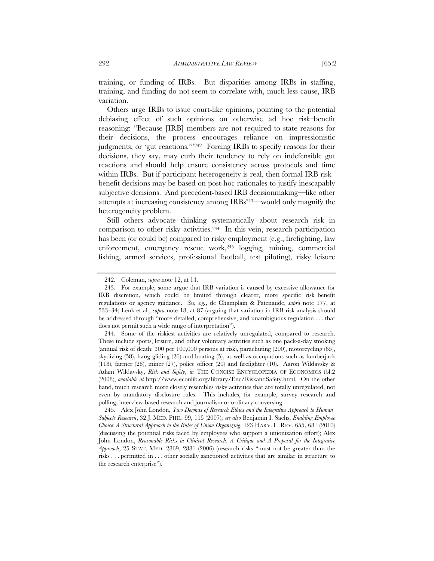training, or funding of IRBs. But disparities among IRBs in staffing, training, and funding do not seem to correlate with, much less cause, IRB variation.

Others urge IRBs to issue court-like opinions, pointing to the potential debiasing effect of such opinions on otherwise ad hoc risk–benefit reasoning: "Because [IRB] members are not required to state reasons for their decisions, the process encourages reliance on impressionistic judgments, or 'gut reactions."<sup>242</sup> Forcing IRBs to specify reasons for their decisions, they say, may curb their tendency to rely on indefensible gut reactions and should help ensure consistency across protocols and time within IRBs. But if participant heterogeneity is real, then formal IRB risk– benefit decisions may be based on post-hoc rationales to justify inescapably subjective decisions. And precedent-based IRB decisionmaking—like other attempts at increasing consistency among IRBs243—would only magnify the heterogeneity problem.

Still others advocate thinking systematically about research risk in comparison to other risky activities.244 In this vein, research participation has been (or could be) compared to risky employment (e.g., firefighting, law enforcement, emergency rescue work,245 logging, mining, commercial fishing, armed services, professional football, test piloting), risky leisure

 <sup>242.</sup> Coleman, *supra* note 12, at 14.

 <sup>243.</sup> For example, some argue that IRB variation is caused by excessive allowance for IRB discretion, which could be limited through clearer, more specific risk–benefit regulations or agency guidance. *See, e.g.*, de Champlain & Patenaude, *supra* note 177, at 533–34; Lenk et al., *supra* note 18, at 87 (arguing that variation in IRB risk analysis should be addressed through "more detailed, comprehensive, and unambiguous regulation . . . that does not permit such a wide range of interpretation").

 <sup>244.</sup> Some of the riskiest activities are relatively unregulated, compared to research. These include sports, leisure, and other voluntary activities such as one pack-a-day smoking (annual risk of death: 300 per 100,000 persons at risk), parachuting (200), motorcycling (65), skydiving (58), hang gliding (26) and boating (5), as well as occupations such as lumberjack (118), farmer (28), miner (27), police officer (20) and firefighter (10). Aaron Wildavsky & Adam Wildavsky, *Risk and Safety*, *in* THE CONCISE ENCYCLOPEDIA OF ECONOMICS tbl.2 (2008), *available at* http://www.econlib.org/library/Enc/RiskandSafety.html. On the other hand, much research more closely resembles risky activities that are totally unregulated, not even by mandatory disclosure rules. This includes, for example, survey research and polling; interview-based research and journalism or ordinary conversing.

 <sup>245.</sup> Alex John London, *Two Dogmas of Research Ethics and the Integrative Approach to Human-Subjects Research*, 32 J. MED. PHIL. 99, 115 (2007); s*ee also* Benjamin I. Sachs, *Enabling Employee Choice: A Structural Approach to the Rules of Union Organizing*, 123 HARV. L. REV. 655, 681 (2010) (discussing the potential risks faced by employees who support a unionization effort); Alex John London, *Reasonable Risks in Clinical Research: A Critique and A Proposal for the Integrative Approach*, 25 STAT. MED. 2869, 2881 (2006) (research risks "must not be greater than the risks . . . permitted in . . . other socially sanctioned activities that are similar in structure to the research enterprise").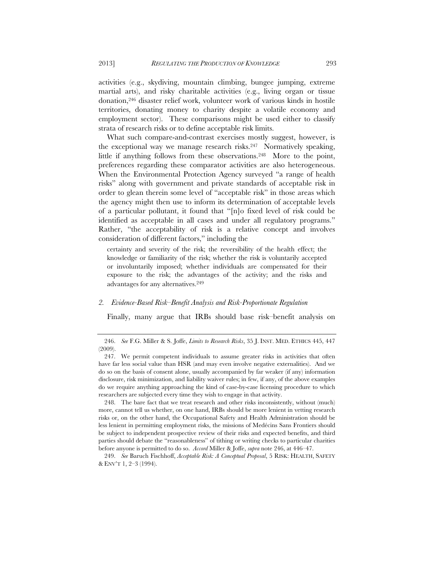activities (e.g., skydiving, mountain climbing, bungee jumping, extreme martial arts), and risky charitable activities (e.g., living organ or tissue donation,246 disaster relief work, volunteer work of various kinds in hostile territories, donating money to charity despite a volatile economy and employment sector). These comparisons might be used either to classify strata of research risks or to define acceptable risk limits.

What such compare-and-contrast exercises mostly suggest, however, is the exceptional way we manage research risks.247 Normatively speaking, little if anything follows from these observations.<sup>248</sup> More to the point, preferences regarding these comparator activities are also heterogeneous. When the Environmental Protection Agency surveyed "a range of health risks" along with government and private standards of acceptable risk in order to glean therein some level of "acceptable risk" in those areas which the agency might then use to inform its determination of acceptable levels of a particular pollutant, it found that "[n]o fixed level of risk could be identified as acceptable in all cases and under all regulatory programs." Rather, "the acceptability of risk is a relative concept and involves consideration of different factors," including the

certainty and severity of the risk; the reversibility of the health effect; the knowledge or familiarity of the risk; whether the risk is voluntarily accepted or involuntarily imposed; whether individuals are compensated for their exposure to the risk; the advantages of the activity; and the risks and advantages for any alternatives.249

# *2. Evidence-Based Risk–Benefit Analysis and Risk-Proportionate Regulation*

Finally, many argue that IRBs should base risk–benefit analysis on

 248. The bare fact that we treat research and other risks inconsistently, without (much) more, cannot tell us whether, on one hand, IRBs should be more lenient in vetting research risks or, on the other hand, the Occupational Safety and Health Administration should be less lenient in permitting employment risks, the missions of Medécins Sans Frontiers should be subject to independent prospective review of their risks and expected benefits, and third parties should debate the "reasonableness" of tithing or writing checks to particular charities before anyone is permitted to do so. *Accord* Miller & Joffe, *supra* note 246, at 446–47.

 <sup>246.</sup> *See* F.G. Miller & S. Joffe, *Limits to Research Risks*, 35 J. INST. MED. ETHICS 445, 447 (2009).

 <sup>247.</sup> We permit competent individuals to assume greater risks in activities that often have far less social value than HSR (and may even involve negative externalities). And we do so on the basis of consent alone, usually accompanied by far weaker (if any) information disclosure, risk minimization, and liability waiver rules; in few, if any, of the above examples do we require anything approaching the kind of case-by-case licensing procedure to which researchers are subjected every time they wish to engage in that activity.

 <sup>249.</sup> *See* Baruch Fischhoff, *Acceptable Risk: A Conceptual Proposal*, 5 RISK: HEALTH, SAFETY & ENV'T 1, 2–3 (1994).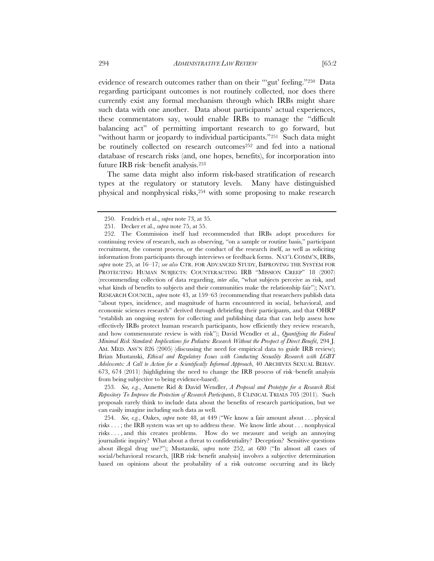evidence of research outcomes rather than on their "'gut' feeling."250 Data regarding participant outcomes is not routinely collected, nor does there currently exist any formal mechanism through which IRBs might share such data with one another. Data about participants' actual experiences, these commentators say, would enable IRBs to manage the "difficult balancing act" of permitting important research to go forward, but "without harm or jeopardy to individual participants."251 Such data might be routinely collected on research outcomes<sup>252</sup> and fed into a national database of research risks (and, one hopes, benefits), for incorporation into future IRB risk–benefit analysis.253

The same data might also inform risk-based stratification of research types at the regulatory or statutory levels. Many have distinguished physical and nonphysical risks,254 with some proposing to make research

 <sup>250.</sup> Fendrich et al., *supra* note 73, at 35.

 <sup>251.</sup> Decker et al., *supra* note 75, at 55.

 <sup>252.</sup> The Commission itself had recommended that IRBs adopt procedures for continuing review of research, such as observing, "on a sample or routine basis," participant recruitment, the consent process, or the conduct of the research itself, as well as soliciting information from participants through interviews or feedback forms. NAT'L COMM'N, IRBS, *supra* note 25, at 16–17; *see also* CTR. FOR ADVANCED STUDY, IMPROVING THE SYSTEM FOR PROTECTING HUMAN SUBJECTS: COUNTERACTING IRB "MISSION CREEP" 18 (2007) (recommending collection of data regarding, *inter alia*, "what subjects perceive as risk, and what kinds of benefits to subjects and their communities make the relationship fair"); NAT'L RESEARCH COUNCIL, *supra* note 43, at 159–63 (recommending that researchers publish data "about types, incidence, and magnitude of harm encountered in social, behavioral, and economic sciences research" derived through debriefing their participants, and that OHRP "establish an ongoing system for collecting and publishing data that can help assess how effectively IRBs protect human research participants, how efficiently they review research, and how commensurate review is with risk"); David Wendler et al., *Quantifying the Federal Minimal Risk Standard: Implications for Pediatric Research Without the Prospect of Direct Benefit*, 294 J. AM. MED. ASS'N 826 (2005) (discussing the need for empirical data to guide IRB review); Brian Mustanski, *Ethical and Regulatory Issues with Conducting Sexuality Research with LGBT Adolescents: A Call to Action for a Scientifically Informed Approach*, 40 ARCHIVES SEXUAL BEHAV. 673, 674 (2011) (highlighting the need to change the IRB process of risk–benefit analysis from being subjective to being evidence-based).

 <sup>253.</sup> *See, e.g.*, Annette Rid & David Wendler, *A Proposal and Prototype for a Research Risk Repository To Improve the Protection of Research Participants*, 8 CLINICAL TRIALS 705 (2011). Such proposals rarely think to include data about the benefits of research participation, but we can easily imagine including such data as well.

 <sup>254.</sup> *See, e.g.*, Oakes, *supra* note 48, at 449 ("We know a fair amount about . . . physical risks . . . ; the IRB system was set up to address these. We know little about . . . nonphysical risks . . . , and this creates problems. How do we measure and weigh an annoying journalistic inquiry? What about a threat to confidentiality? Deception? Sensitive questions about illegal drug use?"); Mustanski, *supra* note 252, at 680 ("In almost all cases of social/behavioral research, [IRB risk–benefit analysis] involves a subjective determination based on opinions about the probability of a risk outcome occurring and its likely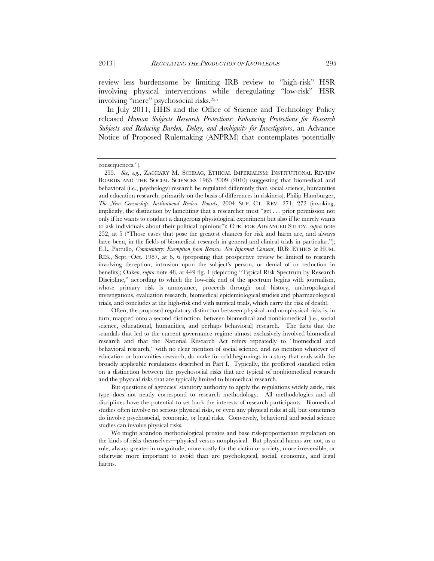review less burdensome by limiting IRB review to "high-risk" HSR involving physical interventions while deregulating "low-risk" HSR involving "mere" psychosocial risks.255

In July 2011, HHS and the Office of Science and Technology Policy released *Human Subjects Research Protections: Enhancing Protections for Research Subjects and Reducing Burden, Delay, and Ambiguity for Investigators*, an Advance Notice of Proposed Rulemaking (ANPRM) that contemplates potentially

Often, the proposed regulatory distinction between physical and nonphysical risks is, in turn, mapped onto a second distinction, between biomedical and nonbiomedical (i.e., social science, educational, humanities, and perhaps behavioral) research. The facts that the scandals that led to the current governance regime almost exclusively involved biomedical research and that the National Research Act refers repeatedly to "biomedical and behavioral research," with no clear mention of social science, and no mention whatever of education or humanities research, do make for odd beginnings in a story that ends with the broadly applicable regulations described in Part I. Typically, the proffered standard relies on a distinction between the psychosocial risks that are typical of nonbiomedical research and the physical risks that are typically limited to biomedical research.

But questions of agencies' statutory authority to apply the regulations widely aside, risk type does not neatly correspond to research methodology. All methodologies and all disciplines have the potential to set back the interests of research participants. Biomedical studies often involve no serious physical risks, or even any physical risks at all, but sometimes do involve psychosocial, economic, or legal risks. Conversely, behavioral and social science studies can involve physical risks.

We might abandon methodological proxies and base risk-proportionate regulation on the kinds of risks themselves—physical versus nonphysical. But physical harms are not, as a rule, always greater in magnitude, more costly for the victim or society, more irreversible, or otherwise more important to avoid than are psychological, social, economic, and legal harms.

consequences.").

 <sup>255.</sup> *See, e.g.*, ZACHARY M. SCHRAG, ETHICAL IMPERIALISM: INSTITUTIONAL REVIEW BOARDS AND THE SOCIAL SCIENCES 1965–2009 (2010) (suggesting that biomedical and behavioral (i.e., psychology) research be regulated differently than social science, humanities and education research, primarily on the basis of differences in riskiness); Philip Hamburger, *The New Censorship: Institutional Review Boards*, 2004 SUP. CT. REV. 271, 272 (invoking, implicitly, the distinction by lamenting that a researcher must "get . . . prior permission not only if he wants to conduct a dangerous physiological experiment but also if he merely wants to ask individuals about their political opinions"); CTR. FOR ADVANCED STUDY, *supra* note 252, at 5 ("Those cases that pose the greatest chances for risk and harm are, and always have been, in the fields of biomedical research in general and clinical trials in particular."); E.L. Pattullo, *Commentary: Exemption from Review, Not Informed Consent*, IRB: ETHICS & HUM. RES., Sept.–Oct. 1987, at 6, 6 (proposing that prospective review be limited to research involving deception, intrusion upon the subject's person, or denial of or reduction in benefits); Oakes, *supra* note 48, at 449 fig. 1 (depicting "Typical Risk Spectrum by Research Discipline," according to which the low-risk end of the spectrum begins with journalism, whose primary risk is annoyance, proceeds through oral history, anthropological investigations, evaluation research, biomedical epidemiological studies and pharmacological trials, and concludes at the high-risk end with surgical trials, which carry the risk of death).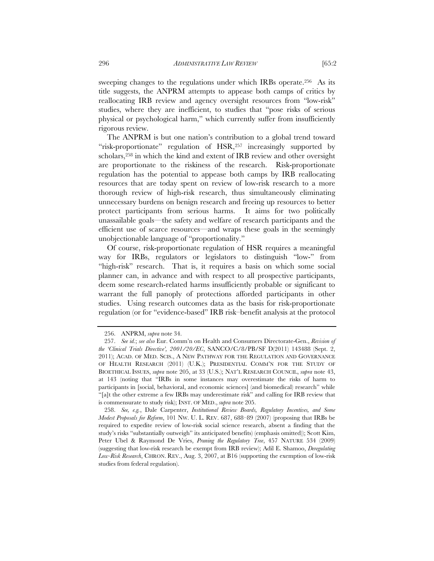sweeping changes to the regulations under which IRBs operate.256 As its title suggests, the ANPRM attempts to appease both camps of critics by reallocating IRB review and agency oversight resources from "low-risk" studies, where they are inefficient, to studies that "pose risks of serious physical or psychological harm," which currently suffer from insufficiently rigorous review.

The ANPRM is but one nation's contribution to a global trend toward "risk-proportionate" regulation of HSR,<sup>257</sup> increasingly supported by scholars,258 in which the kind and extent of IRB review and other oversight are proportionate to the riskiness of the research. Risk-proportionate regulation has the potential to appease both camps by IRB reallocating resources that are today spent on review of low-risk research to a more thorough review of high-risk research, thus simultaneously eliminating unnecessary burdens on benign research and freeing up resources to better protect participants from serious harms. It aims for two politically unassailable goals—the safety and welfare of research participants and the efficient use of scarce resources—and wraps these goals in the seemingly unobjectionable language of "proportionality."

Of course, risk-proportionate regulation of HSR requires a meaningful way for IRBs, regulators or legislators to distinguish "low-" from "high-risk" research. That is, it requires a basis on which some social planner can, in advance and with respect to all prospective participants, deem some research-related harms insufficiently probable or significant to warrant the full panoply of protections afforded participants in other studies. Using research outcomes data as the basis for risk-proportionate regulation (or for "evidence-based" IRB risk–benefit analysis at the protocol

 <sup>256.</sup> ANPRM, *supra* note 34.

 <sup>257.</sup> *See id.*; *see also* Eur. Comm'n on Health and Consumers Directorate-Gen., *Revision of the 'Clinical Trials Directive', 2001/20/EC*, SANCO/C/8/PB/SF D(2011) 143488 (Sept. 2, 2011); ACAD. OF MED. SCIS., A NEW PATHWAY FOR THE REGULATION AND GOVERNANCE OF HEALTH RESEARCH (2011) (U.K.); PRESIDENTIAL COMM'N FOR THE STUDY OF BIOETHICAL ISSUES, *supra* note 205, at 33 (U.S.); NAT'L RESEARCH COUNCIL, *supra* note 43, at 143 (noting that "IRBs in some instances may overestimate the risks of harm to participants in [social, behavioral, and economic sciences] (and biomedical) research" while "[a]t the other extreme a few IRBs may underestimate risk" and calling for IRB review that is commensurate to study risk); INST. OF MED., *supra* note 205.

 <sup>258.</sup> *See, e.g.*, Dale Carpenter, *Institutional Review Boards, Regulatory Incentives, and Some Modest Proposals for Reform*, 101 NW. U. L. REV. 687, 688–89 (2007) (proposing that IRBs be required to expedite review of low-risk social science research, absent a finding that the study's risks "substantially outweigh" its anticipated benefits) (emphasis omitted)); Scott Kim, Peter Ubel & Raymond De Vries, *Pruning the Regulatory Tree*, 457 NATURE 534 (2009) (suggesting that low-risk research be exempt from IRB review); Adil E. Shamoo, *Deregulating Low-Risk Research*, CHRON. REV., Aug. 3, 2007, at B16 (supporting the exemption of low-risk studies from federal regulation).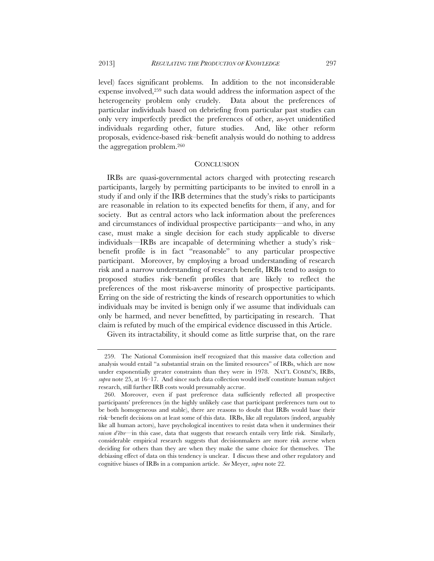level) faces significant problems. In addition to the not inconsiderable expense involved,259 such data would address the information aspect of the heterogeneity problem only crudely. Data about the preferences of particular individuals based on debriefing from particular past studies can only very imperfectly predict the preferences of other, as-yet unidentified individuals regarding other, future studies. And, like other reform proposals, evidence-based risk–benefit analysis would do nothing to address the aggregation problem.260

## **CONCLUSION**

IRBs are quasi-governmental actors charged with protecting research participants, largely by permitting participants to be invited to enroll in a study if and only if the IRB determines that the study's risks to participants are reasonable in relation to its expected benefits for them, if any, and for society. But as central actors who lack information about the preferences and circumstances of individual prospective participants—and who, in any case, must make a single decision for each study applicable to diverse individuals—IRBs are incapable of determining whether a study's risk– benefit profile is in fact "reasonable" to any particular prospective participant. Moreover, by employing a broad understanding of research risk and a narrow understanding of research benefit, IRBs tend to assign to proposed studies risk–benefit profiles that are likely to reflect the preferences of the most risk-averse minority of prospective participants. Erring on the side of restricting the kinds of research opportunities to which individuals may be invited is benign only if we assume that individuals can only be harmed, and never benefitted, by participating in research. That claim is refuted by much of the empirical evidence discussed in this Article.

Given its intractability, it should come as little surprise that, on the rare

 <sup>259.</sup> The National Commission itself recognized that this massive data collection and analysis would entail "a substantial strain on the limited resources" of IRBs, which are now under exponentially greater constraints than they were in 1978. NAT'L COMM'N, IRBS, *supra* note 25, at 16–17. And since such data collection would itself constitute human subject research, still further IRB costs would presumably accrue.

 <sup>260.</sup> Moreover, even if past preference data sufficiently reflected all prospective participants' preferences (in the highly unlikely case that participant preferences turn out to be both homogeneous and stable), there are reasons to doubt that IRBs would base their risk–benefit decisions on at least some of this data. IRBs, like all regulators (indeed, arguably like all human actors), have psychological incentives to resist data when it undermines their *raison d'être*—in this case, data that suggests that research entails very little risk. Similarly, considerable empirical research suggests that decisionmakers are more risk averse when deciding for others than they are when they make the same choice for themselves. The debiasing effect of data on this tendency is unclear. I discuss these and other regulatory and cognitive biases of IRBs in a companion article. *See* Meyer, *supra* note 22.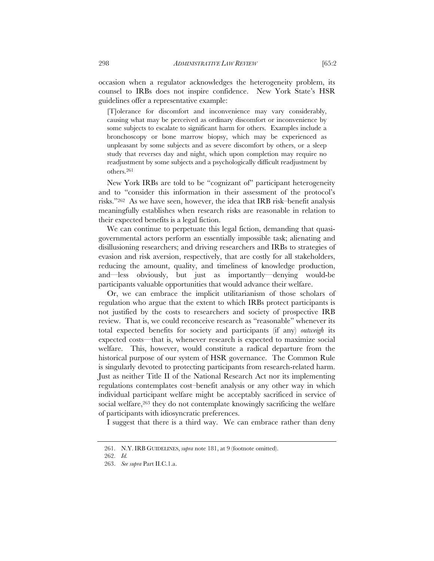occasion when a regulator acknowledges the heterogeneity problem, its counsel to IRBs does not inspire confidence. New York State's HSR guidelines offer a representative example:

[T]olerance for discomfort and inconvenience may vary considerably, causing what may be perceived as ordinary discomfort or inconvenience by some subjects to escalate to significant harm for others. Examples include a bronchoscopy or bone marrow biopsy, which may be experienced as unpleasant by some subjects and as severe discomfort by others, or a sleep study that reverses day and night, which upon completion may require no readjustment by some subjects and a psychologically difficult readjustment by others.261

New York IRBs are told to be "cognizant of" participant heterogeneity and to "consider this information in their assessment of the protocol's risks."262 As we have seen, however, the idea that IRB risk–benefit analysis meaningfully establishes when research risks are reasonable in relation to their expected benefits is a legal fiction.

We can continue to perpetuate this legal fiction, demanding that quasigovernmental actors perform an essentially impossible task; alienating and disillusioning researchers; and driving researchers and IRBs to strategies of evasion and risk aversion, respectively, that are costly for all stakeholders, reducing the amount, quality, and timeliness of knowledge production, and—less obviously, but just as importantly—denying would-be participants valuable opportunities that would advance their welfare.

Or, we can embrace the implicit utilitarianism of those scholars of regulation who argue that the extent to which IRBs protect participants is not justified by the costs to researchers and society of prospective IRB review. That is, we could reconceive research as "reasonable" whenever its total expected benefits for society and participants (if any) *outweigh* its expected costs—that is, whenever research is expected to maximize social welfare. This, however, would constitute a radical departure from the historical purpose of our system of HSR governance. The Common Rule is singularly devoted to protecting participants from research-related harm. Just as neither Title II of the National Research Act nor its implementing regulations contemplates cost–benefit analysis or any other way in which individual participant welfare might be acceptably sacrificed in service of social welfare,<sup>263</sup> they do not contemplate knowingly sacrificing the welfare of participants with idiosyncratic preferences.

I suggest that there is a third way. We can embrace rather than deny

 <sup>261.</sup> N.Y. IRB GUIDELINES, *supra* note 181, at 9 (footnote omitted).

 <sup>262.</sup> *Id.*

 <sup>263.</sup> *See supra* Part II.C.1.a.